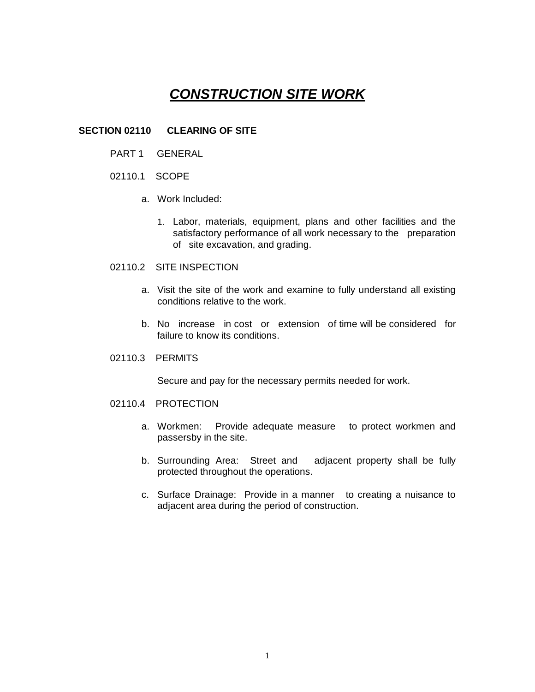# *CONSTRUCTION SITE WORK*

### **SECTION 02110 CLEARING OF SITE**

- PART 1 GENERAL
- 02110.1 SCOPE
	- a. Work Included:
		- 1. Labor, materials, equipment, plans and other facilities and the satisfactory performance of all work necessary to the preparation of site excavation, and grading.
- 02110.2 SITE INSPECTION
	- a. Visit the site of the work and examine to fully understand all existing conditions relative to the work.
	- b. No increase in cost or extension of time will be considered for failure to know its conditions.
- 02110.3 PERMITS

Secure and pay for the necessary permits needed for work.

- 02110.4 PROTECTION
	- a. Workmen: Provide adequate measure to protect workmen and passersby in the site.
	- b. Surrounding Area: Street and adjacent property shall be fully protected throughout the operations.
	- c. Surface Drainage: Provide in a manner to creating a nuisance to adjacent area during the period of construction.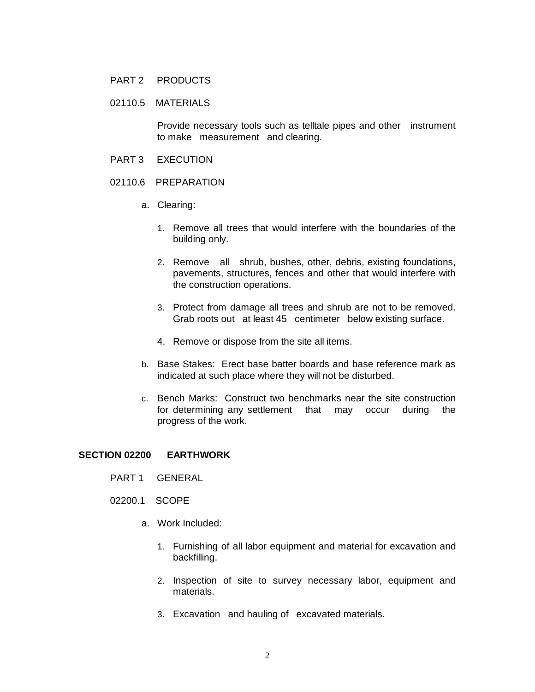#### PART 2 PRODUCTS

# 02110.5 MATERIALS

Provide necessary tools such as telltale pipes and other instrument to make measurement and clearing.

- PART 3 EXECUTION
- 02110.6 PREPARATION
	- a. Clearing:
		- 1. Remove all trees that would interfere with the boundaries of the building only.
		- 2. Remove all shrub, bushes, other, debris, existing foundations, pavements, structures, fences and other that would interfere with the construction operations.
		- 3. Protect from damage all trees and shrub are not to be removed. Grab roots out at least 45 centimeter below existing surface.
		- 4. Remove or dispose from the site all items.
	- b. Base Stakes: Erect base batter boards and base reference mark as indicated at such place where they will not be disturbed.
	- c. Bench Marks: Construct two benchmarks near the site construction for determining any settlement that may occur during the progress of the work.

#### **SECTION 02200 EARTHWORK**

- PART 1 GENERAL
- 02200.1 SCOPE
	- a. Work Included:
		- 1. Furnishing of all labor equipment and material for excavation and backfilling.
		- 2. Inspection of site to survey necessary labor, equipment and materials.
		- 3. Excavation and hauling of excavated materials.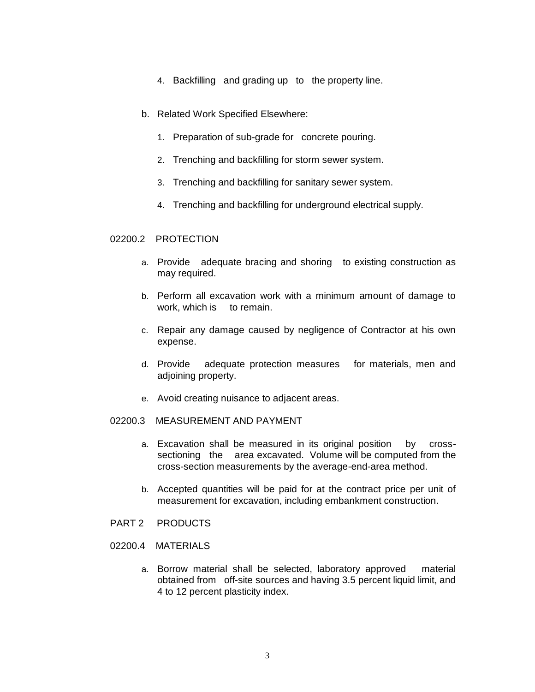- 4. Backfilling and grading up to the property line.
- b. Related Work Specified Elsewhere:
	- 1. Preparation of sub-grade for concrete pouring.
	- 2. Trenching and backfilling for storm sewer system.
	- 3. Trenching and backfilling for sanitary sewer system.
	- 4. Trenching and backfilling for underground electrical supply.

#### 02200.2 PROTECTION

- a. Provide adequate bracing and shoring to existing construction as may required.
- b. Perform all excavation work with a minimum amount of damage to work, which is to remain.
- c. Repair any damage caused by negligence of Contractor at his own expense.
- d. Provide adequate protection measures for materials, men and adjoining property.
- e. Avoid creating nuisance to adjacent areas.
- 02200.3 MEASUREMENT AND PAYMENT
	- a. Excavation shall be measured in its original position by crosssectioning the area excavated. Volume will be computed from the cross-section measurements by the average-end-area method.
	- b. Accepted quantities will be paid for at the contract price per unit of measurement for excavation, including embankment construction.
- PART 2 PRODUCTS
- 02200.4 MATERIALS
	- a. Borrow material shall be selected, laboratory approved material obtained from off-site sources and having 3.5 percent liquid limit, and 4 to 12 percent plasticity index.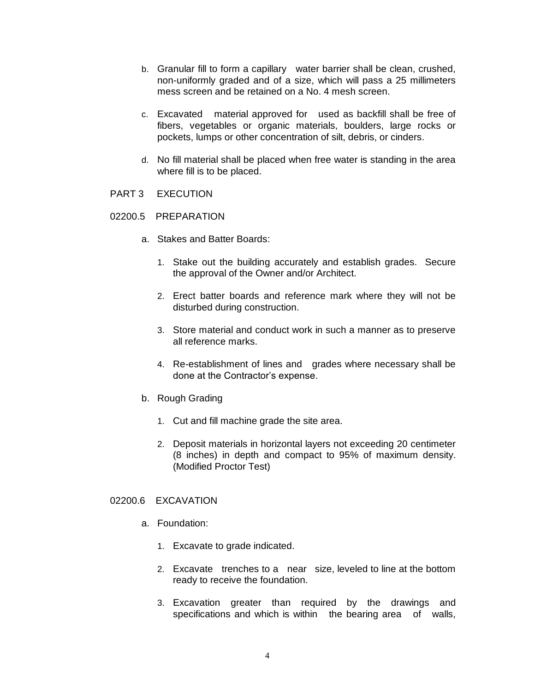- b. Granular fill to form a capillary water barrier shall be clean, crushed, non-uniformly graded and of a size, which will pass a 25 millimeters mess screen and be retained on a No. 4 mesh screen.
- c. Excavated material approved for used as backfill shall be free of fibers, vegetables or organic materials, boulders, large rocks or pockets, lumps or other concentration of silt, debris, or cinders.
- d. No fill material shall be placed when free water is standing in the area where fill is to be placed.
- PART 3 EXECUTION
- 02200.5 PREPARATION
	- a. Stakes and Batter Boards:
		- 1. Stake out the building accurately and establish grades. Secure the approval of the Owner and/or Architect.
		- 2. Erect batter boards and reference mark where they will not be disturbed during construction.
		- 3. Store material and conduct work in such a manner as to preserve all reference marks.
		- 4. Re-establishment of lines and grades where necessary shall be done at the Contractor's expense.
	- b. Rough Grading
		- 1. Cut and fill machine grade the site area.
		- 2. Deposit materials in horizontal layers not exceeding 20 centimeter (8 inches) in depth and compact to 95% of maximum density. (Modified Proctor Test)

### 02200.6 EXCAVATION

- a. Foundation:
	- 1. Excavate to grade indicated.
	- 2. Excavate trenches to a near size, leveled to line at the bottom ready to receive the foundation.
	- 3. Excavation greater than required by the drawings and specifications and which is within the bearing area of walls,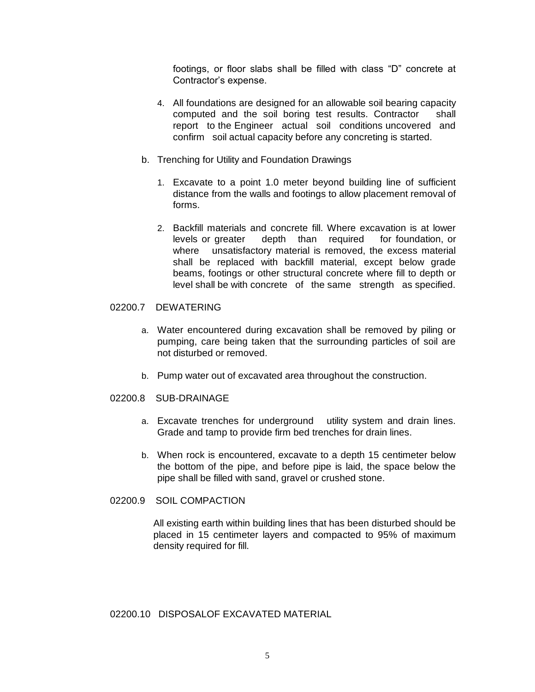footings, or floor slabs shall be filled with class "D" concrete at Contractor's expense.

- 4. All foundations are designed for an allowable soil bearing capacity computed and the soil boring test results. Contractor shall report to the Engineer actual soil conditions uncovered and confirm soil actual capacity before any concreting is started.
- b. Trenching for Utility and Foundation Drawings
	- 1. Excavate to a point 1.0 meter beyond building line of sufficient distance from the walls and footings to allow placement removal of forms.
	- 2. Backfill materials and concrete fill. Where excavation is at lower levels or greater depth than required for foundation, or where unsatisfactory material is removed, the excess material shall be replaced with backfill material, except below grade beams, footings or other structural concrete where fill to depth or level shall be with concrete of the same strength as specified.

# 02200.7 DEWATERING

- a. Water encountered during excavation shall be removed by piling or pumping, care being taken that the surrounding particles of soil are not disturbed or removed.
- b. Pump water out of excavated area throughout the construction.

#### 02200.8 SUB-DRAINAGE

- a. Excavate trenches for underground utility system and drain lines. Grade and tamp to provide firm bed trenches for drain lines.
- b. When rock is encountered, excavate to a depth 15 centimeter below the bottom of the pipe, and before pipe is laid, the space below the pipe shall be filled with sand, gravel or crushed stone.

# 02200.9 SOIL COMPACTION

All existing earth within building lines that has been disturbed should be placed in 15 centimeter layers and compacted to 95% of maximum density required for fill.

#### 02200.10 DISPOSALOF EXCAVATED MATERIAL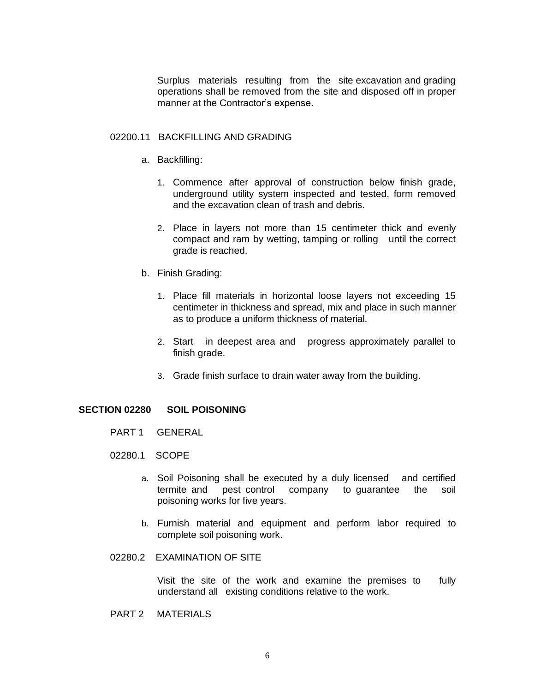Surplus materials resulting from the site excavation and grading operations shall be removed from the site and disposed off in proper manner at the Contractor's expense.

#### 02200.11 BACKFILLING AND GRADING

- a. Backfilling:
	- 1. Commence after approval of construction below finish grade, underground utility system inspected and tested, form removed and the excavation clean of trash and debris.
	- 2. Place in layers not more than 15 centimeter thick and evenly compact and ram by wetting, tamping or rolling until the correct grade is reached.
- b. Finish Grading:
	- 1. Place fill materials in horizontal loose layers not exceeding 15 centimeter in thickness and spread, mix and place in such manner as to produce a uniform thickness of material.
	- 2. Start in deepest area and progress approximately parallel to finish grade.
	- 3. Grade finish surface to drain water away from the building.

#### **SECTION 02280 SOIL POISONING**

- PART 1 GENERAL
- 02280.1 SCOPE
	- a. Soil Poisoning shall be executed by a duly licensed and certified termite and pest control company to guarantee the soil poisoning works for five years.
	- b. Furnish material and equipment and perform labor required to complete soil poisoning work.
- 02280.2 EXAMINATION OF SITE

Visit the site of the work and examine the premises to fully understand all existing conditions relative to the work.

PART 2 MATERIALS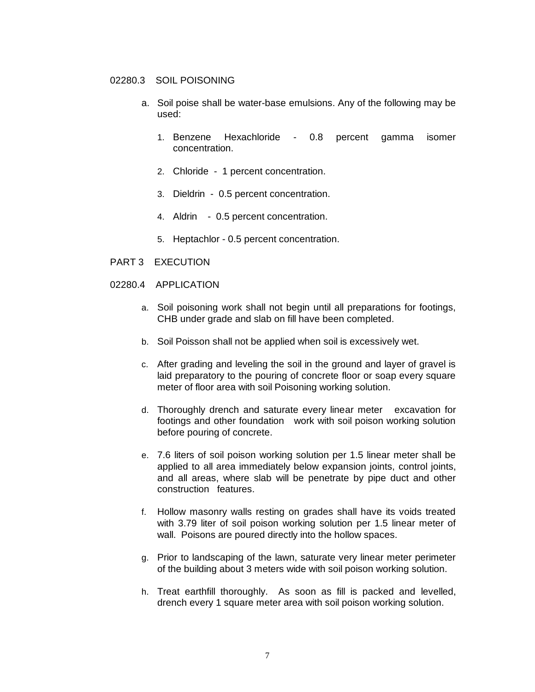#### 02280.3 SOIL POISONING

- a. Soil poise shall be water-base emulsions. Any of the following may be used:
	- 1. Benzene Hexachloride 0.8 percent gamma isomer concentration.
	- 2. Chloride 1 percent concentration.
	- 3. Dieldrin 0.5 percent concentration.
	- 4. Aldrin 0.5 percent concentration.
	- 5. Heptachlor 0.5 percent concentration.
- PART 3 EXECUTION
- 02280.4 APPLICATION
	- a. Soil poisoning work shall not begin until all preparations for footings, CHB under grade and slab on fill have been completed.
	- b. Soil Poisson shall not be applied when soil is excessively wet.
	- c. After grading and leveling the soil in the ground and layer of gravel is laid preparatory to the pouring of concrete floor or soap every square meter of floor area with soil Poisoning working solution.
	- d. Thoroughly drench and saturate every linear meter excavation for footings and other foundation work with soil poison working solution before pouring of concrete.
	- e. 7.6 liters of soil poison working solution per 1.5 linear meter shall be applied to all area immediately below expansion joints, control joints, and all areas, where slab will be penetrate by pipe duct and other construction features.
	- f. Hollow masonry walls resting on grades shall have its voids treated with 3.79 liter of soil poison working solution per 1.5 linear meter of wall. Poisons are poured directly into the hollow spaces.
	- g. Prior to landscaping of the lawn, saturate very linear meter perimeter of the building about 3 meters wide with soil poison working solution.
	- h. Treat earthfill thoroughly. As soon as fill is packed and levelled, drench every 1 square meter area with soil poison working solution.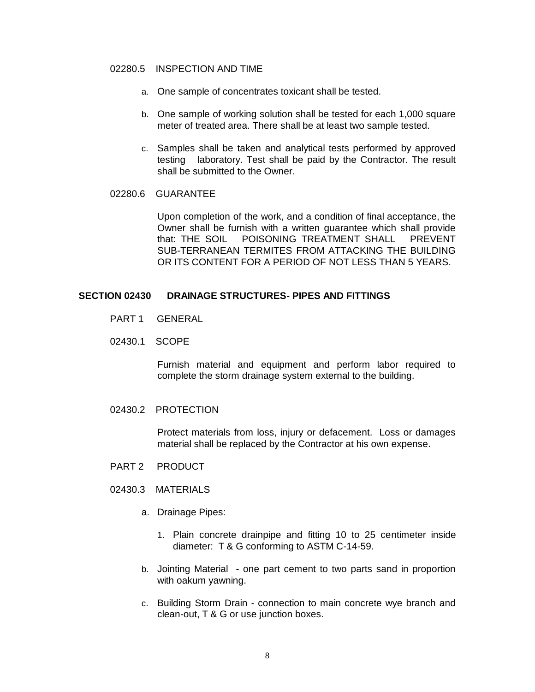#### 02280.5 INSPECTION AND TIME

- a. One sample of concentrates toxicant shall be tested.
- b. One sample of working solution shall be tested for each 1,000 square meter of treated area. There shall be at least two sample tested.
- c. Samples shall be taken and analytical tests performed by approved testing laboratory. Test shall be paid by the Contractor. The result shall be submitted to the Owner.
- 02280.6 GUARANTEE

Upon completion of the work, and a condition of final acceptance, the Owner shall be furnish with a written guarantee which shall provide that: THE SOIL POISONING TREATMENT SHALL PREVENT SUB-TERRANEAN TERMITES FROM ATTACKING THE BUILDING OR ITS CONTENT FOR A PERIOD OF NOT LESS THAN 5 YEARS.

#### **SECTION 02430 DRAINAGE STRUCTURES- PIPES AND FITTINGS**

- PART 1 GENERAL
- 02430.1 SCOPE

Furnish material and equipment and perform labor required to complete the storm drainage system external to the building.

02430.2 PROTECTION

Protect materials from loss, injury or defacement. Loss or damages material shall be replaced by the Contractor at his own expense.

- PART 2 PRODUCT
- 02430.3 MATERIALS
	- a. Drainage Pipes:
		- 1. Plain concrete drainpipe and fitting 10 to 25 centimeter inside diameter: T & G conforming to ASTM C-14-59.
	- b. Jointing Material one part cement to two parts sand in proportion with oakum yawning.
	- c. Building Storm Drain connection to main concrete wye branch and clean-out, T & G or use junction boxes.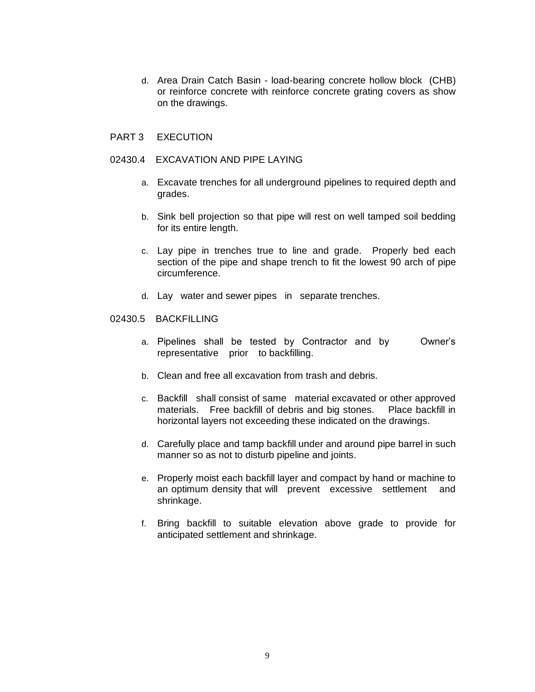d. Area Drain Catch Basin - load-bearing concrete hollow block (CHB) or reinforce concrete with reinforce concrete grating covers as show on the drawings.

#### PART 3 EXECUTION

#### 02430.4 EXCAVATION AND PIPE LAYING

- a. Excavate trenches for all underground pipelines to required depth and grades.
- b. Sink bell projection so that pipe will rest on well tamped soil bedding for its entire length.
- c. Lay pipe in trenches true to line and grade. Properly bed each section of the pipe and shape trench to fit the lowest 90 arch of pipe circumference.
- d. Lay water and sewer pipes in separate trenches.

#### 02430.5 BACKFILLING

- a. Pipelines shall be tested by Contractor and by Owner's representative prior to backfilling.
- b. Clean and free all excavation from trash and debris.
- c. Backfill shall consist of same material excavated or other approved materials. Free backfill of debris and big stones. Place backfill in horizontal layers not exceeding these indicated on the drawings.
- d. Carefully place and tamp backfill under and around pipe barrel in such manner so as not to disturb pipeline and joints.
- e. Properly moist each backfill layer and compact by hand or machine to an optimum density that will prevent excessive settlement and shrinkage.
- f. Bring backfill to suitable elevation above grade to provide for anticipated settlement and shrinkage.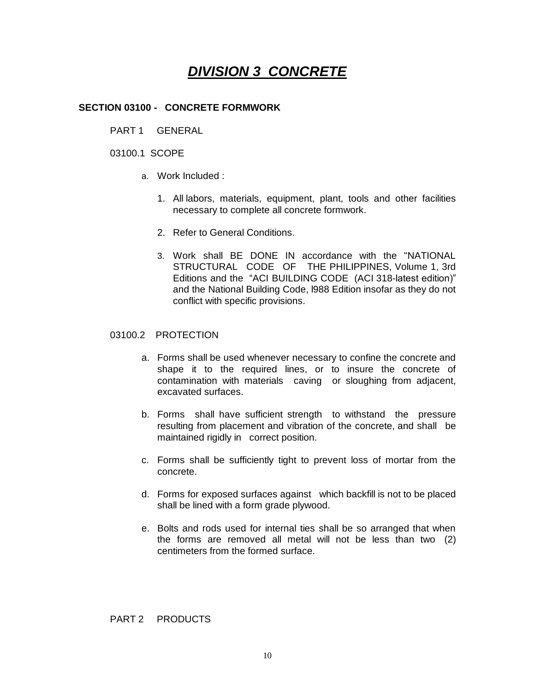# *DIVISION 3 CONCRETE*

## **SECTION 03100 - CONCRETE FORMWORK**

PART 1 GENERAL

### 03100.1 SCOPE

- a. Work Included :
	- 1. All labors, materials, equipment, plant, tools and other facilities necessary to complete all concrete formwork.
	- 2. Refer to General Conditions.
	- 3. Work shall BE DONE IN accordance with the "NATIONAL STRUCTURAL CODE OF THE PHILIPPINES, Volume 1, 3rd Editions and the "ACI BUILDING CODE (ACI 318-latest edition)" and the National Building Code, l988 Edition insofar as they do not conflict with specific provisions.

#### 03100.2 PROTECTION

- a. Forms shall be used whenever necessary to confine the concrete and shape it to the required lines, or to insure the concrete of contamination with materials caving or sloughing from adjacent, excavated surfaces.
- b. Forms shall have sufficient strength to withstand the pressure resulting from placement and vibration of the concrete, and shall be maintained rigidly in correct position.
- c. Forms shall be sufficiently tight to prevent loss of mortar from the concrete.
- d. Forms for exposed surfaces against which backfill is not to be placed shall be lined with a form grade plywood.
- e. Bolts and rods used for internal ties shall be so arranged that when the forms are removed all metal will not be less than two (2) centimeters from the formed surface.

#### PART 2 PRODUCTS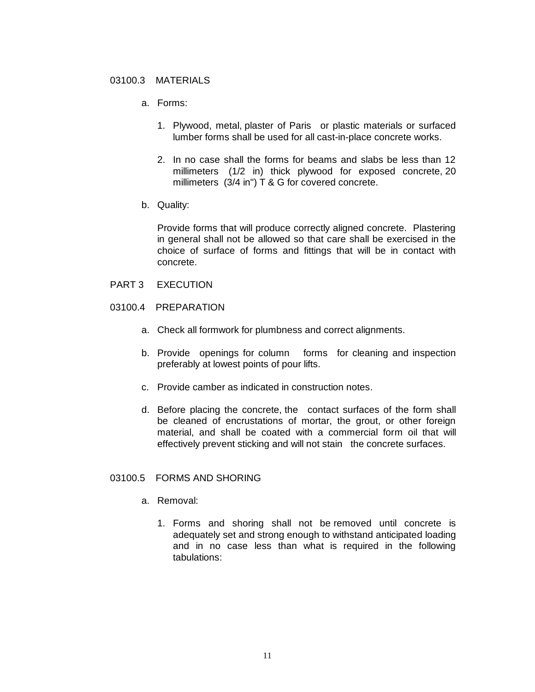#### 03100.3 MATERIALS

- a. Forms:
	- 1. Plywood, metal, plaster of Paris or plastic materials or surfaced lumber forms shall be used for all cast-in-place concrete works.
	- 2. In no case shall the forms for beams and slabs be less than 12 millimeters (1/2 in) thick plywood for exposed concrete, 20 millimeters (3/4 in") T & G for covered concrete.
- b. Quality:

Provide forms that will produce correctly aligned concrete. Plastering in general shall not be allowed so that care shall be exercised in the choice of surface of forms and fittings that will be in contact with concrete.

- PART 3 EXECUTION
- 03100.4 PREPARATION
	- a. Check all formwork for plumbness and correct alignments.
	- b. Provide openings for column forms for cleaning and inspection preferably at lowest points of pour lifts.
	- c. Provide camber as indicated in construction notes.
	- d. Before placing the concrete, the contact surfaces of the form shall be cleaned of encrustations of mortar, the grout, or other foreign material, and shall be coated with a commercial form oil that will effectively prevent sticking and will not stain the concrete surfaces.

# 03100.5 FORMS AND SHORING

- a. Removal:
	- 1. Forms and shoring shall not be removed until concrete is adequately set and strong enough to withstand anticipated loading and in no case less than what is required in the following tabulations: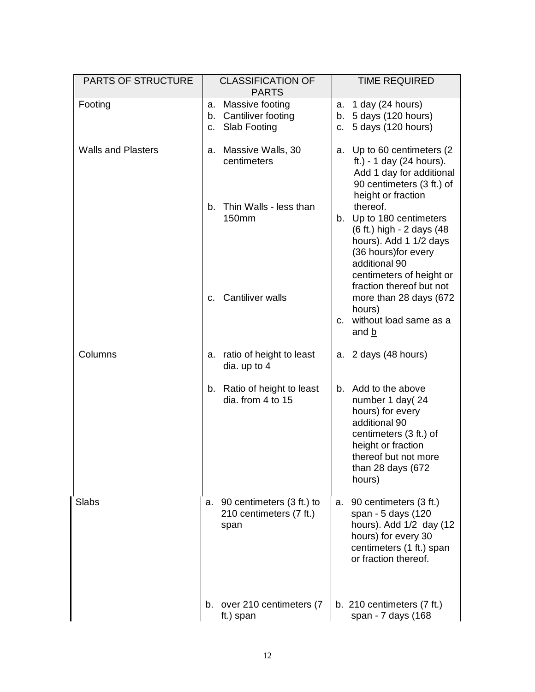| <b>PARTS OF STRUCTURE</b> |              | <b>CLASSIFICATION OF</b><br><b>PARTS</b>                        |                         | <b>TIME REQUIRED</b>                                                                                                                                                               |
|---------------------------|--------------|-----------------------------------------------------------------|-------------------------|------------------------------------------------------------------------------------------------------------------------------------------------------------------------------------|
| Footing                   | a.<br>b.     | Massive footing<br>Cantiliver footing<br>c. Slab Footing        | a.<br>b.<br>$C_{\cdot}$ | 1 day (24 hours)<br>5 days (120 hours)<br>5 days (120 hours)                                                                                                                       |
| <b>Walls and Plasters</b> | a.           | Massive Walls, 30<br>centimeters                                | a.                      | Up to 60 centimeters (2)<br>ft.) - 1 day $(24$ hours).<br>Add 1 day for additional<br>90 centimeters (3 ft.) of<br>height or fraction                                              |
|                           | b.           | Thin Walls - less than<br><b>150mm</b>                          |                         | thereof.<br>b. Up to 180 centimeters<br>(6 ft.) high - 2 days (48<br>hours). Add 1 1/2 days<br>(36 hours) for every<br>additional 90<br>centimeters of height or                   |
|                           | $C_{\rm{r}}$ | <b>Cantiliver walls</b>                                         |                         | fraction thereof but not<br>more than 28 days (672<br>hours)<br>c. without load same as a<br>and b                                                                                 |
| Columns                   |              | a. ratio of height to least<br>dia. up to 4                     | a.                      | 2 days (48 hours)                                                                                                                                                                  |
|                           |              | b. Ratio of height to least<br>dia. from 4 to 15                |                         | b. Add to the above<br>number 1 day(24<br>hours) for every<br>additional 90<br>centimeters (3 ft.) of<br>height or fraction<br>thereof but not more<br>than 28 days (672<br>hours) |
| <b>Slabs</b>              |              | a. 90 centimeters (3 ft.) to<br>210 centimeters (7 ft.)<br>span | а.                      | 90 centimeters (3 ft.)<br>span - 5 days (120<br>hours). Add 1/2 day (12<br>hours) for every 30<br>centimeters (1 ft.) span<br>or fraction thereof.                                 |
|                           |              | b. over 210 centimeters (7<br>ft.) span                         |                         | b. $210$ centimeters $(7 ft.)$<br>span - 7 days (168                                                                                                                               |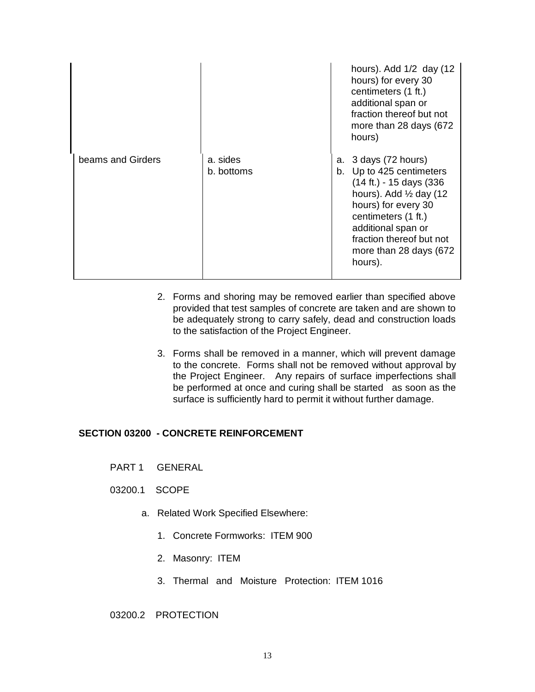|                   |                        |    | hours). Add 1/2 day (12<br>hours) for every 30<br>centimeters (1 ft.)<br>additional span or<br>fraction thereof but not<br>more than 28 days (672<br>hours)                                                                                           |
|-------------------|------------------------|----|-------------------------------------------------------------------------------------------------------------------------------------------------------------------------------------------------------------------------------------------------------|
| beams and Girders | a. sides<br>b. bottoms | а. | 3 days (72 hours)<br>b. Up to 425 centimeters<br>(14 ft.) - 15 days (336)<br>hours). Add $\frac{1}{2}$ day (12)<br>hours) for every 30<br>centimeters (1 ft.)<br>additional span or<br>fraction thereof but not<br>more than 28 days (672)<br>hours). |

- 2. Forms and shoring may be removed earlier than specified above provided that test samples of concrete are taken and are shown to be adequately strong to carry safely, dead and construction loads to the satisfaction of the Project Engineer.
- 3. Forms shall be removed in a manner, which will prevent damage to the concrete. Forms shall not be removed without approval by the Project Engineer. Any repairs of surface imperfections shall be performed at once and curing shall be started as soon as the surface is sufficiently hard to permit it without further damage.

#### **SECTION 03200 - CONCRETE REINFORCEMENT**

- PART 1 GENERAL
- 03200.1 SCOPE
	- a. Related Work Specified Elsewhere:
		- 1. Concrete Formworks: ITEM 900
		- 2. Masonry: ITEM
		- 3. Thermal and Moisture Protection: ITEM 1016
- 03200.2 PROTECTION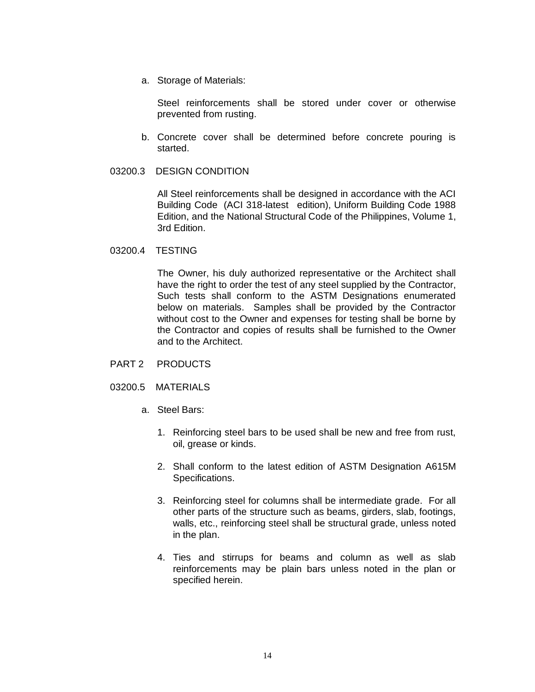a. Storage of Materials:

Steel reinforcements shall be stored under cover or otherwise prevented from rusting.

- b. Concrete cover shall be determined before concrete pouring is started.
- 03200.3 DESIGN CONDITION

All Steel reinforcements shall be designed in accordance with the ACI Building Code (ACI 318-latest edition), Uniform Building Code 1988 Edition, and the National Structural Code of the Philippines, Volume 1, 3rd Edition.

03200.4 TESTING

The Owner, his duly authorized representative or the Architect shall have the right to order the test of any steel supplied by the Contractor, Such tests shall conform to the ASTM Designations enumerated below on materials. Samples shall be provided by the Contractor without cost to the Owner and expenses for testing shall be borne by the Contractor and copies of results shall be furnished to the Owner and to the Architect.

- PART 2 PRODUCTS
- 03200.5 MATERIALS
	- a. Steel Bars:
		- 1. Reinforcing steel bars to be used shall be new and free from rust, oil, grease or kinds.
		- 2. Shall conform to the latest edition of ASTM Designation A615M Specifications.
		- 3. Reinforcing steel for columns shall be intermediate grade. For all other parts of the structure such as beams, girders, slab, footings, walls, etc., reinforcing steel shall be structural grade, unless noted in the plan.
		- 4. Ties and stirrups for beams and column as well as slab reinforcements may be plain bars unless noted in the plan or specified herein.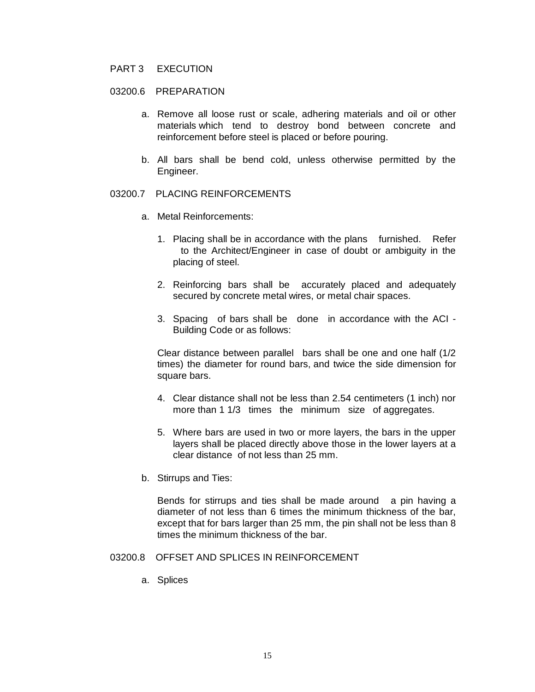### PART 3 EXECUTION

#### 03200.6 PREPARATION

- a. Remove all loose rust or scale, adhering materials and oil or other materials which tend to destroy bond between concrete and reinforcement before steel is placed or before pouring.
- b. All bars shall be bend cold, unless otherwise permitted by the Engineer.

# 03200.7 PLACING REINFORCEMENTS

- a. Metal Reinforcements:
	- 1. Placing shall be in accordance with the plans furnished. Refer to the Architect/Engineer in case of doubt or ambiguity in the placing of steel.
	- 2. Reinforcing bars shall be accurately placed and adequately secured by concrete metal wires, or metal chair spaces.
	- 3. Spacing of bars shall be done in accordance with the ACI Building Code or as follows:

Clear distance between parallel bars shall be one and one half (1/2 times) the diameter for round bars, and twice the side dimension for square bars.

- 4. Clear distance shall not be less than 2.54 centimeters (1 inch) nor more than 1 1/3 times the minimum size of aggregates.
- 5. Where bars are used in two or more layers, the bars in the upper layers shall be placed directly above those in the lower layers at a clear distance of not less than 25 mm.
- b. Stirrups and Ties:

Bends for stirrups and ties shall be made around a pin having a diameter of not less than 6 times the minimum thickness of the bar, except that for bars larger than 25 mm, the pin shall not be less than 8 times the minimum thickness of the bar.

### 03200.8 OFFSET AND SPLICES IN REINFORCEMENT

a. Splices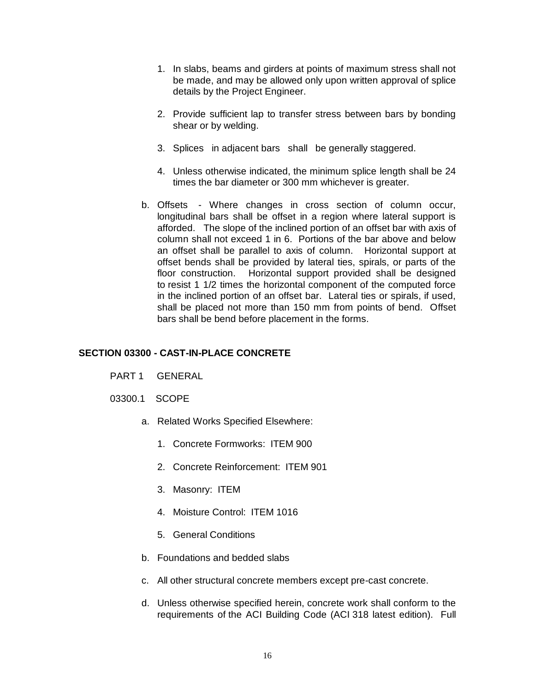- 1. In slabs, beams and girders at points of maximum stress shall not be made, and may be allowed only upon written approval of splice details by the Project Engineer.
- 2. Provide sufficient lap to transfer stress between bars by bonding shear or by welding.
- 3. Splices in adjacent bars shall be generally staggered.
- 4. Unless otherwise indicated, the minimum splice length shall be 24 times the bar diameter or 300 mm whichever is greater.
- b. Offsets Where changes in cross section of column occur, longitudinal bars shall be offset in a region where lateral support is afforded. The slope of the inclined portion of an offset bar with axis of column shall not exceed 1 in 6. Portions of the bar above and below an offset shall be parallel to axis of column. Horizontal support at offset bends shall be provided by lateral ties, spirals, or parts of the floor construction. Horizontal support provided shall be designed to resist 1 1/2 times the horizontal component of the computed force in the inclined portion of an offset bar. Lateral ties or spirals, if used, shall be placed not more than 150 mm from points of bend. Offset bars shall be bend before placement in the forms.

# **SECTION 03300 - CAST-IN-PLACE CONCRETE**

- PART 1 GENERAL
- 03300.1 SCOPE
	- a. Related Works Specified Elsewhere:
		- 1. Concrete Formworks: ITEM 900
		- 2. Concrete Reinforcement: ITEM 901
		- 3. Masonry: ITEM
		- 4. Moisture Control: ITEM 1016
		- 5. General Conditions
	- b. Foundations and bedded slabs
	- c. All other structural concrete members except pre-cast concrete.
	- d. Unless otherwise specified herein, concrete work shall conform to the requirements of the ACI Building Code (ACI 318 latest edition). Full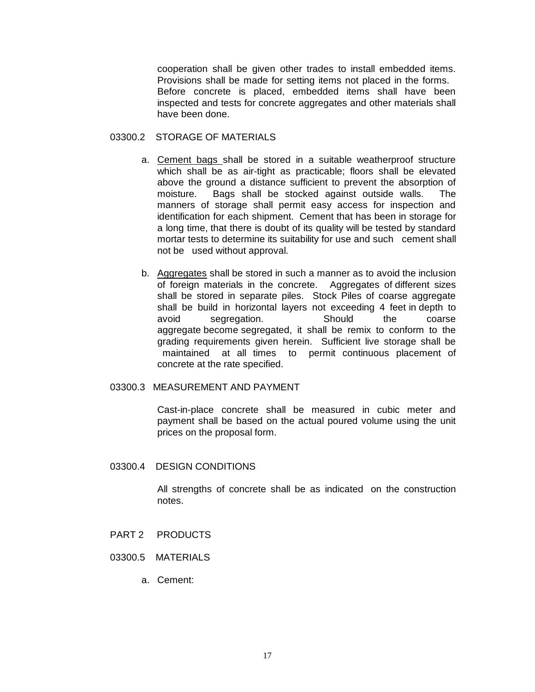cooperation shall be given other trades to install embedded items. Provisions shall be made for setting items not placed in the forms. Before concrete is placed, embedded items shall have been inspected and tests for concrete aggregates and other materials shall have been done.

#### 03300.2 STORAGE OF MATERIALS

- a. Cement bags shall be stored in a suitable weatherproof structure which shall be as air-tight as practicable; floors shall be elevated above the ground a distance sufficient to prevent the absorption of moisture. Bags shall be stocked against outside walls. The manners of storage shall permit easy access for inspection and identification for each shipment. Cement that has been in storage for a long time, that there is doubt of its quality will be tested by standard mortar tests to determine its suitability for use and such cement shall not be used without approval.
- b. Aggregates shall be stored in such a manner as to avoid the inclusion of foreign materials in the concrete. Aggregates of different sizes shall be stored in separate piles. Stock Piles of coarse aggregate shall be build in horizontal layers not exceeding 4 feet in depth to avoid segregation. Should the coarse aggregate become segregated, it shall be remix to conform to the grading requirements given herein. Sufficient live storage shall be maintained at all times to permit continuous placement of concrete at the rate specified.

#### 03300.3 MEASUREMENT AND PAYMENT

Cast-in-place concrete shall be measured in cubic meter and payment shall be based on the actual poured volume using the unit prices on the proposal form.

#### 03300.4 DESIGN CONDITIONS

All strengths of concrete shall be as indicated on the construction notes.

- PART 2 PRODUCTS
- 03300.5 MATERIALS
	- a. Cement: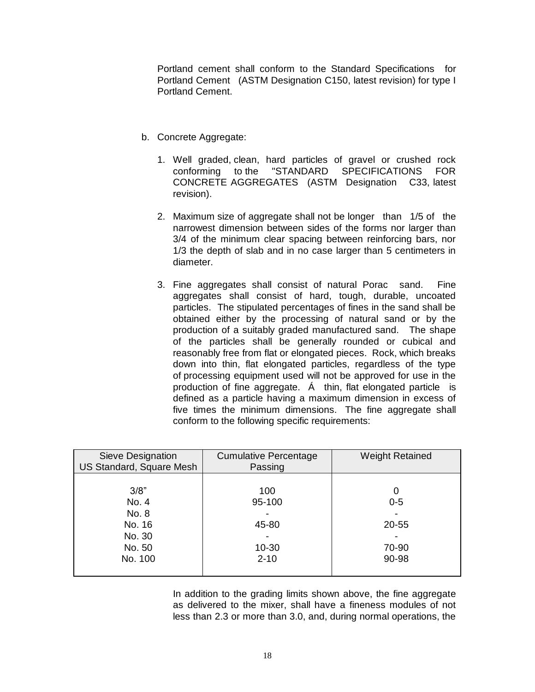Portland cement shall conform to the Standard Specifications for Portland Cement (ASTM Designation C150, latest revision) for type I Portland Cement.

- b. Concrete Aggregate:
	- 1. Well graded, clean, hard particles of gravel or crushed rock conforming to the "STANDARD SPECIFICATIONS FOR CONCRETE AGGREGATES (ASTM Designation C33, latest revision).
	- 2. Maximum size of aggregate shall not be longer than 1/5 of the narrowest dimension between sides of the forms nor larger than 3/4 of the minimum clear spacing between reinforcing bars, nor 1/3 the depth of slab and in no case larger than 5 centimeters in diameter.
	- 3. Fine aggregates shall consist of natural Porac sand. Fine aggregates shall consist of hard, tough, durable, uncoated particles. The stipulated percentages of fines in the sand shall be obtained either by the processing of natural sand or by the production of a suitably graded manufactured sand. The shape of the particles shall be generally rounded or cubical and reasonably free from flat or elongated pieces. Rock, which breaks down into thin, flat elongated particles, regardless of the type of processing equipment used will not be approved for use in the production of fine aggregate. Á thin, flat elongated particle is defined as a particle having a maximum dimension in excess of five times the minimum dimensions. The fine aggregate shall conform to the following specific requirements:

| Sieve Designation<br>US Standard, Square Mesh | <b>Cumulative Percentage</b><br>Passing | <b>Weight Retained</b> |
|-----------------------------------------------|-----------------------------------------|------------------------|
|                                               |                                         |                        |
| 3/8"                                          | 100                                     | 0                      |
| No. 4                                         | 95-100                                  | $0 - 5$                |
| No. 8                                         |                                         |                        |
| No. 16                                        | 45-80                                   | 20-55                  |
| No. 30                                        |                                         |                        |
| No. 50                                        | $10 - 30$                               | 70-90                  |
| No. 100                                       | $2 - 10$                                | 90-98                  |
|                                               |                                         |                        |

In addition to the grading limits shown above, the fine aggregate as delivered to the mixer, shall have a fineness modules of not less than 2.3 or more than 3.0, and, during normal operations, the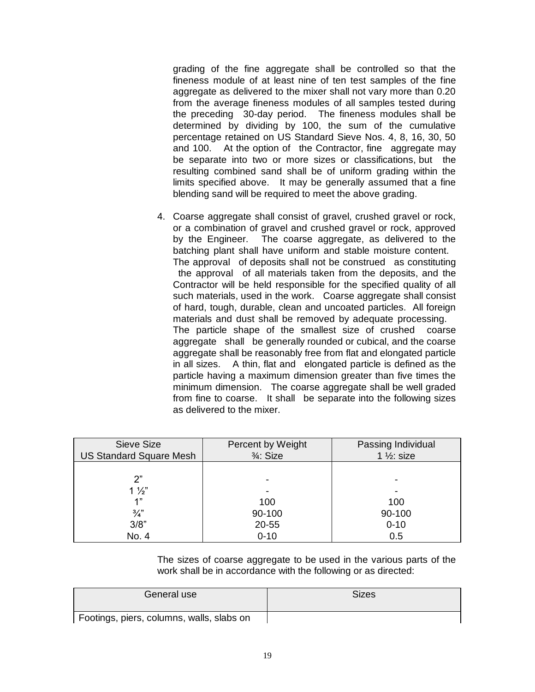grading of the fine aggregate shall be controlled so that the fineness module of at least nine of ten test samples of the fine aggregate as delivered to the mixer shall not vary more than 0.20 from the average fineness modules of all samples tested during the preceding 30-day period. The fineness modules shall be determined by dividing by 100, the sum of the cumulative percentage retained on US Standard Sieve Nos. 4, 8, 16, 30, 50 and 100. At the option of the Contractor, fine aggregate may be separate into two or more sizes or classifications, but the resulting combined sand shall be of uniform grading within the limits specified above. It may be generally assumed that a fine blending sand will be required to meet the above grading.

4. Coarse aggregate shall consist of gravel, crushed gravel or rock, or a combination of gravel and crushed gravel or rock, approved by the Engineer. The coarse aggregate, as delivered to the batching plant shall have uniform and stable moisture content. The approval of deposits shall not be construed as constituting the approval of all materials taken from the deposits, and the Contractor will be held responsible for the specified quality of all such materials, used in the work. Coarse aggregate shall consist of hard, tough, durable, clean and uncoated particles. All foreign materials and dust shall be removed by adequate processing. The particle shape of the smallest size of crushed coarse aggregate shall be generally rounded or cubical, and the coarse aggregate shall be reasonably free from flat and elongated particle in all sizes. A thin, flat and elongated particle is defined as the particle having a maximum dimension greater than five times the minimum dimension. The coarse aggregate shall be well graded from fine to coarse. It shall be separate into the following sizes as delivered to the mixer.

| Sieve Size<br><b>US Standard Square Mesh</b> | Percent by Weight<br>$\frac{3}{4}$ : Size | Passing Individual<br>1 $\frac{1}{2}$ : size |
|----------------------------------------------|-------------------------------------------|----------------------------------------------|
| ን"                                           |                                           |                                              |
| $1\frac{1}{2}$                               |                                           |                                              |
| 1"                                           | 100                                       | 100                                          |
| $\frac{3}{4}$                                | 90-100                                    | 90-100                                       |
| 3/8"                                         | 20-55                                     | $0 - 10$                                     |
| No. 4                                        | $0 - 10$                                  | 0.5                                          |

The sizes of coarse aggregate to be used in the various parts of the work shall be in accordance with the following or as directed:

| General use                               | Sizes |
|-------------------------------------------|-------|
| Footings, piers, columns, walls, slabs on |       |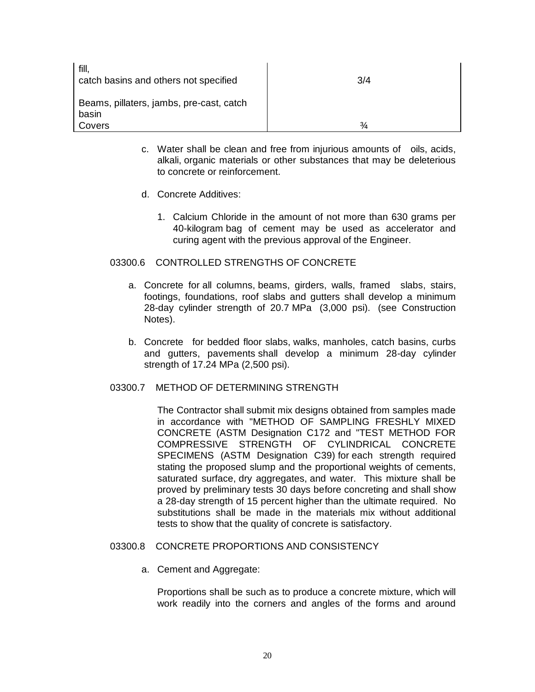| fill,<br>catch basins and others not specified    | 3/4           |
|---------------------------------------------------|---------------|
| Beams, pillaters, jambs, pre-cast, catch<br>basin |               |
| Covers                                            | $\frac{3}{4}$ |

- c. Water shall be clean and free from injurious amounts of oils, acids, alkali, organic materials or other substances that may be deleterious to concrete or reinforcement.
- d. Concrete Additives:
	- 1. Calcium Chloride in the amount of not more than 630 grams per 40-kilogram bag of cement may be used as accelerator and curing agent with the previous approval of the Engineer.

# 03300.6 CONTROLLED STRENGTHS OF CONCRETE

- a. Concrete for all columns, beams, girders, walls, framed slabs, stairs, footings, foundations, roof slabs and gutters shall develop a minimum 28-day cylinder strength of 20.7 MPa (3,000 psi). (see Construction Notes).
- b. Concrete for bedded floor slabs, walks, manholes, catch basins, curbs and gutters, pavements shall develop a minimum 28-day cylinder strength of 17.24 MPa (2,500 psi).
- 03300.7 METHOD OF DETERMINING STRENGTH

The Contractor shall submit mix designs obtained from samples made in accordance with "METHOD OF SAMPLING FRESHLY MIXED CONCRETE (ASTM Designation C172 and "TEST METHOD FOR COMPRESSIVE STRENGTH OF CYLINDRICAL CONCRETE SPECIMENS (ASTM Designation C39) for each strength required stating the proposed slump and the proportional weights of cements, saturated surface, dry aggregates, and water. This mixture shall be proved by preliminary tests 30 days before concreting and shall show a 28-day strength of 15 percent higher than the ultimate required. No substitutions shall be made in the materials mix without additional tests to show that the quality of concrete is satisfactory.

#### 03300.8 CONCRETE PROPORTIONS AND CONSISTENCY

a. Cement and Aggregate:

Proportions shall be such as to produce a concrete mixture, which will work readily into the corners and angles of the forms and around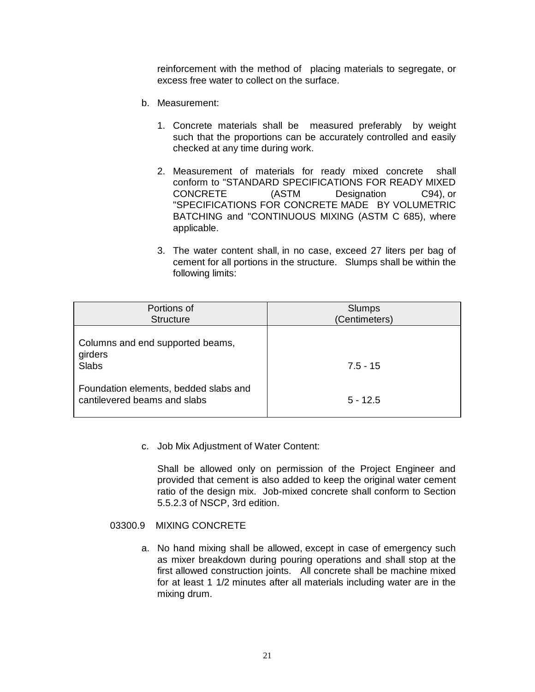reinforcement with the method of placing materials to segregate, or excess free water to collect on the surface.

- b. Measurement:
	- 1. Concrete materials shall be measured preferably by weight such that the proportions can be accurately controlled and easily checked at any time during work.
	- 2. Measurement of materials for ready mixed concrete shall conform to "STANDARD SPECIFICATIONS FOR READY MIXED CONCRETE (ASTM Designation C94), or "SPECIFICATIONS FOR CONCRETE MADE BY VOLUMETRIC BATCHING and "CONTINUOUS MIXING (ASTM C 685), where applicable.
	- 3. The water content shall, in no case, exceed 27 liters per bag of cement for all portions in the structure. Slumps shall be within the following limits:

| Portions of<br><b>Structure</b>                                       | Slumps<br>(Centimeters) |
|-----------------------------------------------------------------------|-------------------------|
| Columns and end supported beams,<br>girders                           |                         |
| <b>Slabs</b>                                                          | $7.5 - 15$              |
| Foundation elements, bedded slabs and<br>cantilevered beams and slabs | $5 - 12.5$              |

c. Job Mix Adjustment of Water Content:

Shall be allowed only on permission of the Project Engineer and provided that cement is also added to keep the original water cement ratio of the design mix. Job-mixed concrete shall conform to Section 5.5.2.3 of NSCP, 3rd edition.

## 03300.9 MIXING CONCRETE

a. No hand mixing shall be allowed, except in case of emergency such as mixer breakdown during pouring operations and shall stop at the first allowed construction joints. All concrete shall be machine mixed for at least 1 1/2 minutes after all materials including water are in the mixing drum.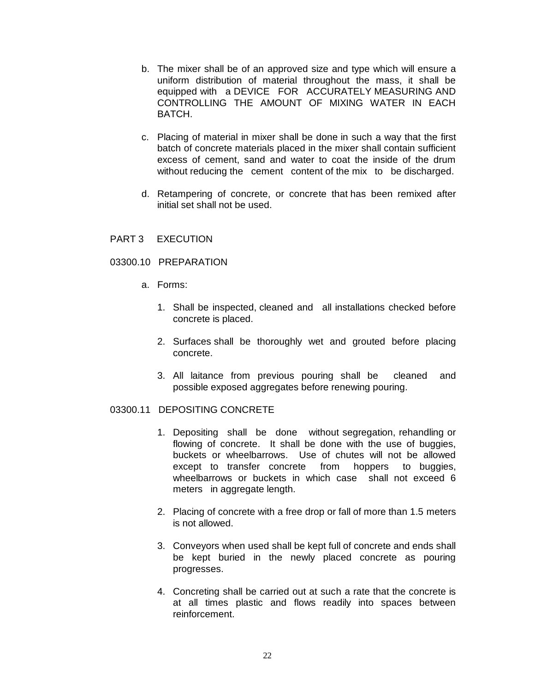- b. The mixer shall be of an approved size and type which will ensure a uniform distribution of material throughout the mass, it shall be equipped with a DEVICE FOR ACCURATELY MEASURING AND CONTROLLING THE AMOUNT OF MIXING WATER IN EACH BATCH.
- c. Placing of material in mixer shall be done in such a way that the first batch of concrete materials placed in the mixer shall contain sufficient excess of cement, sand and water to coat the inside of the drum without reducing the cement content of the mix to be discharged.
- d. Retampering of concrete, or concrete that has been remixed after initial set shall not be used.
- PART 3 EXECUTION
- 03300.10 PREPARATION
	- a. Forms:
		- 1. Shall be inspected, cleaned and all installations checked before concrete is placed.
		- 2. Surfaces shall be thoroughly wet and grouted before placing concrete.
		- 3. All laitance from previous pouring shall be cleaned and possible exposed aggregates before renewing pouring.

# 03300.11 DEPOSITING CONCRETE

- 1. Depositing shall be done without segregation, rehandling or flowing of concrete. It shall be done with the use of buggies, buckets or wheelbarrows. Use of chutes will not be allowed except to transfer concrete from hoppers to buggies, wheelbarrows or buckets in which case shall not exceed 6 meters in aggregate length.
- 2. Placing of concrete with a free drop or fall of more than 1.5 meters is not allowed.
- 3. Conveyors when used shall be kept full of concrete and ends shall be kept buried in the newly placed concrete as pouring progresses.
- 4. Concreting shall be carried out at such a rate that the concrete is at all times plastic and flows readily into spaces between reinforcement.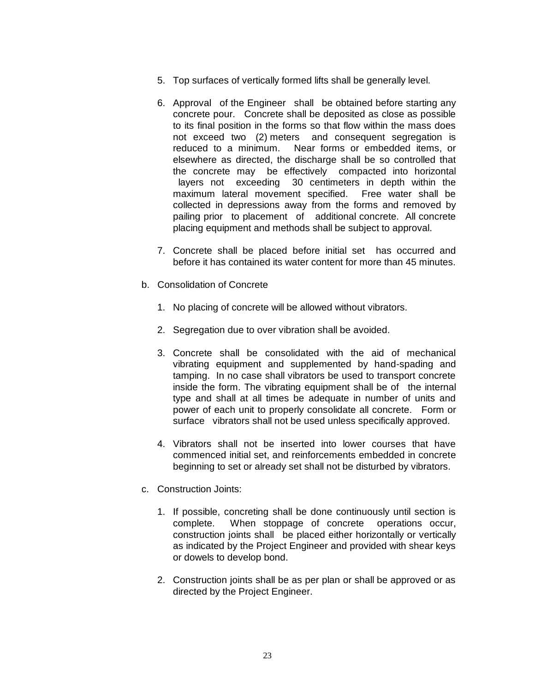- 5. Top surfaces of vertically formed lifts shall be generally level.
- 6. Approval of the Engineer shall be obtained before starting any concrete pour. Concrete shall be deposited as close as possible to its final position in the forms so that flow within the mass does not exceed two (2) meters and consequent segregation is reduced to a minimum. Near forms or embedded items, or elsewhere as directed, the discharge shall be so controlled that the concrete may be effectively compacted into horizontal layers not exceeding 30 centimeters in depth within the maximum lateral movement specified. Free water shall be collected in depressions away from the forms and removed by pailing prior to placement of additional concrete. All concrete placing equipment and methods shall be subject to approval.
- 7. Concrete shall be placed before initial set has occurred and before it has contained its water content for more than 45 minutes.
- b. Consolidation of Concrete
	- 1. No placing of concrete will be allowed without vibrators.
	- 2. Segregation due to over vibration shall be avoided.
	- 3. Concrete shall be consolidated with the aid of mechanical vibrating equipment and supplemented by hand-spading and tamping. In no case shall vibrators be used to transport concrete inside the form. The vibrating equipment shall be of the internal type and shall at all times be adequate in number of units and power of each unit to properly consolidate all concrete. Form or surface vibrators shall not be used unless specifically approved.
	- 4. Vibrators shall not be inserted into lower courses that have commenced initial set, and reinforcements embedded in concrete beginning to set or already set shall not be disturbed by vibrators.
- c. Construction Joints:
	- 1. If possible, concreting shall be done continuously until section is complete. When stoppage of concrete operations occur, construction joints shall be placed either horizontally or vertically as indicated by the Project Engineer and provided with shear keys or dowels to develop bond.
	- 2. Construction joints shall be as per plan or shall be approved or as directed by the Project Engineer.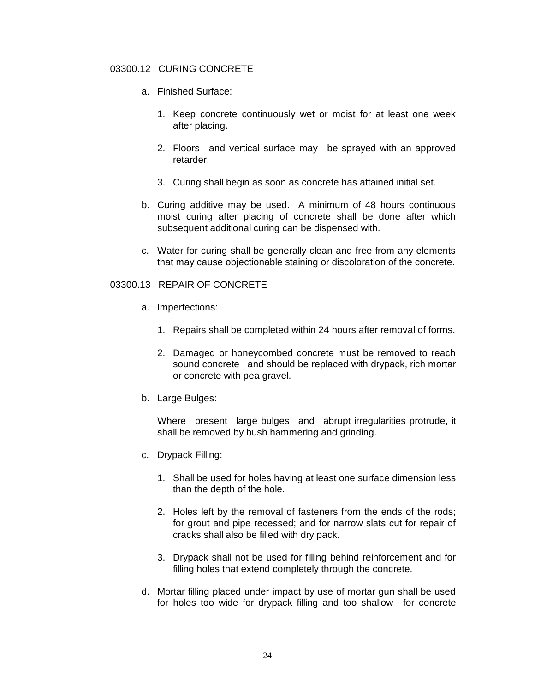## 03300.12 CURING CONCRETE

- a. Finished Surface:
	- 1. Keep concrete continuously wet or moist for at least one week after placing.
	- 2. Floors and vertical surface may be sprayed with an approved retarder.
	- 3. Curing shall begin as soon as concrete has attained initial set.
- b. Curing additive may be used. A minimum of 48 hours continuous moist curing after placing of concrete shall be done after which subsequent additional curing can be dispensed with.
- c. Water for curing shall be generally clean and free from any elements that may cause objectionable staining or discoloration of the concrete.

### 03300.13 REPAIR OF CONCRETE

- a. Imperfections:
	- 1. Repairs shall be completed within 24 hours after removal of forms.
	- 2. Damaged or honeycombed concrete must be removed to reach sound concrete and should be replaced with drypack, rich mortar or concrete with pea gravel.
- b. Large Bulges:

Where present large bulges and abrupt irregularities protrude, it shall be removed by bush hammering and grinding.

- c. Drypack Filling:
	- 1. Shall be used for holes having at least one surface dimension less than the depth of the hole.
	- 2. Holes left by the removal of fasteners from the ends of the rods; for grout and pipe recessed; and for narrow slats cut for repair of cracks shall also be filled with dry pack.
	- 3. Drypack shall not be used for filling behind reinforcement and for filling holes that extend completely through the concrete.
- d. Mortar filling placed under impact by use of mortar gun shall be used for holes too wide for drypack filling and too shallow for concrete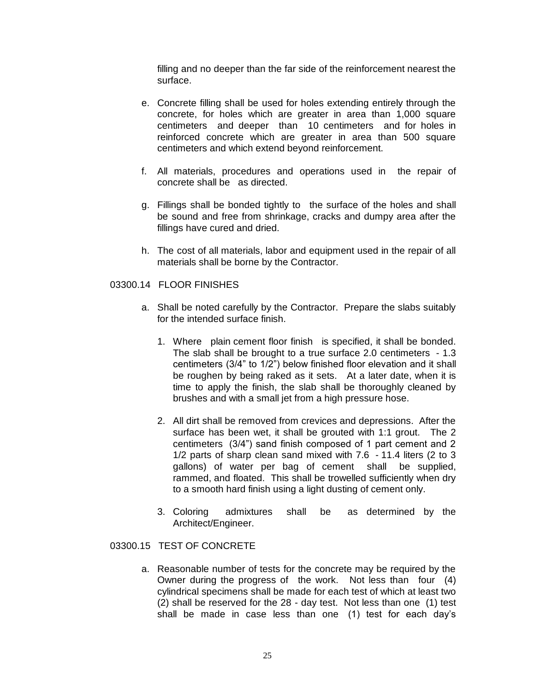filling and no deeper than the far side of the reinforcement nearest the surface.

- e. Concrete filling shall be used for holes extending entirely through the concrete, for holes which are greater in area than 1,000 square centimeters and deeper than 10 centimeters and for holes in reinforced concrete which are greater in area than 500 square centimeters and which extend beyond reinforcement.
- f. All materials, procedures and operations used in the repair of concrete shall be as directed.
- g. Fillings shall be bonded tightly to the surface of the holes and shall be sound and free from shrinkage, cracks and dumpy area after the fillings have cured and dried.
- h. The cost of all materials, labor and equipment used in the repair of all materials shall be borne by the Contractor.

### 03300.14 FLOOR FINISHES

- a. Shall be noted carefully by the Contractor. Prepare the slabs suitably for the intended surface finish.
	- 1. Where plain cement floor finish is specified, it shall be bonded. The slab shall be brought to a true surface 2.0 centimeters - 1.3 centimeters (3/4" to 1/2") below finished floor elevation and it shall be roughen by being raked as it sets. At a later date, when it is time to apply the finish, the slab shall be thoroughly cleaned by brushes and with a small jet from a high pressure hose.
	- 2. All dirt shall be removed from crevices and depressions. After the surface has been wet, it shall be grouted with 1:1 grout. The 2 centimeters (3/4") sand finish composed of 1 part cement and 2 1/2 parts of sharp clean sand mixed with 7.6 - 11.4 liters (2 to 3 gallons) of water per bag of cement shall be supplied, rammed, and floated. This shall be trowelled sufficiently when dry to a smooth hard finish using a light dusting of cement only.
	- 3. Coloring admixtures shall be as determined by the Architect/Engineer.

### 03300.15 TEST OF CONCRETE

a. Reasonable number of tests for the concrete may be required by the Owner during the progress of the work. Not less than four (4) cylindrical specimens shall be made for each test of which at least two (2) shall be reserved for the 28 - day test. Not less than one (1) test shall be made in case less than one (1) test for each day's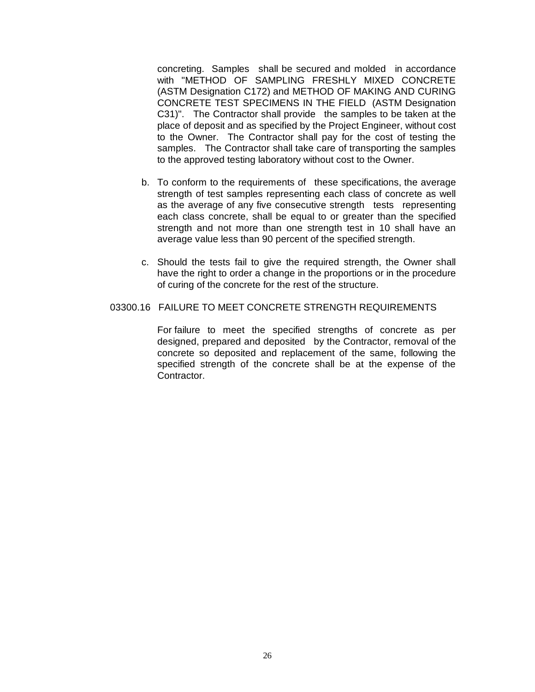concreting. Samples shall be secured and molded in accordance with "METHOD OF SAMPLING FRESHLY MIXED CONCRETE (ASTM Designation C172) and METHOD OF MAKING AND CURING CONCRETE TEST SPECIMENS IN THE FIELD (ASTM Designation C31)". The Contractor shall provide the samples to be taken at the place of deposit and as specified by the Project Engineer, without cost to the Owner. The Contractor shall pay for the cost of testing the samples. The Contractor shall take care of transporting the samples to the approved testing laboratory without cost to the Owner.

- b. To conform to the requirements of these specifications, the average strength of test samples representing each class of concrete as well as the average of any five consecutive strength tests representing each class concrete, shall be equal to or greater than the specified strength and not more than one strength test in 10 shall have an average value less than 90 percent of the specified strength.
- c. Should the tests fail to give the required strength, the Owner shall have the right to order a change in the proportions or in the procedure of curing of the concrete for the rest of the structure.

#### 03300.16 FAILURE TO MEET CONCRETE STRENGTH REQUIREMENTS

For failure to meet the specified strengths of concrete as per designed, prepared and deposited by the Contractor, removal of the concrete so deposited and replacement of the same, following the specified strength of the concrete shall be at the expense of the Contractor.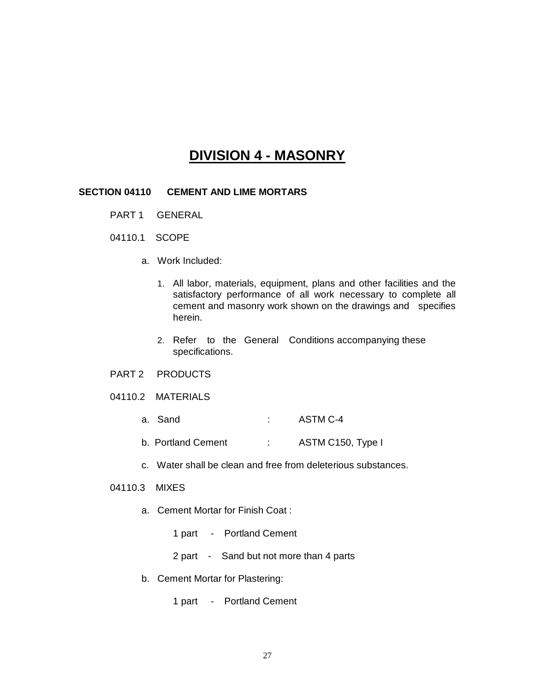# **DIVISION 4 - MASONRY**

#### **SECTION 04110 CEMENT AND LIME MORTARS**

- PART 1 GENERAL
- 04110.1 SCOPE
	- a. Work Included:
		- 1. All labor, materials, equipment, plans and other facilities and the satisfactory performance of all work necessary to complete all cement and masonry work shown on the drawings and specifies herein.
		- 2. Refer to the General Conditions accompanying these specifications.
- PART 2 PRODUCTS
- 04110.2 MATERIALS
	- a. Sand : ASTM C-4
	- b. Portland Cement : ASTM C150, Type I
	- c. Water shall be clean and free from deleterious substances.

#### 04110.3 MIXES

- a. Cement Mortar for Finish Coat :
	- 1 part Portland Cement
	- 2 part Sand but not more than 4 parts
- b. Cement Mortar for Plastering:
	- 1 part Portland Cement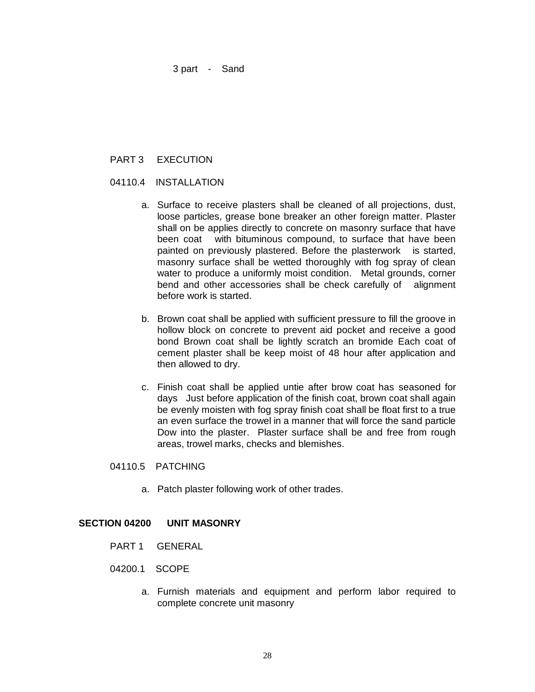3 part - Sand

# PART 3 EXECUTION

#### 04110.4 INSTALLATION

- a. Surface to receive plasters shall be cleaned of all projections, dust, loose particles, grease bone breaker an other foreign matter. Plaster shall on be applies directly to concrete on masonry surface that have been coat with bituminous compound, to surface that have been painted on previously plastered. Before the plasterwork is started, masonry surface shall be wetted thoroughly with fog spray of clean water to produce a uniformly moist condition. Metal grounds, corner bend and other accessories shall be check carefully of alignment before work is started.
- b. Brown coat shall be applied with sufficient pressure to fill the groove in hollow block on concrete to prevent aid pocket and receive a good bond Brown coat shall be lightly scratch an bromide Each coat of cement plaster shall be keep moist of 48 hour after application and then allowed to dry.
- c. Finish coat shall be applied untie after brow coat has seasoned for days Just before application of the finish coat, brown coat shall again be evenly moisten with fog spray finish coat shall be float first to a true an even surface the trowel in a manner that will force the sand particle Dow into the plaster. Plaster surface shall be and free from rough areas, trowel marks, checks and blemishes.
- 04110.5 PATCHING
	- a. Patch plaster following work of other trades.

#### **SECTION 04200 UNIT MASONRY**

- PART 1 GENERAL
- 04200.1 SCOPE
	- a. Furnish materials and equipment and perform labor required to complete concrete unit masonry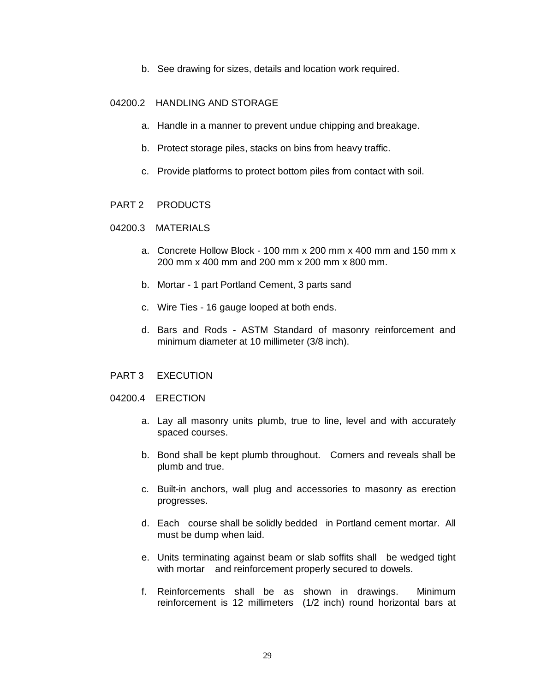b. See drawing for sizes, details and location work required.

# 04200.2 HANDLING AND STORAGE

- a. Handle in a manner to prevent undue chipping and breakage.
- b. Protect storage piles, stacks on bins from heavy traffic.
- c. Provide platforms to protect bottom piles from contact with soil.

#### PART 2 PRODUCTS

### 04200.3 MATERIALS

- a. Concrete Hollow Block 100 mm x 200 mm x 400 mm and 150 mm x 200 mm x 400 mm and 200 mm x 200 mm x 800 mm.
- b. Mortar 1 part Portland Cement, 3 parts sand
- c. Wire Ties 16 gauge looped at both ends.
- d. Bars and Rods ASTM Standard of masonry reinforcement and minimum diameter at 10 millimeter (3/8 inch).
- PART 3 EXECUTION
- 04200.4 ERECTION
	- a. Lay all masonry units plumb, true to line, level and with accurately spaced courses.
	- b. Bond shall be kept plumb throughout. Corners and reveals shall be plumb and true.
	- c. Built-in anchors, wall plug and accessories to masonry as erection progresses.
	- d. Each course shall be solidly bedded in Portland cement mortar. All must be dump when laid.
	- e. Units terminating against beam or slab soffits shall be wedged tight with mortar and reinforcement properly secured to dowels.
	- f. Reinforcements shall be as shown in drawings. Minimum reinforcement is 12 millimeters (1/2 inch) round horizontal bars at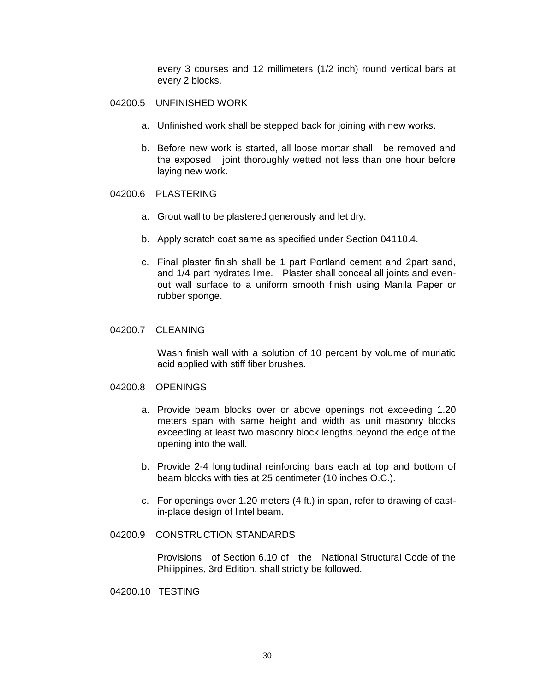every 3 courses and 12 millimeters (1/2 inch) round vertical bars at every 2 blocks.

#### 04200.5 UNFINISHED WORK

- a. Unfinished work shall be stepped back for joining with new works.
- b. Before new work is started, all loose mortar shall be removed and the exposed joint thoroughly wetted not less than one hour before laying new work.

### 04200.6 PLASTERING

- a. Grout wall to be plastered generously and let dry.
- b. Apply scratch coat same as specified under Section 04110.4.
- c. Final plaster finish shall be 1 part Portland cement and 2part sand, and 1/4 part hydrates lime. Plaster shall conceal all joints and evenout wall surface to a uniform smooth finish using Manila Paper or rubber sponge.

### 04200.7 CLEANING

Wash finish wall with a solution of 10 percent by volume of muriatic acid applied with stiff fiber brushes.

#### 04200.8 OPENINGS

- a. Provide beam blocks over or above openings not exceeding 1.20 meters span with same height and width as unit masonry blocks exceeding at least two masonry block lengths beyond the edge of the opening into the wall.
- b. Provide 2-4 longitudinal reinforcing bars each at top and bottom of beam blocks with ties at 25 centimeter (10 inches O.C.).
- c. For openings over 1.20 meters (4 ft.) in span, refer to drawing of castin-place design of lintel beam.

### 04200.9 CONSTRUCTION STANDARDS

Provisions of Section 6.10 of the National Structural Code of the Philippines, 3rd Edition, shall strictly be followed.

04200.10 TESTING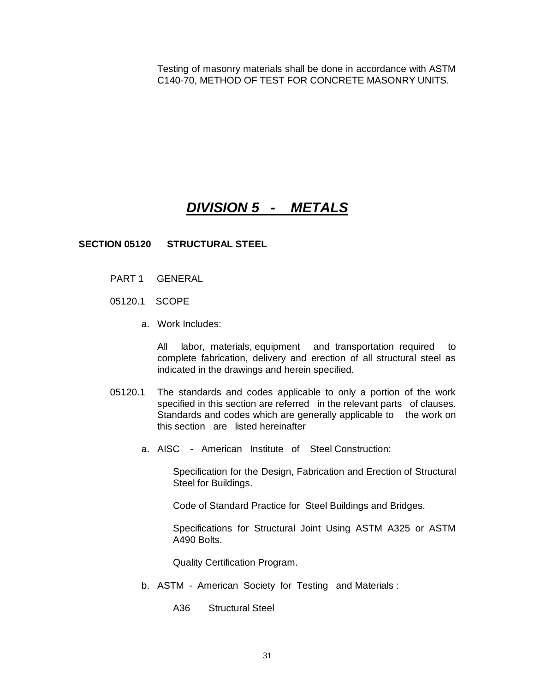Testing of masonry materials shall be done in accordance with ASTM C140-70, METHOD OF TEST FOR CONCRETE MASONRY UNITS.

# *DIVISION 5 - METALS*

### **SECTION 05120 STRUCTURAL STEEL**

- PART 1 GENERAL
- 05120.1 SCOPE
	- a. Work Includes:

All labor, materials, equipment and transportation required to complete fabrication, delivery and erection of all structural steel as indicated in the drawings and herein specified.

- 05120.1 The standards and codes applicable to only a portion of the work specified in this section are referred in the relevant parts of clauses. Standards and codes which are generally applicable to the work on this section are listed hereinafter
	- a. AISC American Institute of Steel Construction:

Specification for the Design, Fabrication and Erection of Structural Steel for Buildings.

Code of Standard Practice for Steel Buildings and Bridges.

Specifications for Structural Joint Using ASTM A325 or ASTM A490 Bolts.

Quality Certification Program.

- b. ASTM American Society for Testing and Materials :
	- A36 Structural Steel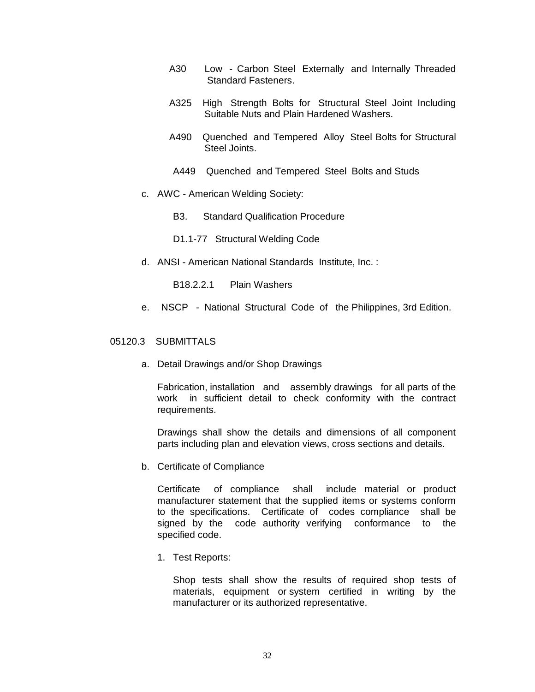- A30 Low Carbon Steel Externally and Internally Threaded Standard Fasteners.
- A325 High Strength Bolts for Structural Steel Joint Including Suitable Nuts and Plain Hardened Washers.
- A490 Quenched and Tempered Alloy Steel Bolts for Structural Steel Joints.
- A449 Quenched and Tempered Steel Bolts and Studs
- c. AWC American Welding Society:
	- B3. Standard Qualification Procedure
	- D1.1-77 Structural Welding Code
- d. ANSI American National Standards Institute, Inc. :
	- B18.2.2.1 Plain Washers
- e. NSCP National Structural Code of the Philippines, 3rd Edition.

#### 05120.3 SUBMITTALS

a. Detail Drawings and/or Shop Drawings

Fabrication, installation and assembly drawings for all parts of the work in sufficient detail to check conformity with the contract requirements.

Drawings shall show the details and dimensions of all component parts including plan and elevation views, cross sections and details.

b. Certificate of Compliance

Certificate of compliance shall include material or product manufacturer statement that the supplied items or systems conform to the specifications. Certificate of codes compliance shall be signed by the code authority verifying conformance to the specified code.

1. Test Reports:

Shop tests shall show the results of required shop tests of materials, equipment or system certified in writing by the manufacturer or its authorized representative.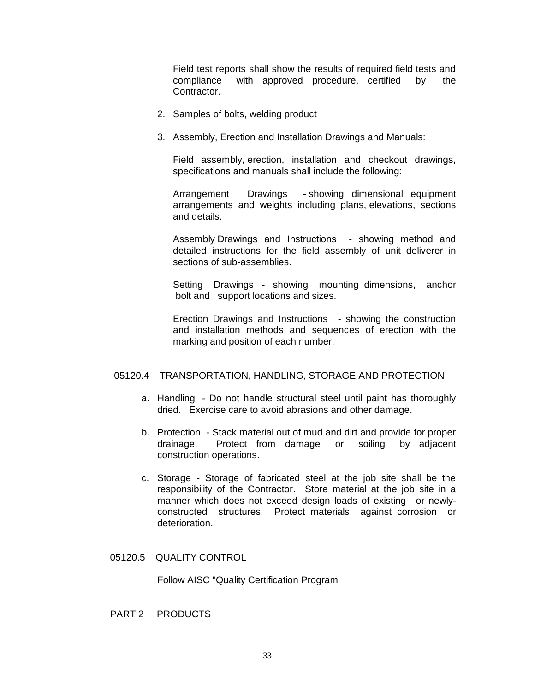Field test reports shall show the results of required field tests and compliance with approved procedure, certified by the Contractor.

- 2. Samples of bolts, welding product
- 3. Assembly, Erection and Installation Drawings and Manuals:

Field assembly, erection, installation and checkout drawings, specifications and manuals shall include the following:

Arrangement Drawings - showing dimensional equipment arrangements and weights including plans, elevations, sections and details.

Assembly Drawings and Instructions - showing method and detailed instructions for the field assembly of unit deliverer in sections of sub-assemblies.

Setting Drawings - showing mounting dimensions, anchor bolt and support locations and sizes.

Erection Drawings and Instructions - showing the construction and installation methods and sequences of erection with the marking and position of each number.

#### 05120.4 TRANSPORTATION, HANDLING, STORAGE AND PROTECTION

- a. Handling Do not handle structural steel until paint has thoroughly dried. Exercise care to avoid abrasions and other damage.
- b. Protection Stack material out of mud and dirt and provide for proper drainage. Protect from damage or soiling by adjacent construction operations.
- c. Storage Storage of fabricated steel at the job site shall be the responsibility of the Contractor. Store material at the job site in a manner which does not exceed design loads of existing or newlyconstructed structures. Protect materials against corrosion or deterioration.
- 05120.5 QUALITY CONTROL

Follow AISC "Quality Certification Program

PART 2 PRODUCTS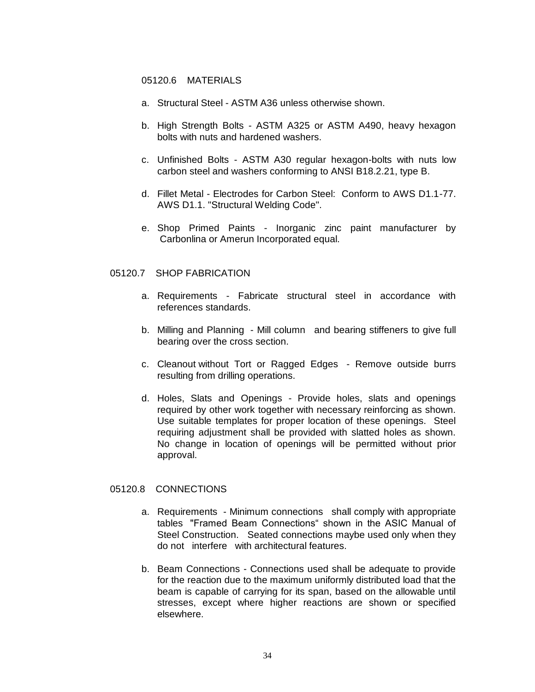#### 05120.6 MATERIALS

- a. Structural Steel ASTM A36 unless otherwise shown.
- b. High Strength Bolts ASTM A325 or ASTM A490, heavy hexagon bolts with nuts and hardened washers.
- c. Unfinished Bolts ASTM A30 regular hexagon-bolts with nuts low carbon steel and washers conforming to ANSI B18.2.21, type B.
- d. Fillet Metal Electrodes for Carbon Steel: Conform to AWS D1.1-77. AWS D1.1. "Structural Welding Code".
- e. Shop Primed Paints Inorganic zinc paint manufacturer by Carbonlina or Amerun Incorporated equal.

#### 05120.7 SHOP FABRICATION

- a. Requirements Fabricate structural steel in accordance with references standards.
- b. Milling and Planning Mill column and bearing stiffeners to give full bearing over the cross section.
- c. Cleanout without Tort or Ragged Edges Remove outside burrs resulting from drilling operations.
- d. Holes, Slats and Openings Provide holes, slats and openings required by other work together with necessary reinforcing as shown. Use suitable templates for proper location of these openings. Steel requiring adjustment shall be provided with slatted holes as shown. No change in location of openings will be permitted without prior approval.

#### 05120.8 CONNECTIONS

- a. Requirements Minimum connections shall comply with appropriate tables "Framed Beam Connections" shown in the ASIC Manual of Steel Construction. Seated connections maybe used only when they do not interfere with architectural features.
- b. Beam Connections Connections used shall be adequate to provide for the reaction due to the maximum uniformly distributed load that the beam is capable of carrying for its span, based on the allowable until stresses, except where higher reactions are shown or specified elsewhere.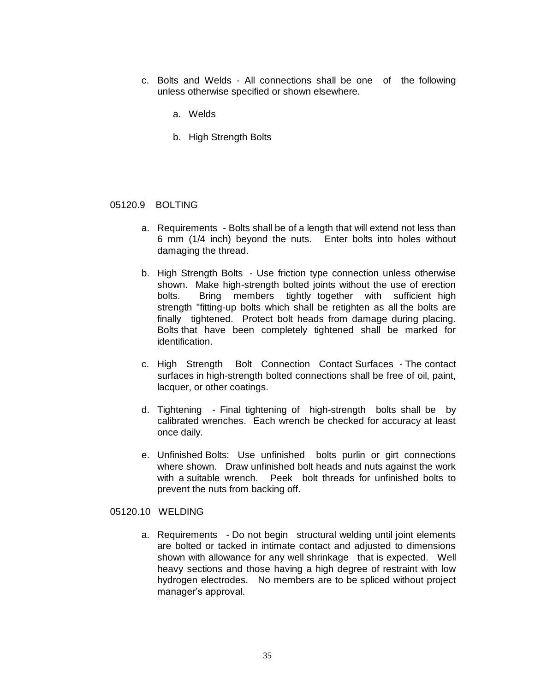- c. Bolts and Welds All connections shall be one of the following unless otherwise specified or shown elsewhere.
	- a. Welds
	- b. High Strength Bolts

#### 05120.9 BOLTING

- a. Requirements Bolts shall be of a length that will extend not less than 6 mm (1/4 inch) beyond the nuts. Enter bolts into holes without damaging the thread.
- b. High Strength Bolts Use friction type connection unless otherwise shown. Make high-strength bolted joints without the use of erection bolts. Bring members tightly together with sufficient high strength "fitting-up bolts which shall be retighten as all the bolts are finally tightened. Protect bolt heads from damage during placing. Bolts that have been completely tightened shall be marked for identification.
- c. High Strength Bolt Connection Contact Surfaces The contact surfaces in high-strength bolted connections shall be free of oil, paint, lacquer, or other coatings.
- d. Tightening Final tightening of high-strength bolts shall be by calibrated wrenches. Each wrench be checked for accuracy at least once daily.
- e. Unfinished Bolts: Use unfinished bolts purlin or girt connections where shown. Draw unfinished bolt heads and nuts against the work with a suitable wrench. Peek bolt threads for unfinished bolts to prevent the nuts from backing off.

### 05120.10 WELDING

a. Requirements - Do not begin structural welding until joint elements are bolted or tacked in intimate contact and adjusted to dimensions shown with allowance for any well shrinkage that is expected. Well heavy sections and those having a high degree of restraint with low hydrogen electrodes. No members are to be spliced without project manager's approval.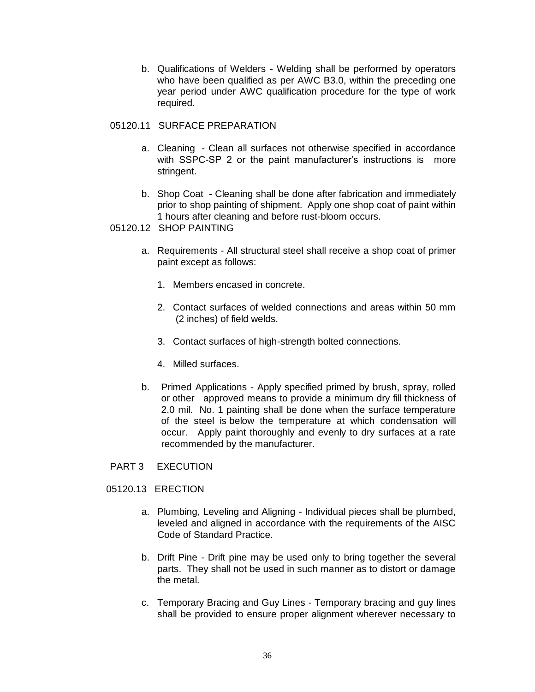b. Qualifications of Welders - Welding shall be performed by operators who have been qualified as per AWC B3.0, within the preceding one year period under AWC qualification procedure for the type of work required.

# 05120.11 SURFACE PREPARATION

- a. Cleaning Clean all surfaces not otherwise specified in accordance with SSPC-SP 2 or the paint manufacturer's instructions is more stringent.
- b. Shop Coat Cleaning shall be done after fabrication and immediately prior to shop painting of shipment. Apply one shop coat of paint within 1 hours after cleaning and before rust-bloom occurs.
- 05120.12 SHOP PAINTING
	- a. Requirements All structural steel shall receive a shop coat of primer paint except as follows:
		- 1. Members encased in concrete.
		- 2. Contact surfaces of welded connections and areas within 50 mm (2 inches) of field welds.
		- 3. Contact surfaces of high-strength bolted connections.
		- 4. Milled surfaces.
	- b. Primed Applications Apply specified primed by brush, spray, rolled or other approved means to provide a minimum dry fill thickness of 2.0 mil. No. 1 painting shall be done when the surface temperature of the steel is below the temperature at which condensation will occur. Apply paint thoroughly and evenly to dry surfaces at a rate recommended by the manufacturer.
- PART 3 EXECUTION
- 05120.13 ERECTION
	- a. Plumbing, Leveling and Aligning Individual pieces shall be plumbed, leveled and aligned in accordance with the requirements of the AISC Code of Standard Practice.
	- b. Drift Pine Drift pine may be used only to bring together the several parts. They shall not be used in such manner as to distort or damage the metal.
	- c. Temporary Bracing and Guy Lines Temporary bracing and guy lines shall be provided to ensure proper alignment wherever necessary to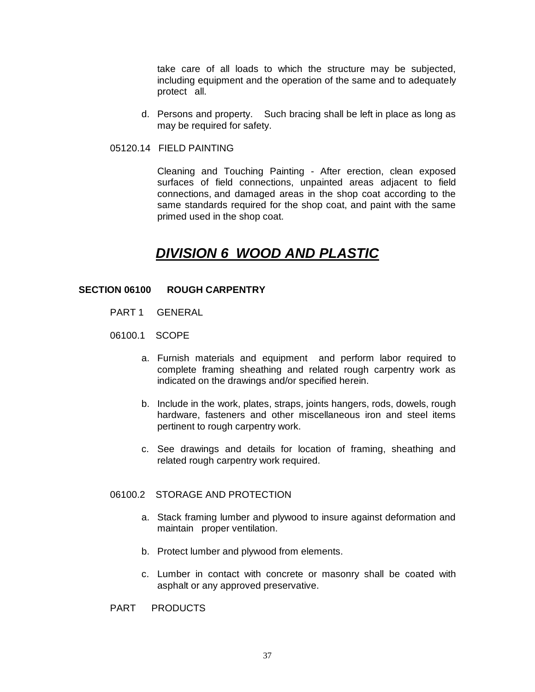take care of all loads to which the structure may be subjected, including equipment and the operation of the same and to adequately protect all.

- d. Persons and property. Such bracing shall be left in place as long as may be required for safety.
- 05120.14 FIELD PAINTING

Cleaning and Touching Painting - After erection, clean exposed surfaces of field connections, unpainted areas adjacent to field connections, and damaged areas in the shop coat according to the same standards required for the shop coat, and paint with the same primed used in the shop coat.

# *DIVISION 6 WOOD AND PLASTIC*

## **SECTION 06100 ROUGH CARPENTRY**

- PART 1 GENERAL
- 06100.1 SCOPE
	- a. Furnish materials and equipment and perform labor required to complete framing sheathing and related rough carpentry work as indicated on the drawings and/or specified herein.
	- b. Include in the work, plates, straps, joints hangers, rods, dowels, rough hardware, fasteners and other miscellaneous iron and steel items pertinent to rough carpentry work.
	- c. See drawings and details for location of framing, sheathing and related rough carpentry work required.

## 06100.2 STORAGE AND PROTECTION

- a. Stack framing lumber and plywood to insure against deformation and maintain proper ventilation.
- b. Protect lumber and plywood from elements.
- c. Lumber in contact with concrete or masonry shall be coated with asphalt or any approved preservative.
- PART PRODUCTS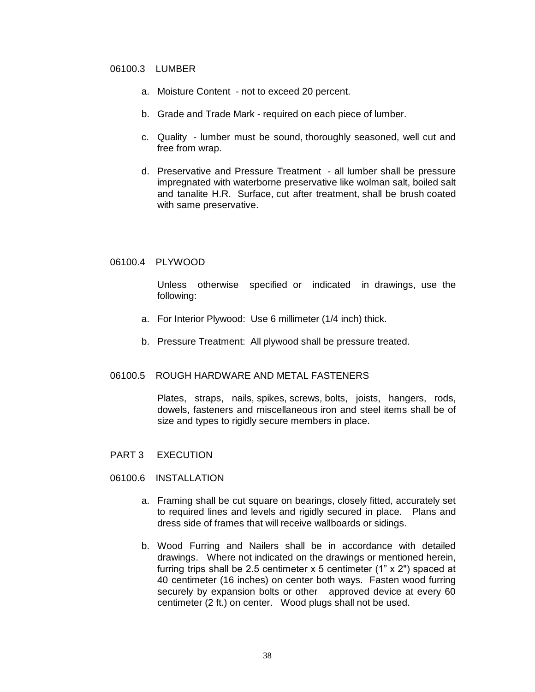## 06100.3 LUMBER

- a. Moisture Content not to exceed 20 percent.
- b. Grade and Trade Mark required on each piece of lumber.
- c. Quality lumber must be sound, thoroughly seasoned, well cut and free from wrap.
- d. Preservative and Pressure Treatment all lumber shall be pressure impregnated with waterborne preservative like wolman salt, boiled salt and tanalite H.R. Surface, cut after treatment, shall be brush coated with same preservative.

## 06100.4 PLYWOOD

Unless otherwise specified or indicated in drawings, use the following:

- a. For Interior Plywood: Use 6 millimeter (1/4 inch) thick.
- b. Pressure Treatment: All plywood shall be pressure treated.

## 06100.5 ROUGH HARDWARE AND METAL FASTENERS

Plates, straps, nails, spikes, screws, bolts, joists, hangers, rods, dowels, fasteners and miscellaneous iron and steel items shall be of size and types to rigidly secure members in place.

- PART 3 EXECUTION
- 06100.6 INSTALLATION
	- a. Framing shall be cut square on bearings, closely fitted, accurately set to required lines and levels and rigidly secured in place. Plans and dress side of frames that will receive wallboards or sidings.
	- b. Wood Furring and Nailers shall be in accordance with detailed drawings. Where not indicated on the drawings or mentioned herein, furring trips shall be 2.5 centimeter x 5 centimeter (1" x 2") spaced at 40 centimeter (16 inches) on center both ways. Fasten wood furring securely by expansion bolts or other approved device at every 60 centimeter (2 ft.) on center. Wood plugs shall not be used.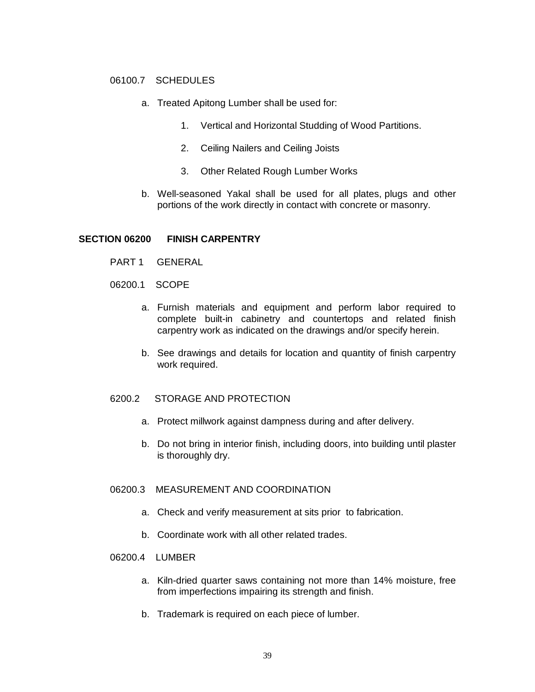## 06100.7 SCHEDULES

- a. Treated Apitong Lumber shall be used for:
	- 1. Vertical and Horizontal Studding of Wood Partitions.
	- 2. Ceiling Nailers and Ceiling Joists
	- 3. Other Related Rough Lumber Works
- b. Well-seasoned Yakal shall be used for all plates, plugs and other portions of the work directly in contact with concrete or masonry.

#### **SECTION 06200 FINISH CARPENTRY**

- PART 1 GENERAL
- 06200.1 SCOPE
	- a. Furnish materials and equipment and perform labor required to complete built-in cabinetry and countertops and related finish carpentry work as indicated on the drawings and/or specify herein.
	- b. See drawings and details for location and quantity of finish carpentry work required.

### 6200.2 STORAGE AND PROTECTION

- a. Protect millwork against dampness during and after delivery.
- b. Do not bring in interior finish, including doors, into building until plaster is thoroughly dry.

#### 06200.3 MEASUREMENT AND COORDINATION

- a. Check and verify measurement at sits prior to fabrication.
- b. Coordinate work with all other related trades.

## 06200.4 LUMBER

- a. Kiln-dried quarter saws containing not more than 14% moisture, free from imperfections impairing its strength and finish.
- b. Trademark is required on each piece of lumber.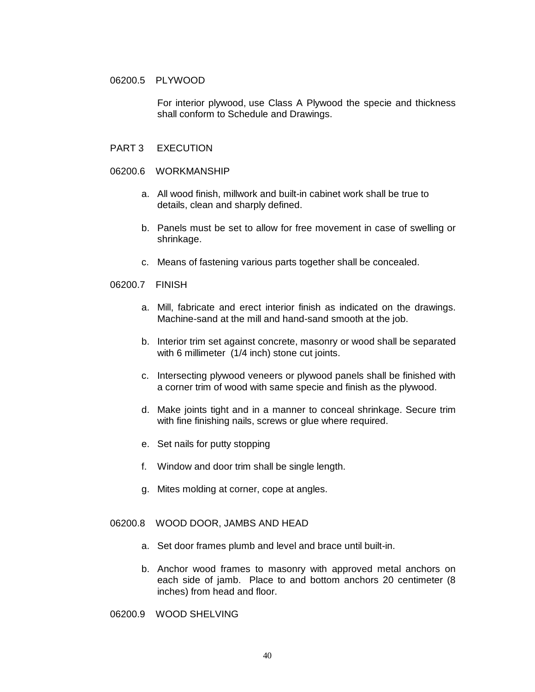## 06200.5 PLYWOOD

For interior plywood, use Class A Plywood the specie and thickness shall conform to Schedule and Drawings.

## PART 3 EXECUTION

#### 06200.6 WORKMANSHIP

- a. All wood finish, millwork and built-in cabinet work shall be true to details, clean and sharply defined.
- b. Panels must be set to allow for free movement in case of swelling or shrinkage.
- c. Means of fastening various parts together shall be concealed.

#### 06200.7 FINISH

- a. Mill, fabricate and erect interior finish as indicated on the drawings. Machine-sand at the mill and hand-sand smooth at the job.
- b. Interior trim set against concrete, masonry or wood shall be separated with 6 millimeter (1/4 inch) stone cut joints.
- c. Intersecting plywood veneers or plywood panels shall be finished with a corner trim of wood with same specie and finish as the plywood.
- d. Make joints tight and in a manner to conceal shrinkage. Secure trim with fine finishing nails, screws or glue where required.
- e. Set nails for putty stopping
- f. Window and door trim shall be single length.
- g. Mites molding at corner, cope at angles.

## 06200.8 WOOD DOOR, JAMBS AND HEAD

- a. Set door frames plumb and level and brace until built-in.
- b. Anchor wood frames to masonry with approved metal anchors on each side of jamb. Place to and bottom anchors 20 centimeter (8 inches) from head and floor.
- 06200.9 WOOD SHELVING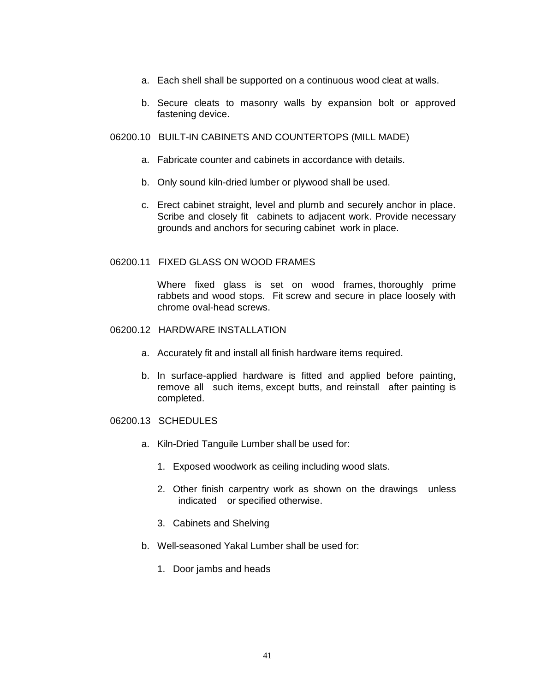- a. Each shell shall be supported on a continuous wood cleat at walls.
- b. Secure cleats to masonry walls by expansion bolt or approved fastening device.

## 06200.10 BUILT-IN CABINETS AND COUNTERTOPS (MILL MADE)

- a. Fabricate counter and cabinets in accordance with details.
- b. Only sound kiln-dried lumber or plywood shall be used.
- c. Erect cabinet straight, level and plumb and securely anchor in place. Scribe and closely fit cabinets to adjacent work. Provide necessary grounds and anchors for securing cabinet work in place.

## 06200.11 FIXED GLASS ON WOOD FRAMES

Where fixed glass is set on wood frames, thoroughly prime rabbets and wood stops. Fit screw and secure in place loosely with chrome oval-head screws.

- 06200.12 HARDWARE INSTALLATION
	- a. Accurately fit and install all finish hardware items required.
	- b. In surface-applied hardware is fitted and applied before painting, remove all such items, except butts, and reinstall after painting is completed.

### 06200.13 SCHEDULES

- a. Kiln-Dried Tanguile Lumber shall be used for:
	- 1. Exposed woodwork as ceiling including wood slats.
	- 2. Other finish carpentry work as shown on the drawings unless indicated or specified otherwise.
	- 3. Cabinets and Shelving
- b. Well-seasoned Yakal Lumber shall be used for:
	- 1. Door jambs and heads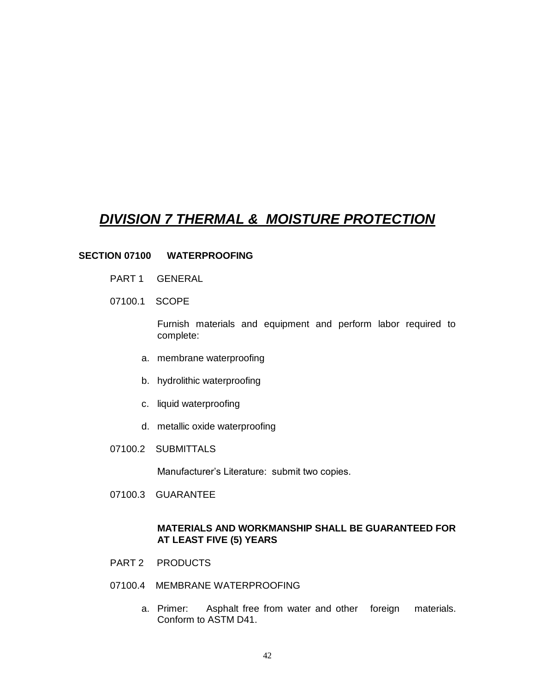# *DIVISION 7 THERMAL & MOISTURE PROTECTION*

## **SECTION 07100 WATERPROOFING**

- PART 1 GENERAL
- 07100.1 SCOPE

Furnish materials and equipment and perform labor required to complete:

- a. membrane waterproofing
- b. hydrolithic waterproofing
- c. liquid waterproofing
- d. metallic oxide waterproofing
- 07100.2 SUBMITTALS

Manufacturer's Literature: submit two copies.

07100.3 GUARANTEE

## **MATERIALS AND WORKMANSHIP SHALL BE GUARANTEED FOR AT LEAST FIVE (5) YEARS**

- PART 2 PRODUCTS
- 07100.4 MEMBRANE WATERPROOFING
	- a. Primer: Asphalt free from water and other foreign materials. Conform to ASTM D41.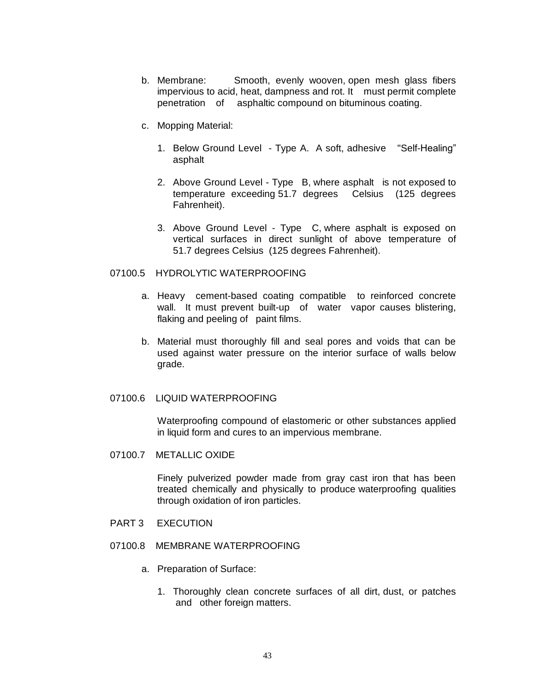- b. Membrane: Smooth, evenly wooven, open mesh glass fibers impervious to acid, heat, dampness and rot. It must permit complete penetration of asphaltic compound on bituminous coating.
- c. Mopping Material:
	- 1. Below Ground Level Type A. A soft, adhesive "Self-Healing" asphalt
	- 2. Above Ground Level Type B, where asphalt is not exposed to temperature exceeding 51.7 degrees Celsius (125 degrees Fahrenheit).
	- 3. Above Ground Level Type C, where asphalt is exposed on vertical surfaces in direct sunlight of above temperature of 51.7 degrees Celsius (125 degrees Fahrenheit).

## 07100.5 HYDROLYTIC WATERPROOFING

- a. Heavy cement-based coating compatible to reinforced concrete wall. It must prevent built-up of water vapor causes blistering, flaking and peeling of paint films.
- b. Material must thoroughly fill and seal pores and voids that can be used against water pressure on the interior surface of walls below grade.

## 07100.6 LIQUID WATERPROOFING

Waterproofing compound of elastomeric or other substances applied in liquid form and cures to an impervious membrane.

07100.7 METALLIC OXIDE

Finely pulverized powder made from gray cast iron that has been treated chemically and physically to produce waterproofing qualities through oxidation of iron particles.

- PART 3 EXECUTION
- 07100.8 MEMBRANE WATERPROOFING
	- a. Preparation of Surface:
		- 1. Thoroughly clean concrete surfaces of all dirt, dust, or patches and other foreign matters.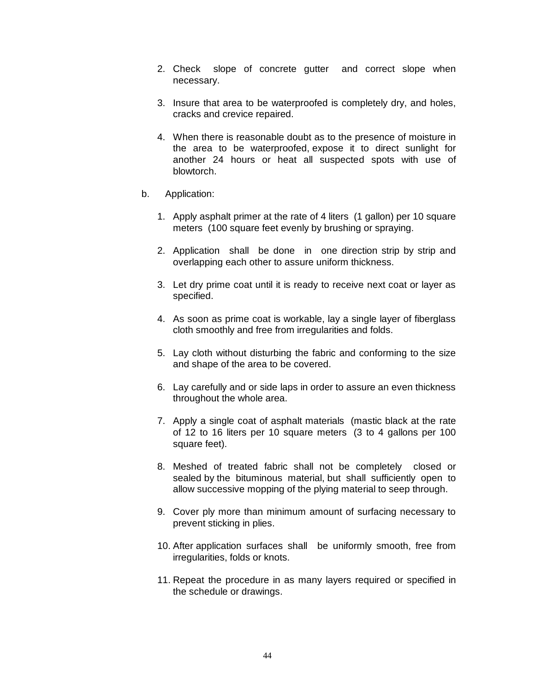- 2. Check slope of concrete gutter and correct slope when necessary.
- 3. Insure that area to be waterproofed is completely dry, and holes, cracks and crevice repaired.
- 4. When there is reasonable doubt as to the presence of moisture in the area to be waterproofed, expose it to direct sunlight for another 24 hours or heat all suspected spots with use of blowtorch.
- b. Application:
	- 1. Apply asphalt primer at the rate of 4 liters (1 gallon) per 10 square meters (100 square feet evenly by brushing or spraying.
	- 2. Application shall be done in one direction strip by strip and overlapping each other to assure uniform thickness.
	- 3. Let dry prime coat until it is ready to receive next coat or layer as specified.
	- 4. As soon as prime coat is workable, lay a single layer of fiberglass cloth smoothly and free from irregularities and folds.
	- 5. Lay cloth without disturbing the fabric and conforming to the size and shape of the area to be covered.
	- 6. Lay carefully and or side laps in order to assure an even thickness throughout the whole area.
	- 7. Apply a single coat of asphalt materials (mastic black at the rate of 12 to 16 liters per 10 square meters (3 to 4 gallons per 100 square feet).
	- 8. Meshed of treated fabric shall not be completely closed or sealed by the bituminous material, but shall sufficiently open to allow successive mopping of the plying material to seep through.
	- 9. Cover ply more than minimum amount of surfacing necessary to prevent sticking in plies.
	- 10. After application surfaces shall be uniformly smooth, free from irregularities, folds or knots.
	- 11. Repeat the procedure in as many layers required or specified in the schedule or drawings.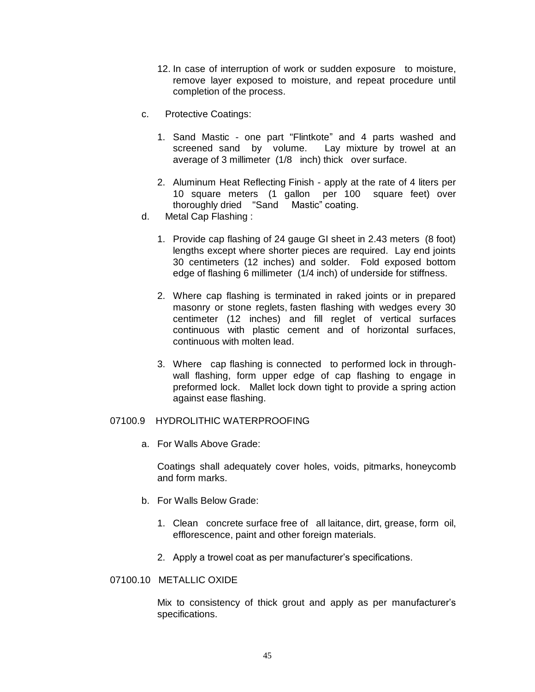- 12. In case of interruption of work or sudden exposure to moisture, remove layer exposed to moisture, and repeat procedure until completion of the process.
- c. Protective Coatings:
	- 1. Sand Mastic one part "Flintkote" and 4 parts washed and screened sand by volume. Lay mixture by trowel at an average of 3 millimeter (1/8 inch) thick over surface.
	- 2. Aluminum Heat Reflecting Finish apply at the rate of 4 liters per 10 square meters (1 gallon per 100 square feet) over thoroughly dried "Sand Mastic" coating.
- d. Metal Cap Flashing :
	- 1. Provide cap flashing of 24 gauge GI sheet in 2.43 meters (8 foot) lengths except where shorter pieces are required. Lay end joints 30 centimeters (12 inches) and solder. Fold exposed bottom edge of flashing 6 millimeter (1/4 inch) of underside for stiffness.
	- 2. Where cap flashing is terminated in raked joints or in prepared masonry or stone reglets, fasten flashing with wedges every 30 centimeter (12 inches) and fill reglet of vertical surfaces continuous with plastic cement and of horizontal surfaces, continuous with molten lead.
	- 3. Where cap flashing is connected to performed lock in throughwall flashing, form upper edge of cap flashing to engage in preformed lock. Mallet lock down tight to provide a spring action against ease flashing.

## 07100.9 HYDROLITHIC WATERPROOFING

a. For Walls Above Grade:

Coatings shall adequately cover holes, voids, pitmarks, honeycomb and form marks.

- b. For Walls Below Grade:
	- 1. Clean concrete surface free of all laitance, dirt, grease, form oil, efflorescence, paint and other foreign materials.
	- 2. Apply a trowel coat as per manufacturer's specifications.
- 07100.10 METALLIC OXIDE

Mix to consistency of thick grout and apply as per manufacturer's specifications.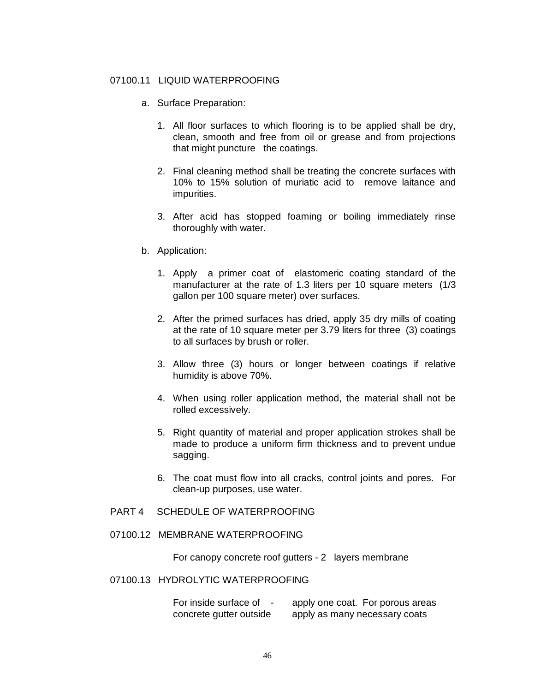### 07100.11 LIQUID WATERPROOFING

- a. Surface Preparation:
	- 1. All floor surfaces to which flooring is to be applied shall be dry, clean, smooth and free from oil or grease and from projections that might puncture the coatings.
	- 2. Final cleaning method shall be treating the concrete surfaces with 10% to 15% solution of muriatic acid to remove laitance and impurities.
	- 3. After acid has stopped foaming or boiling immediately rinse thoroughly with water.
- b. Application:
	- 1. Apply a primer coat of elastomeric coating standard of the manufacturer at the rate of 1.3 liters per 10 square meters (1/3 gallon per 100 square meter) over surfaces.
	- 2. After the primed surfaces has dried, apply 35 dry mills of coating at the rate of 10 square meter per 3.79 liters for three (3) coatings to all surfaces by brush or roller.
	- 3. Allow three (3) hours or longer between coatings if relative humidity is above 70%.
	- 4. When using roller application method, the material shall not be rolled excessively.
	- 5. Right quantity of material and proper application strokes shall be made to produce a uniform firm thickness and to prevent undue sagging.
	- 6. The coat must flow into all cracks, control joints and pores. For clean-up purposes, use water.
- PART 4 SCHEDULE OF WATERPROOFING
- 07100.12 MEMBRANE WATERPROOFING

For canopy concrete roof gutters - 2 layers membrane

## 07100.13 HYDROLYTIC WATERPROOFING

For inside surface of - apply one coat. For porous areas concrete gutter outside apply as many necessary coats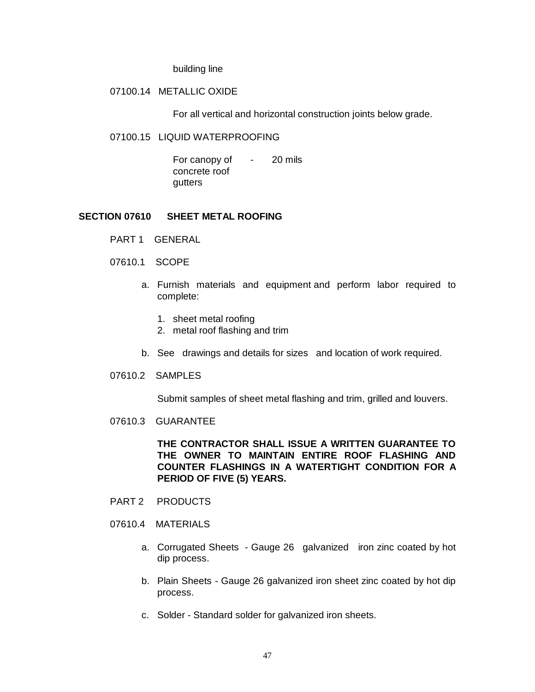building line

## 07100.14 METALLIC OXIDE

For all vertical and horizontal construction joints below grade.

#### 07100.15 LIQUID WATERPROOFING

For canopy of - 20 mils concrete roof gutters

## **SECTION 07610 SHEET METAL ROOFING**

- PART 1 GENERAL
- 07610.1 SCOPE
	- a. Furnish materials and equipment and perform labor required to complete:
		- 1. sheet metal roofing
		- 2. metal roof flashing and trim
	- b. See drawings and details for sizes and location of work required.
- 07610.2 SAMPLES

Submit samples of sheet metal flashing and trim, grilled and louvers.

07610.3 GUARANTEE

**THE CONTRACTOR SHALL ISSUE A WRITTEN GUARANTEE TO THE OWNER TO MAINTAIN ENTIRE ROOF FLASHING AND COUNTER FLASHINGS IN A WATERTIGHT CONDITION FOR A PERIOD OF FIVE (5) YEARS.**

- PART 2 PRODUCTS
- 07610.4 MATERIALS
	- a. Corrugated Sheets Gauge 26 galvanized iron zinc coated by hot dip process.
	- b. Plain Sheets Gauge 26 galvanized iron sheet zinc coated by hot dip process.
	- c. Solder Standard solder for galvanized iron sheets.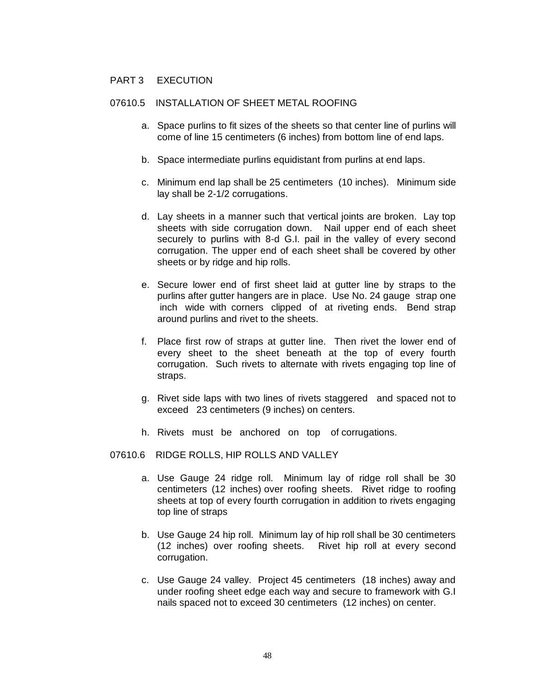## PART 3 EXECUTION

# 07610.5 INSTALLATION OF SHEET METAL ROOFING

- a. Space purlins to fit sizes of the sheets so that center line of purlins will come of line 15 centimeters (6 inches) from bottom line of end laps.
- b. Space intermediate purlins equidistant from purlins at end laps.
- c. Minimum end lap shall be 25 centimeters (10 inches). Minimum side lay shall be 2-1/2 corrugations.
- d. Lay sheets in a manner such that vertical joints are broken. Lay top sheets with side corrugation down. Nail upper end of each sheet securely to purlins with 8-d G.I. pail in the valley of every second corrugation. The upper end of each sheet shall be covered by other sheets or by ridge and hip rolls.
- e. Secure lower end of first sheet laid at gutter line by straps to the purlins after gutter hangers are in place. Use No. 24 gauge strap one inch wide with corners clipped of at riveting ends. Bend strap around purlins and rivet to the sheets.
- f. Place first row of straps at gutter line. Then rivet the lower end of every sheet to the sheet beneath at the top of every fourth corrugation. Such rivets to alternate with rivets engaging top line of straps.
- g. Rivet side laps with two lines of rivets staggered and spaced not to exceed 23 centimeters (9 inches) on centers.
- h. Rivets must be anchored on top of corrugations.
- 07610.6 RIDGE ROLLS, HIP ROLLS AND VALLEY
	- a. Use Gauge 24 ridge roll. Minimum lay of ridge roll shall be 30 centimeters (12 inches) over roofing sheets. Rivet ridge to roofing sheets at top of every fourth corrugation in addition to rivets engaging top line of straps
	- b. Use Gauge 24 hip roll. Minimum lay of hip roll shall be 30 centimeters (12 inches) over roofing sheets. Rivet hip roll at every second corrugation.
	- c. Use Gauge 24 valley. Project 45 centimeters (18 inches) away and under roofing sheet edge each way and secure to framework with G.I nails spaced not to exceed 30 centimeters (12 inches) on center.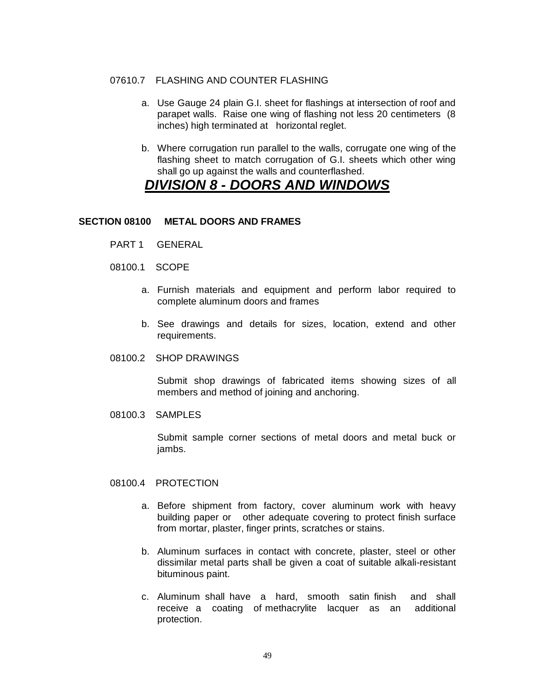## 07610.7 FLASHING AND COUNTER FLASHING

- a. Use Gauge 24 plain G.I. sheet for flashings at intersection of roof and parapet walls. Raise one wing of flashing not less 20 centimeters (8 inches) high terminated at horizontal reglet.
- b. Where corrugation run parallel to the walls, corrugate one wing of the flashing sheet to match corrugation of G.I. sheets which other wing shall go up against the walls and counterflashed.

# *DIVISION 8 - DOORS AND WINDOWS*

## **SECTION 08100 METAL DOORS AND FRAMES**

- PART 1 GENERAL
- 08100.1 SCOPE
	- a. Furnish materials and equipment and perform labor required to complete aluminum doors and frames
	- b. See drawings and details for sizes, location, extend and other requirements.
- 08100.2 SHOP DRAWINGS

Submit shop drawings of fabricated items showing sizes of all members and method of joining and anchoring.

08100.3 SAMPLES

Submit sample corner sections of metal doors and metal buck or jambs.

- 08100.4 PROTECTION
	- a. Before shipment from factory, cover aluminum work with heavy building paper or other adequate covering to protect finish surface from mortar, plaster, finger prints, scratches or stains.
	- b. Aluminum surfaces in contact with concrete, plaster, steel or other dissimilar metal parts shall be given a coat of suitable alkali-resistant bituminous paint.
	- c. Aluminum shall have a hard, smooth satin finish and shall receive a coating of methacrylite lacquer as an additional protection.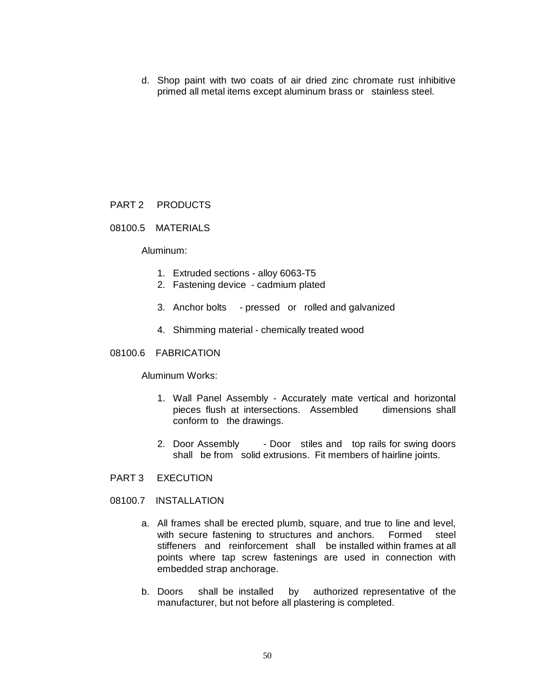d. Shop paint with two coats of air dried zinc chromate rust inhibitive primed all metal items except aluminum brass or stainless steel.

## PART 2 PRODUCTS

## 08100.5 MATERIALS

## Aluminum:

- 1. Extruded sections alloy 6063-T5
- 2. Fastening device cadmium plated
- 3. Anchor bolts pressed or rolled and galvanized
- 4. Shimming material chemically treated wood

## 08100.6 FABRICATION

Aluminum Works:

- 1. Wall Panel Assembly Accurately mate vertical and horizontal pieces flush at intersections. Assembled dimensions shall conform to the drawings.
- 2. Door Assembly Door stiles and top rails for swing doors shall be from solid extrusions. Fit members of hairline joints.
- PART 3 EXECUTION
- 08100.7 INSTALLATION
	- a. All frames shall be erected plumb, square, and true to line and level, with secure fastening to structures and anchors. Formed steel stiffeners and reinforcement shall be installed within frames at all points where tap screw fastenings are used in connection with embedded strap anchorage.
	- b. Doors shall be installed by authorized representative of the manufacturer, but not before all plastering is completed.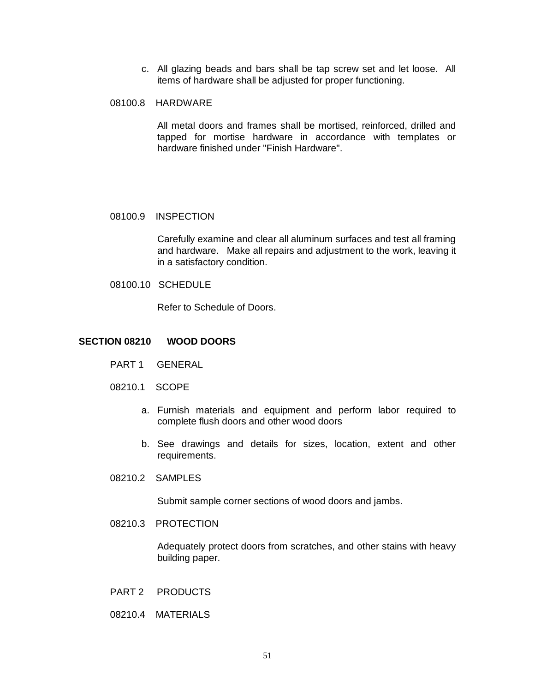c. All glazing beads and bars shall be tap screw set and let loose. All items of hardware shall be adjusted for proper functioning.

## 08100.8 HARDWARE

All metal doors and frames shall be mortised, reinforced, drilled and tapped for mortise hardware in accordance with templates or hardware finished under "Finish Hardware".

## 08100.9 INSPECTION

Carefully examine and clear all aluminum surfaces and test all framing and hardware. Make all repairs and adjustment to the work, leaving it in a satisfactory condition.

08100.10 SCHEDULE

Refer to Schedule of Doors.

## **SECTION 08210 WOOD DOORS**

- PART 1 GENERAL
- 08210.1 SCOPE
	- a. Furnish materials and equipment and perform labor required to complete flush doors and other wood doors
	- b. See drawings and details for sizes, location, extent and other requirements.
- 08210.2 SAMPLES

Submit sample corner sections of wood doors and jambs.

08210.3 PROTECTION

Adequately protect doors from scratches, and other stains with heavy building paper.

- PART 2 PRODUCTS
- 08210.4 MATERIALS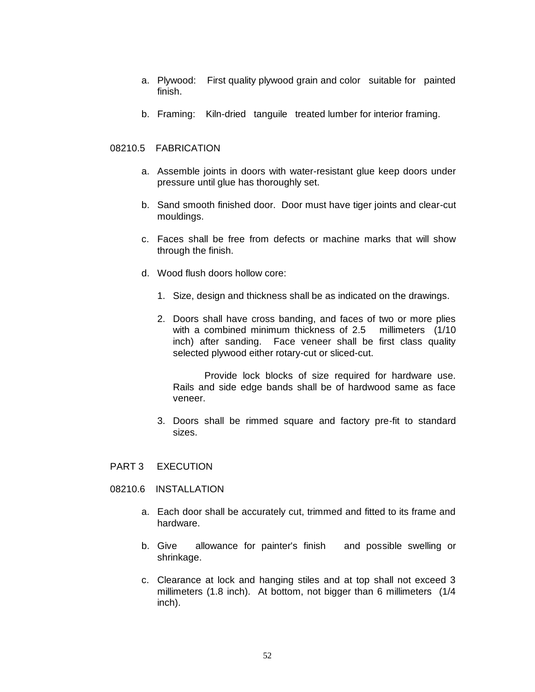- a. Plywood: First quality plywood grain and color suitable for painted finish.
- b. Framing: Kiln-dried tanguile treated lumber for interior framing.

## 08210.5 FABRICATION

- a. Assemble joints in doors with water-resistant glue keep doors under pressure until glue has thoroughly set.
- b. Sand smooth finished door. Door must have tiger joints and clear-cut mouldings.
- c. Faces shall be free from defects or machine marks that will show through the finish.
- d. Wood flush doors hollow core:
	- 1. Size, design and thickness shall be as indicated on the drawings.
	- 2. Doors shall have cross banding, and faces of two or more plies with a combined minimum thickness of 2.5 millimeters (1/10) inch) after sanding. Face veneer shall be first class quality selected plywood either rotary-cut or sliced-cut.

Provide lock blocks of size required for hardware use. Rails and side edge bands shall be of hardwood same as face veneer.

3. Doors shall be rimmed square and factory pre-fit to standard sizes.

## PART 3 EXECUTION

- 08210.6 INSTALLATION
	- a. Each door shall be accurately cut, trimmed and fitted to its frame and hardware.
	- b. Give allowance for painter's finish and possible swelling or shrinkage.
	- c. Clearance at lock and hanging stiles and at top shall not exceed 3 millimeters (1.8 inch). At bottom, not bigger than 6 millimeters (1/4 inch).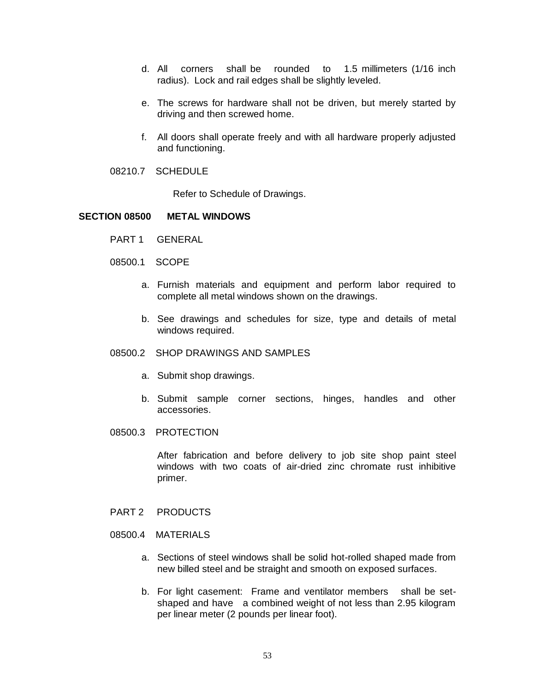- d. All corners shall be rounded to 1.5 millimeters (1/16 inch radius). Lock and rail edges shall be slightly leveled.
- e. The screws for hardware shall not be driven, but merely started by driving and then screwed home.
- f. All doors shall operate freely and with all hardware properly adjusted and functioning.
- 08210.7 SCHEDULE

Refer to Schedule of Drawings.

## **SECTION 08500 METAL WINDOWS**

- PART 1 GENERAL
- 08500.1 SCOPE
	- a. Furnish materials and equipment and perform labor required to complete all metal windows shown on the drawings.
	- b. See drawings and schedules for size, type and details of metal windows required.
- 08500.2 SHOP DRAWINGS AND SAMPLES
	- a. Submit shop drawings.
	- b. Submit sample corner sections, hinges, handles and other accessories.
- 08500.3 PROTECTION

After fabrication and before delivery to job site shop paint steel windows with two coats of air-dried zinc chromate rust inhibitive primer.

- PART 2 PRODUCTS
- 08500.4 MATERIALS
	- a. Sections of steel windows shall be solid hot-rolled shaped made from new billed steel and be straight and smooth on exposed surfaces.
	- b. For light casement: Frame and ventilator members shall be setshaped and have a combined weight of not less than 2.95 kilogram per linear meter (2 pounds per linear foot).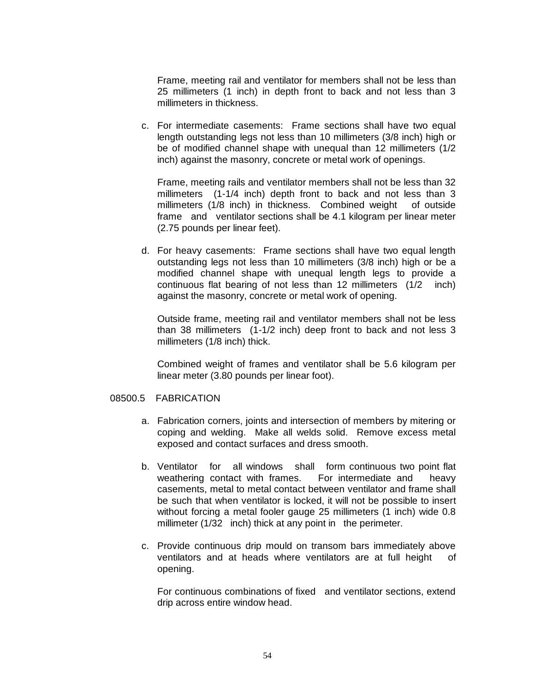Frame, meeting rail and ventilator for members shall not be less than 25 millimeters (1 inch) in depth front to back and not less than 3 millimeters in thickness.

c. For intermediate casements: Frame sections shall have two equal length outstanding legs not less than 10 millimeters (3/8 inch) high or be of modified channel shape with unequal than 12 millimeters (1/2 inch) against the masonry, concrete or metal work of openings.

Frame, meeting rails and ventilator members shall not be less than 32 millimeters (1-1/4 inch) depth front to back and not less than 3 millimeters (1/8 inch) in thickness. Combined weight of outside frame and ventilator sections shall be 4.1 kilogram per linear meter (2.75 pounds per linear feet).

d. For heavy casements: Frame sections shall have two equal length outstanding legs not less than 10 millimeters (3/8 inch) high or be a modified channel shape with unequal length legs to provide a continuous flat bearing of not less than 12 millimeters (1/2 inch) against the masonry, concrete or metal work of opening.

Outside frame, meeting rail and ventilator members shall not be less than 38 millimeters (1-1/2 inch) deep front to back and not less 3 millimeters (1/8 inch) thick.

Combined weight of frames and ventilator shall be 5.6 kilogram per linear meter (3.80 pounds per linear foot).

#### 08500.5 FABRICATION

- a. Fabrication corners, joints and intersection of members by mitering or coping and welding. Make all welds solid. Remove excess metal exposed and contact surfaces and dress smooth.
- b. Ventilator for all windows shall form continuous two point flat weathering contact with frames. For intermediate and heavy casements, metal to metal contact between ventilator and frame shall be such that when ventilator is locked, it will not be possible to insert without forcing a metal fooler gauge 25 millimeters (1 inch) wide 0.8 millimeter (1/32 inch) thick at any point in the perimeter.
- c. Provide continuous drip mould on transom bars immediately above ventilators and at heads where ventilators are at full height of opening.

For continuous combinations of fixed and ventilator sections, extend drip across entire window head.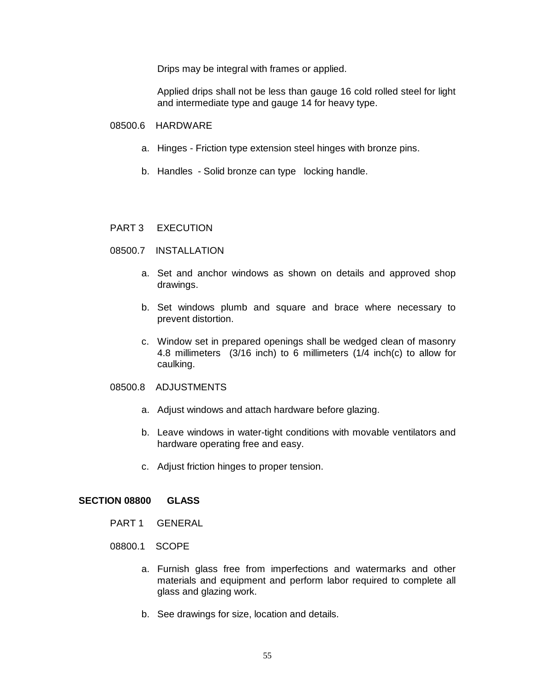Drips may be integral with frames or applied.

Applied drips shall not be less than gauge 16 cold rolled steel for light and intermediate type and gauge 14 for heavy type.

## 08500.6 HARDWARE

- a. Hinges Friction type extension steel hinges with bronze pins.
- b. Handles Solid bronze can type locking handle.

## PART 3 EXECUTION

- 08500.7 INSTALLATION
	- a. Set and anchor windows as shown on details and approved shop drawings.
	- b. Set windows plumb and square and brace where necessary to prevent distortion.
	- c. Window set in prepared openings shall be wedged clean of masonry 4.8 millimeters (3/16 inch) to 6 millimeters (1/4 inch(c) to allow for caulking.

#### 08500.8 ADJUSTMENTS

- a. Adjust windows and attach hardware before glazing.
- b. Leave windows in water-tight conditions with movable ventilators and hardware operating free and easy.
- c. Adjust friction hinges to proper tension.

## **SECTION 08800 GLASS**

- PART 1 GENERAL
- 08800.1 SCOPE
	- a. Furnish glass free from imperfections and watermarks and other materials and equipment and perform labor required to complete all glass and glazing work.
	- b. See drawings for size, location and details.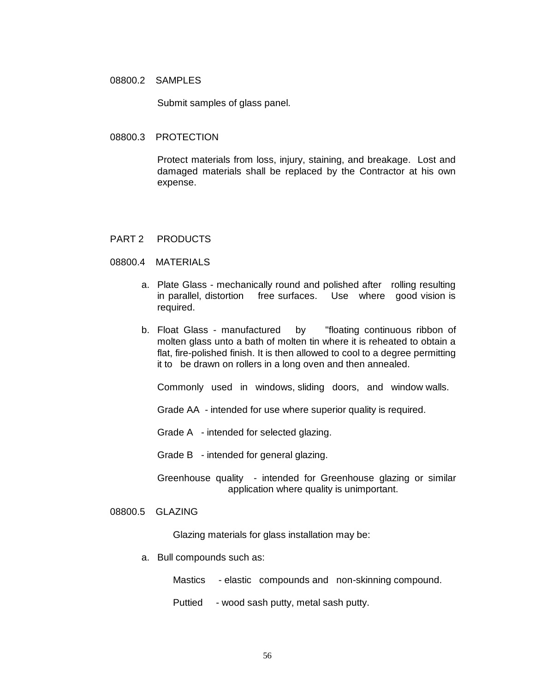#### 08800.2 SAMPLES

Submit samples of glass panel.

#### 08800.3 PROTECTION

Protect materials from loss, injury, staining, and breakage. Lost and damaged materials shall be replaced by the Contractor at his own expense.

#### PART 2 PRODUCTS

#### 08800.4 MATERIALS

- a. Plate Glass mechanically round and polished after rolling resulting in parallel, distortion free surfaces. Use where good vision is required.
- b. Float Glass manufactured by "floating continuous ribbon of molten glass unto a bath of molten tin where it is reheated to obtain a flat, fire-polished finish. It is then allowed to cool to a degree permitting it to be drawn on rollers in a long oven and then annealed.

Commonly used in windows, sliding doors, and window walls.

Grade AA - intended for use where superior quality is required.

Grade A - intended for selected glazing.

Grade B - intended for general glazing.

Greenhouse quality - intended for Greenhouse glazing or similar application where quality is unimportant.

## 08800.5 GLAZING

Glazing materials for glass installation may be:

a. Bull compounds such as:

Mastics - elastic compounds and non-skinning compound.

Puttied - wood sash putty, metal sash putty.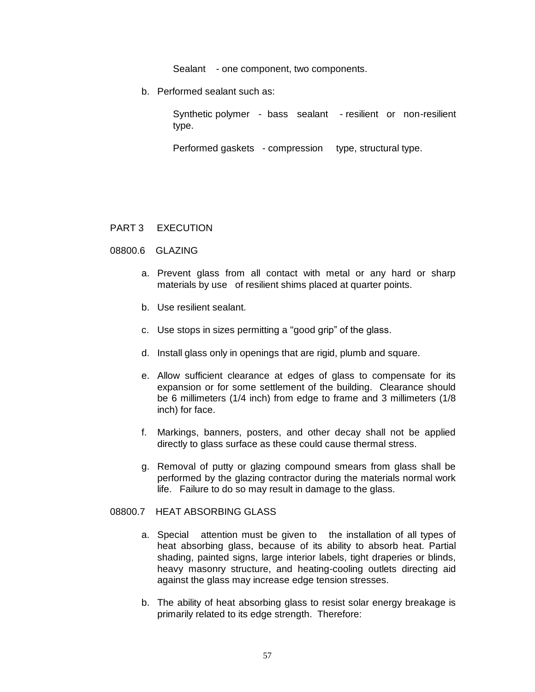Sealant - one component, two components.

b. Performed sealant such as:

Synthetic polymer - bass sealant - resilient or non-resilient type.

Performed gaskets - compression type, structural type.

## PART 3 EXECUTION

## 08800.6 GLAZING

- a. Prevent glass from all contact with metal or any hard or sharp materials by use of resilient shims placed at quarter points.
- b. Use resilient sealant.
- c. Use stops in sizes permitting a "good grip" of the glass.
- d. Install glass only in openings that are rigid, plumb and square.
- e. Allow sufficient clearance at edges of glass to compensate for its expansion or for some settlement of the building. Clearance should be 6 millimeters (1/4 inch) from edge to frame and 3 millimeters (1/8 inch) for face.
- f. Markings, banners, posters, and other decay shall not be applied directly to glass surface as these could cause thermal stress.
- g. Removal of putty or glazing compound smears from glass shall be performed by the glazing contractor during the materials normal work life. Failure to do so may result in damage to the glass.

## 08800.7 HEAT ABSORBING GLASS

- a. Special attention must be given to the installation of all types of heat absorbing glass, because of its ability to absorb heat. Partial shading, painted signs, large interior labels, tight draperies or blinds, heavy masonry structure, and heating-cooling outlets directing aid against the glass may increase edge tension stresses.
- b. The ability of heat absorbing glass to resist solar energy breakage is primarily related to its edge strength. Therefore: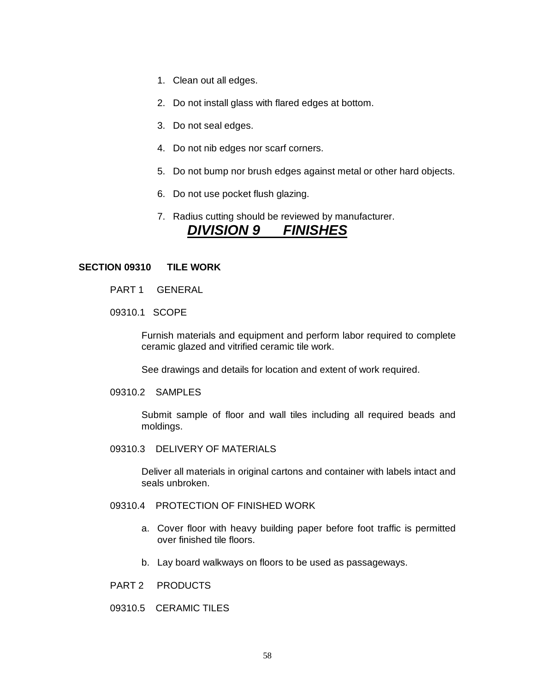- 1. Clean out all edges.
- 2. Do not install glass with flared edges at bottom.
- 3. Do not seal edges.
- 4. Do not nib edges nor scarf corners.
- 5. Do not bump nor brush edges against metal or other hard objects.
- 6. Do not use pocket flush glazing.
- 7. Radius cutting should be reviewed by manufacturer.

# *DIVISION 9 FINISHES*

#### **SECTION 09310 TILE WORK**

- PART 1 GENERAL
- 09310.1 SCOPE

Furnish materials and equipment and perform labor required to complete ceramic glazed and vitrified ceramic tile work.

See drawings and details for location and extent of work required.

09310.2 SAMPLES

Submit sample of floor and wall tiles including all required beads and moldings.

09310.3 DELIVERY OF MATERIALS

Deliver all materials in original cartons and container with labels intact and seals unbroken.

## 09310.4 PROTECTION OF FINISHED WORK

- a. Cover floor with heavy building paper before foot traffic is permitted over finished tile floors.
- b. Lay board walkways on floors to be used as passageways.
- PART 2 PRODUCTS
- 09310.5 CERAMIC TILES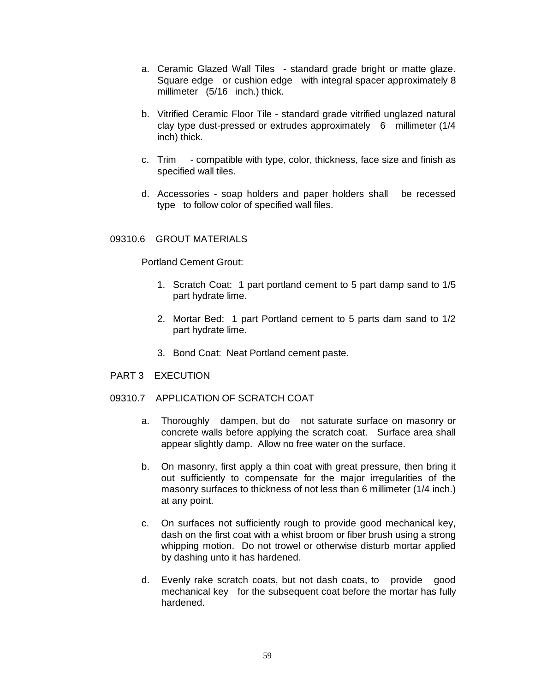- a. Ceramic Glazed Wall Tiles standard grade bright or matte glaze. Square edge or cushion edge with integral spacer approximately 8 millimeter (5/16 inch.) thick.
- b. Vitrified Ceramic Floor Tile standard grade vitrified unglazed natural clay type dust-pressed or extrudes approximately 6 millimeter (1/4 inch) thick.
- c. Trim compatible with type, color, thickness, face size and finish as specified wall tiles.
- d. Accessories soap holders and paper holders shall be recessed type to follow color of specified wall files.

## 09310.6 GROUT MATERIALS

Portland Cement Grout:

- 1. Scratch Coat: 1 part portland cement to 5 part damp sand to 1/5 part hydrate lime.
- 2. Mortar Bed: 1 part Portland cement to 5 parts dam sand to 1/2 part hydrate lime.
- 3. Bond Coat: Neat Portland cement paste.
- PART 3 EXECUTION
- 09310.7 APPLICATION OF SCRATCH COAT
	- a. Thoroughly dampen, but do not saturate surface on masonry or concrete walls before applying the scratch coat. Surface area shall appear slightly damp. Allow no free water on the surface.
	- b. On masonry, first apply a thin coat with great pressure, then bring it out sufficiently to compensate for the major irregularities of the masonry surfaces to thickness of not less than 6 millimeter (1/4 inch.) at any point.
	- c. On surfaces not sufficiently rough to provide good mechanical key, dash on the first coat with a whist broom or fiber brush using a strong whipping motion. Do not trowel or otherwise disturb mortar applied by dashing unto it has hardened.
	- d. Evenly rake scratch coats, but not dash coats, to provide good mechanical key for the subsequent coat before the mortar has fully hardened.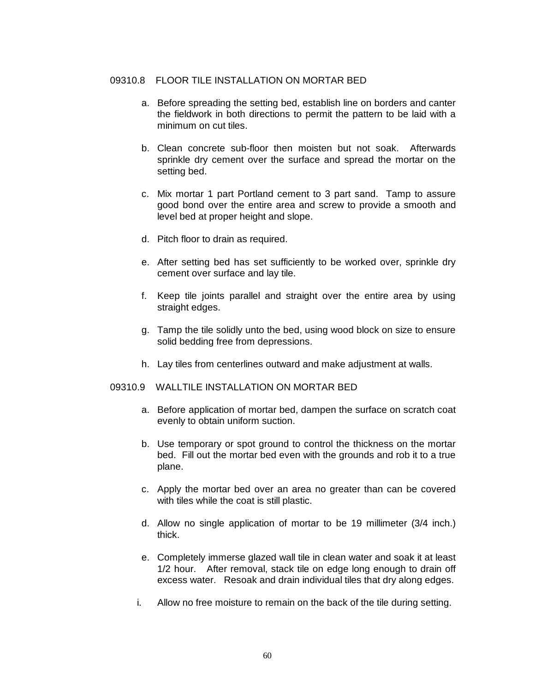## 09310.8 FLOOR TILE INSTALLATION ON MORTAR BED

- a. Before spreading the setting bed, establish line on borders and canter the fieldwork in both directions to permit the pattern to be laid with a minimum on cut tiles.
- b. Clean concrete sub-floor then moisten but not soak. Afterwards sprinkle dry cement over the surface and spread the mortar on the setting bed.
- c. Mix mortar 1 part Portland cement to 3 part sand. Tamp to assure good bond over the entire area and screw to provide a smooth and level bed at proper height and slope.
- d. Pitch floor to drain as required.
- e. After setting bed has set sufficiently to be worked over, sprinkle dry cement over surface and lay tile.
- f. Keep tile joints parallel and straight over the entire area by using straight edges.
- g. Tamp the tile solidly unto the bed, using wood block on size to ensure solid bedding free from depressions.
- h. Lay tiles from centerlines outward and make adjustment at walls.

## 09310.9 WALLTILE INSTALLATION ON MORTAR BED

- a. Before application of mortar bed, dampen the surface on scratch coat evenly to obtain uniform suction.
- b. Use temporary or spot ground to control the thickness on the mortar bed. Fill out the mortar bed even with the grounds and rob it to a true plane.
- c. Apply the mortar bed over an area no greater than can be covered with tiles while the coat is still plastic.
- d. Allow no single application of mortar to be 19 millimeter (3/4 inch.) thick.
- e. Completely immerse glazed wall tile in clean water and soak it at least 1/2 hour. After removal, stack tile on edge long enough to drain off excess water. Resoak and drain individual tiles that dry along edges.
- i. Allow no free moisture to remain on the back of the tile during setting.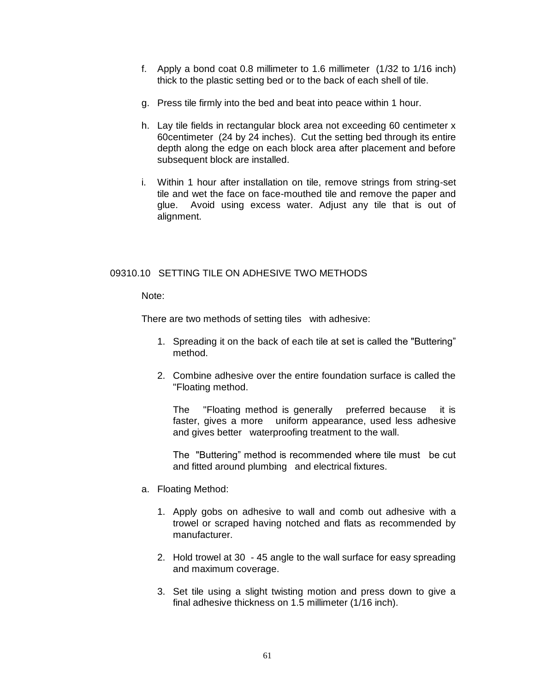- f. Apply a bond coat 0.8 millimeter to 1.6 millimeter (1/32 to 1/16 inch) thick to the plastic setting bed or to the back of each shell of tile.
- g. Press tile firmly into the bed and beat into peace within 1 hour.
- h. Lay tile fields in rectangular block area not exceeding 60 centimeter x 60centimeter (24 by 24 inches). Cut the setting bed through its entire depth along the edge on each block area after placement and before subsequent block are installed.
- i. Within 1 hour after installation on tile, remove strings from string-set tile and wet the face on face-mouthed tile and remove the paper and glue. Avoid using excess water. Adjust any tile that is out of alignment.

## 09310.10 SETTING TILE ON ADHESIVE TWO METHODS

Note:

There are two methods of setting tiles with adhesive:

- 1. Spreading it on the back of each tile at set is called the "Buttering" method.
- 2. Combine adhesive over the entire foundation surface is called the "Floating method.

The "Floating method is generally preferred because it is faster, gives a more uniform appearance, used less adhesive and gives better waterproofing treatment to the wall.

The "Buttering" method is recommended where tile must be cut and fitted around plumbing and electrical fixtures.

- a. Floating Method:
	- 1. Apply gobs on adhesive to wall and comb out adhesive with a trowel or scraped having notched and flats as recommended by manufacturer.
	- 2. Hold trowel at 30 45 angle to the wall surface for easy spreading and maximum coverage.
	- 3. Set tile using a slight twisting motion and press down to give a final adhesive thickness on 1.5 millimeter (1/16 inch).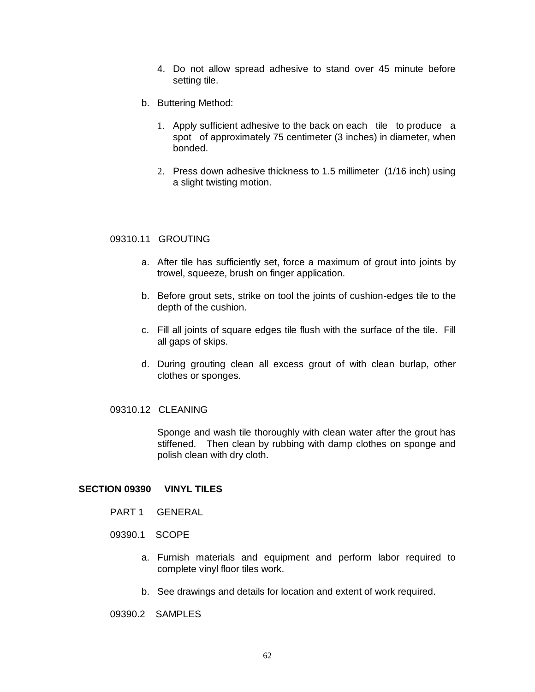- 4. Do not allow spread adhesive to stand over 45 minute before setting tile.
- b. Buttering Method:
	- 1. Apply sufficient adhesive to the back on each tile to produce a spot of approximately 75 centimeter (3 inches) in diameter, when bonded.
	- 2. Press down adhesive thickness to 1.5 millimeter (1/16 inch) using a slight twisting motion.

#### 09310.11 GROUTING

- a. After tile has sufficiently set, force a maximum of grout into joints by trowel, squeeze, brush on finger application.
- b. Before grout sets, strike on tool the joints of cushion-edges tile to the depth of the cushion.
- c. Fill all joints of square edges tile flush with the surface of the tile. Fill all gaps of skips.
- d. During grouting clean all excess grout of with clean burlap, other clothes or sponges.

## 09310.12 CLEANING

Sponge and wash tile thoroughly with clean water after the grout has stiffened. Then clean by rubbing with damp clothes on sponge and polish clean with dry cloth.

#### **SECTION 09390 VINYL TILES**

- PART 1 GENERAL
- 09390.1 SCOPE
	- a. Furnish materials and equipment and perform labor required to complete vinyl floor tiles work.
	- b. See drawings and details for location and extent of work required.

09390.2 SAMPLES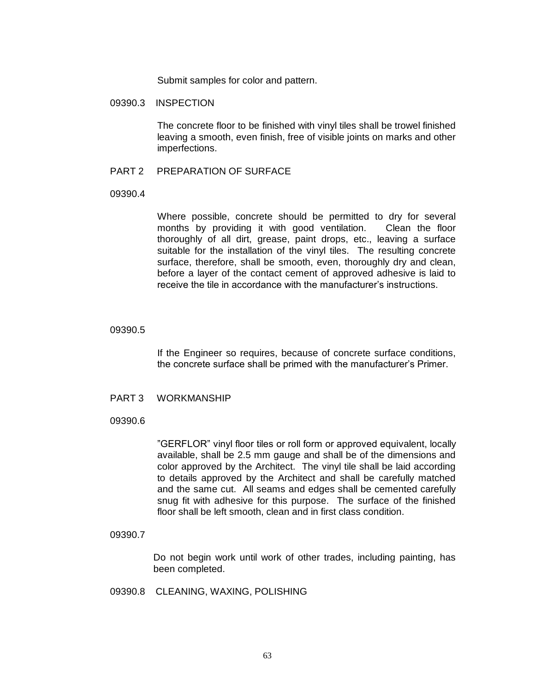Submit samples for color and pattern.

## 09390.3 INSPECTION

The concrete floor to be finished with vinyl tiles shall be trowel finished leaving a smooth, even finish, free of visible joints on marks and other imperfections.

### PART 2 PREPARATION OF SURFACE

#### 09390.4

Where possible, concrete should be permitted to dry for several months by providing it with good ventilation. Clean the floor thoroughly of all dirt, grease, paint drops, etc., leaving a surface suitable for the installation of the vinyl tiles. The resulting concrete surface, therefore, shall be smooth, even, thoroughly dry and clean, before a layer of the contact cement of approved adhesive is laid to receive the tile in accordance with the manufacturer's instructions.

#### 09390.5

If the Engineer so requires, because of concrete surface conditions, the concrete surface shall be primed with the manufacturer's Primer.

#### PART 3 WORKMANSHIP

## 09390.6

"GERFLOR" vinyl floor tiles or roll form or approved equivalent, locally available, shall be 2.5 mm gauge and shall be of the dimensions and color approved by the Architect. The vinyl tile shall be laid according to details approved by the Architect and shall be carefully matched and the same cut. All seams and edges shall be cemented carefully snug fit with adhesive for this purpose. The surface of the finished floor shall be left smooth, clean and in first class condition.

#### 09390.7

Do not begin work until work of other trades, including painting, has been completed.

## 09390.8 CLEANING, WAXING, POLISHING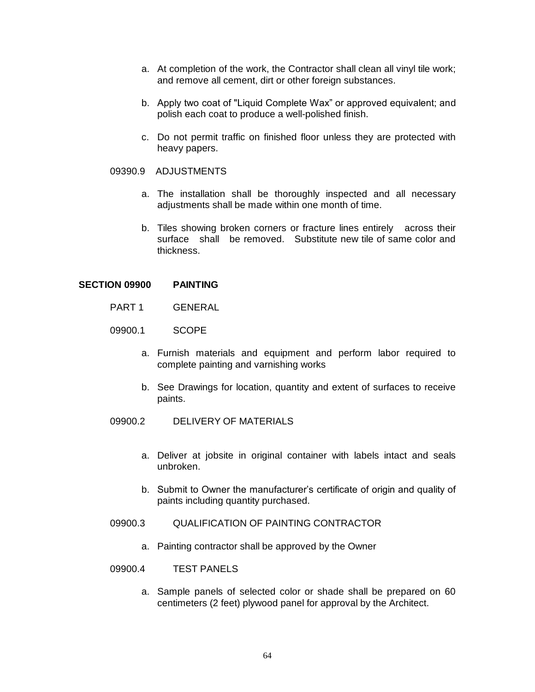- a. At completion of the work, the Contractor shall clean all vinyl tile work; and remove all cement, dirt or other foreign substances.
- b. Apply two coat of "Liquid Complete Wax" or approved equivalent; and polish each coat to produce a well-polished finish.
- c. Do not permit traffic on finished floor unless they are protected with heavy papers.

## 09390.9 ADJUSTMENTS

- a. The installation shall be thoroughly inspected and all necessary adjustments shall be made within one month of time.
- b. Tiles showing broken corners or fracture lines entirely across their surface shall be removed. Substitute new tile of same color and thickness.

## **SECTION 09900 PAINTING**

- PART 1 GENERAL
- 09900.1 SCOPE
	- a. Furnish materials and equipment and perform labor required to complete painting and varnishing works
	- b. See Drawings for location, quantity and extent of surfaces to receive paints.
- 09900.2 DELIVERY OF MATERIALS
	- a. Deliver at jobsite in original container with labels intact and seals unbroken.
	- b. Submit to Owner the manufacturer's certificate of origin and quality of paints including quantity purchased.
- 09900.3 QUALIFICATION OF PAINTING CONTRACTOR
	- a. Painting contractor shall be approved by the Owner
- 09900.4 TEST PANELS
	- a. Sample panels of selected color or shade shall be prepared on 60 centimeters (2 feet) plywood panel for approval by the Architect.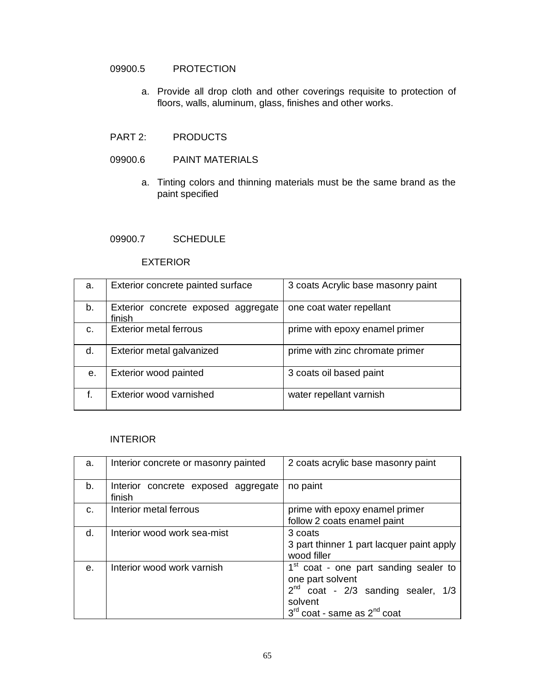# 09900.5 PROTECTION

a. Provide all drop cloth and other coverings requisite to protection of floors, walls, aluminum, glass, finishes and other works.

## PART 2: PRODUCTS

## 09900.6 PAINT MATERIALS

a. Tinting colors and thinning materials must be the same brand as the paint specified

#### 09900.7 SCHEDULE

### EXTERIOR

| a. | Exterior concrete painted surface             | 3 coats Acrylic base masonry paint |
|----|-----------------------------------------------|------------------------------------|
| b. | Exterior concrete exposed aggregate<br>finish | one coat water repellant           |
| C. | <b>Exterior metal ferrous</b>                 | prime with epoxy enamel primer     |
| d. | Exterior metal galvanized                     | prime with zinc chromate primer    |
| е. | Exterior wood painted                         | 3 coats oil based paint            |
| f. | Exterior wood varnished                       | water repellant varnish            |

## INTERIOR

| a.         | Interior concrete or masonry painted          | 2 coats acrylic base masonry paint                                                                                                                                 |  |
|------------|-----------------------------------------------|--------------------------------------------------------------------------------------------------------------------------------------------------------------------|--|
| b.         | Interior concrete exposed aggregate<br>finish | no paint                                                                                                                                                           |  |
| C.         | Interior metal ferrous                        | prime with epoxy enamel primer<br>follow 2 coats enamel paint                                                                                                      |  |
| d.         | Interior wood work sea-mist                   | 3 coats<br>3 part thinner 1 part lacquer paint apply<br>wood filler                                                                                                |  |
| $\theta$ . | Interior wood work varnish                    | 1 <sup>st</sup> coat - one part sanding sealer to<br>one part solvent<br>$2^{nd}$ coat - $2/3$ sanding sealer, $1/3$<br>solvent<br>$3rd$ coat - same as $2nd$ coat |  |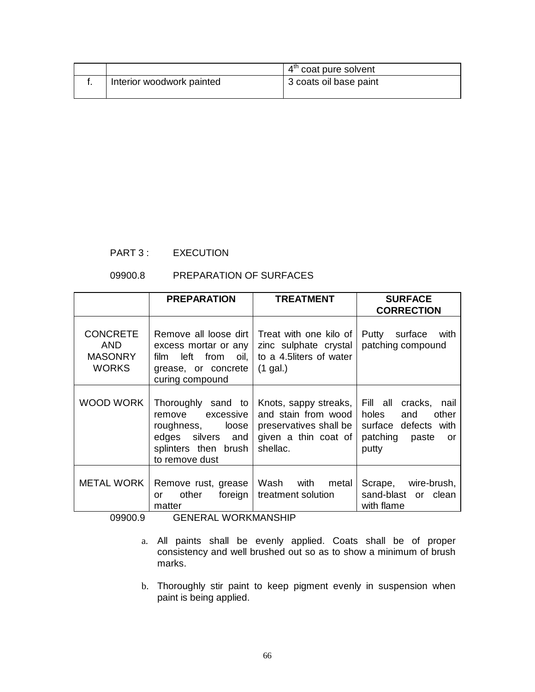|                           | 4 <sup>th</sup> coat pure solvent |
|---------------------------|-----------------------------------|
| Interior woodwork painted | 3 coats oil base paint            |

# PART 3 : EXECUTION

# 09900.8 PREPARATION OF SURFACES

|                                                          | <b>PREPARATION</b>                                                                                                              | <b>TREATMENT</b>                                                                                           | <b>SURFACE</b><br><b>CORRECTION</b>                                                                     |
|----------------------------------------------------------|---------------------------------------------------------------------------------------------------------------------------------|------------------------------------------------------------------------------------------------------------|---------------------------------------------------------------------------------------------------------|
| <b>CONCRETE</b><br>AND<br><b>MASONRY</b><br><b>WORKS</b> | Remove all loose dirt<br>excess mortar or any<br>film left from oil,<br>grease, or concrete<br>curing compound                  | Treat with one kilo of<br>zinc sulphate crystal<br>to a 4.5liters of water<br>$(1$ gal.)                   | Putty<br>surface<br>with<br>patching compound                                                           |
| WOOD WORK                                                | Thoroughly sand to<br>excessive<br>remove<br>roughness,<br>loose<br>edges silvers and<br>splinters then brush<br>to remove dust | Knots, sappy streaks,<br>and stain from wood<br>preservatives shall be<br>given a thin coat of<br>shellac. | Fill all cracks, nail<br>holes<br>other<br>and<br>surface defects with<br>patching paste<br>or<br>putty |
| <b>METAL WORK</b>                                        | Remove rust, grease<br>foreign<br>other<br>or<br>matter                                                                         | Wash with metal<br>treatment solution                                                                      | Scrape, wire-brush,<br>sand-blast or clean<br>with flame                                                |

09900.9 GENERAL WORKMANSHIP

- a. All paints shall be evenly applied. Coats shall be of proper consistency and well brushed out so as to show a minimum of brush marks.
- b. Thoroughly stir paint to keep pigment evenly in suspension when paint is being applied.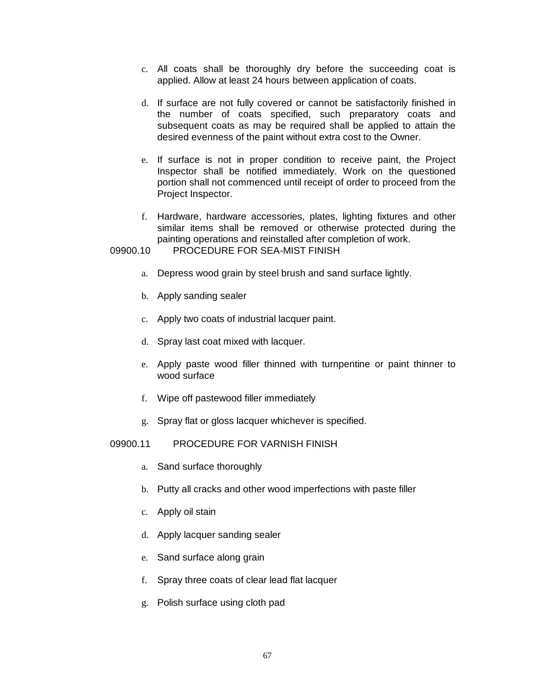- c. All coats shall be thoroughly dry before the succeeding coat is applied. Allow at least 24 hours between application of coats.
- d. If surface are not fully covered or cannot be satisfactorily finished in the number of coats specified, such preparatory coats and subsequent coats as may be required shall be applied to attain the desired evenness of the paint without extra cost to the Owner.
- e. If surface is not in proper condition to receive paint, the Project Inspector shall be notified immediately. Work on the questioned portion shall not commenced until receipt of order to proceed from the Project Inspector.
- f. Hardware, hardware accessories, plates, lighting fixtures and other similar items shall be removed or otherwise protected during the painting operations and reinstalled after completion of work.

## 09900.10 PROCEDURE FOR SEA-MIST FINISH

- a. Depress wood grain by steel brush and sand surface lightly.
- b. Apply sanding sealer
- c. Apply two coats of industrial lacquer paint.
- d. Spray last coat mixed with lacquer.
- e. Apply paste wood filler thinned with turnpentine or paint thinner to wood surface
- f. Wipe off pastewood filler immediately
- g. Spray flat or gloss lacquer whichever is specified.

## 09900.11 PROCEDURE FOR VARNISH FINISH

- a. Sand surface thoroughly
- b. Putty all cracks and other wood imperfections with paste filler
- c. Apply oil stain
- d. Apply lacquer sanding sealer
- e. Sand surface along grain
- f. Spray three coats of clear lead flat lacquer
- g. Polish surface using cloth pad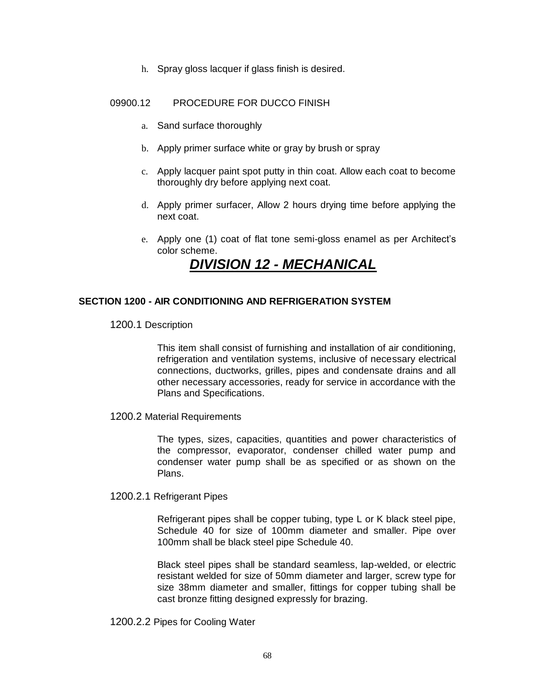h. Spray gloss lacquer if glass finish is desired.

## 09900.12 PROCEDURE FOR DUCCO FINISH

- a. Sand surface thoroughly
- b. Apply primer surface white or gray by brush or spray
- c. Apply lacquer paint spot putty in thin coat. Allow each coat to become thoroughly dry before applying next coat.
- d. Apply primer surfacer, Allow 2 hours drying time before applying the next coat.
- e. Apply one (1) coat of flat tone semi-gloss enamel as per Architect's color scheme.

# *DIVISION 12 - MECHANICAL*

## **SECTION 1200 - AIR CONDITIONING AND REFRIGERATION SYSTEM**

1200.1 Description

This item shall consist of furnishing and installation of air conditioning, refrigeration and ventilation systems, inclusive of necessary electrical connections, ductworks, grilles, pipes and condensate drains and all other necessary accessories, ready for service in accordance with the Plans and Specifications.

1200.2 Material Requirements

The types, sizes, capacities, quantities and power characteristics of the compressor, evaporator, condenser chilled water pump and condenser water pump shall be as specified or as shown on the Plans.

## 1200.2.1 Refrigerant Pipes

Refrigerant pipes shall be copper tubing, type L or K black steel pipe, Schedule 40 for size of 100mm diameter and smaller. Pipe over 100mm shall be black steel pipe Schedule 40.

Black steel pipes shall be standard seamless, lap-welded, or electric resistant welded for size of 50mm diameter and larger, screw type for size 38mm diameter and smaller, fittings for copper tubing shall be cast bronze fitting designed expressly for brazing.

1200.2.2 Pipes for Cooling Water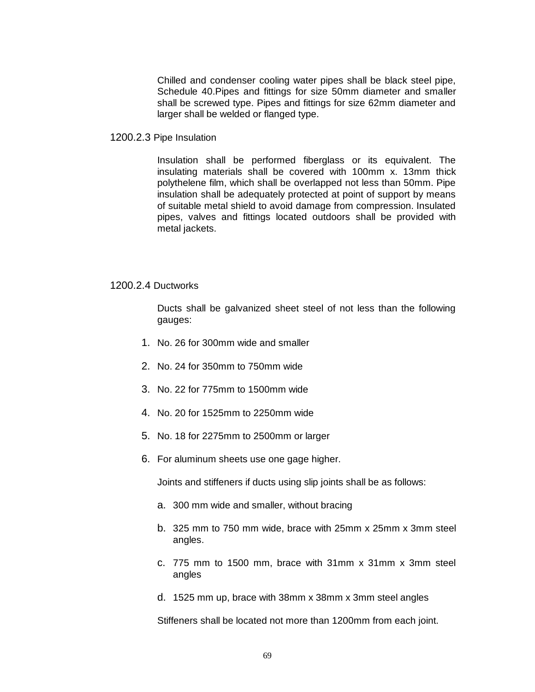Chilled and condenser cooling water pipes shall be black steel pipe, Schedule 40.Pipes and fittings for size 50mm diameter and smaller shall be screwed type. Pipes and fittings for size 62mm diameter and larger shall be welded or flanged type.

1200.2.3 Pipe Insulation

Insulation shall be performed fiberglass or its equivalent. The insulating materials shall be covered with 100mm x. 13mm thick polythelene film, which shall be overlapped not less than 50mm. Pipe insulation shall be adequately protected at point of support by means of suitable metal shield to avoid damage from compression. Insulated pipes, valves and fittings located outdoors shall be provided with metal jackets.

## 1200.2.4 Ductworks

Ducts shall be galvanized sheet steel of not less than the following gauges:

- 1. No. 26 for 300mm wide and smaller
- 2. No. 24 for 350mm to 750mm wide
- 3. No. 22 for 775mm to 1500mm wide
- 4. No. 20 for 1525mm to 2250mm wide
- 5. No. 18 for 2275mm to 2500mm or larger
- 6. For aluminum sheets use one gage higher.

Joints and stiffeners if ducts using slip joints shall be as follows:

- a. 300 mm wide and smaller, without bracing
- b. 325 mm to 750 mm wide, brace with 25mm x 25mm x 3mm steel angles.
- c. 775 mm to 1500 mm, brace with 31mm x 31mm x 3mm steel angles
- d. 1525 mm up, brace with 38mm x 38mm x 3mm steel angles

Stiffeners shall be located not more than 1200mm from each joint.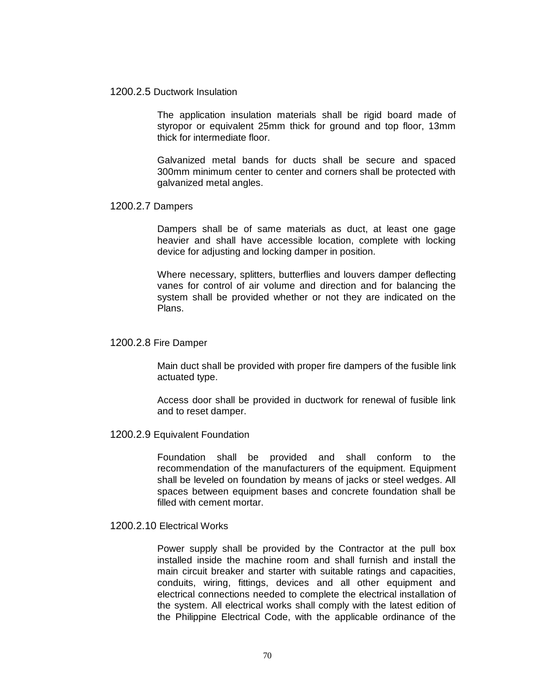#### 1200.2.5 Ductwork Insulation

The application insulation materials shall be rigid board made of styropor or equivalent 25mm thick for ground and top floor, 13mm thick for intermediate floor.

Galvanized metal bands for ducts shall be secure and spaced 300mm minimum center to center and corners shall be protected with galvanized metal angles.

#### 1200.2.7 Dampers

Dampers shall be of same materials as duct, at least one gage heavier and shall have accessible location, complete with locking device for adjusting and locking damper in position.

Where necessary, splitters, butterflies and louvers damper deflecting vanes for control of air volume and direction and for balancing the system shall be provided whether or not they are indicated on the Plans.

#### 1200.2.8 Fire Damper

Main duct shall be provided with proper fire dampers of the fusible link actuated type.

Access door shall be provided in ductwork for renewal of fusible link and to reset damper.

## 1200.2.9 Equivalent Foundation

Foundation shall be provided and shall conform to the recommendation of the manufacturers of the equipment. Equipment shall be leveled on foundation by means of jacks or steel wedges. All spaces between equipment bases and concrete foundation shall be filled with cement mortar.

## 1200.2.10 Electrical Works

Power supply shall be provided by the Contractor at the pull box installed inside the machine room and shall furnish and install the main circuit breaker and starter with suitable ratings and capacities, conduits, wiring, fittings, devices and all other equipment and electrical connections needed to complete the electrical installation of the system. All electrical works shall comply with the latest edition of the Philippine Electrical Code, with the applicable ordinance of the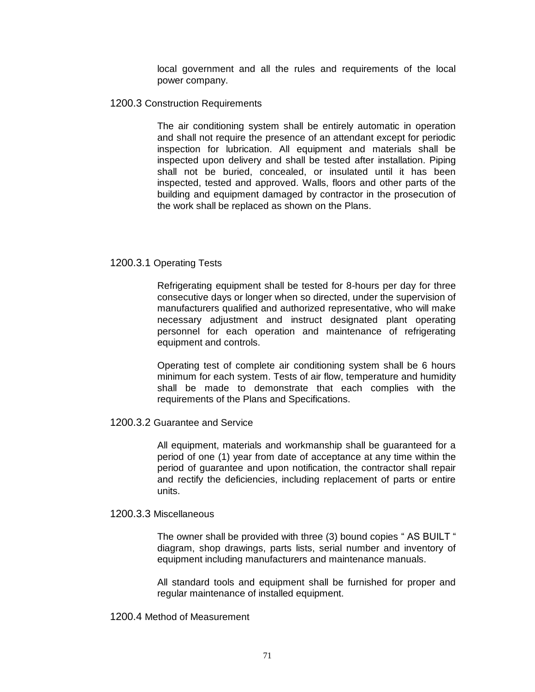local government and all the rules and requirements of the local power company.

## 1200.3 Construction Requirements

The air conditioning system shall be entirely automatic in operation and shall not require the presence of an attendant except for periodic inspection for lubrication. All equipment and materials shall be inspected upon delivery and shall be tested after installation. Piping shall not be buried, concealed, or insulated until it has been inspected, tested and approved. Walls, floors and other parts of the building and equipment damaged by contractor in the prosecution of the work shall be replaced as shown on the Plans.

## 1200.3.1 Operating Tests

Refrigerating equipment shall be tested for 8-hours per day for three consecutive days or longer when so directed, under the supervision of manufacturers qualified and authorized representative, who will make necessary adjustment and instruct designated plant operating personnel for each operation and maintenance of refrigerating equipment and controls.

Operating test of complete air conditioning system shall be 6 hours minimum for each system. Tests of air flow, temperature and humidity shall be made to demonstrate that each complies with the requirements of the Plans and Specifications.

## 1200.3.2 Guarantee and Service

All equipment, materials and workmanship shall be guaranteed for a period of one (1) year from date of acceptance at any time within the period of guarantee and upon notification, the contractor shall repair and rectify the deficiencies, including replacement of parts or entire units.

## 1200.3.3 Miscellaneous

The owner shall be provided with three (3) bound copies " AS BUILT " diagram, shop drawings, parts lists, serial number and inventory of equipment including manufacturers and maintenance manuals.

All standard tools and equipment shall be furnished for proper and regular maintenance of installed equipment.

## 1200.4 Method of Measurement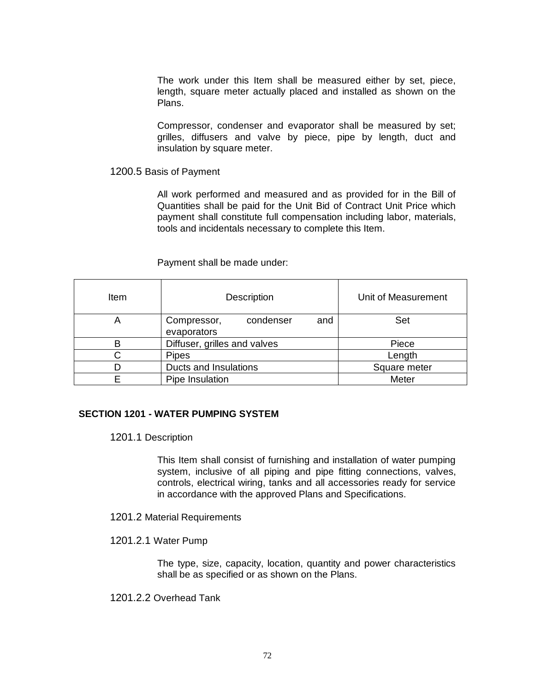The work under this Item shall be measured either by set, piece, length, square meter actually placed and installed as shown on the Plans.

Compressor, condenser and evaporator shall be measured by set; grilles, diffusers and valve by piece, pipe by length, duct and insulation by square meter.

### 1200.5 Basis of Payment

All work performed and measured and as provided for in the Bill of Quantities shall be paid for the Unit Bid of Contract Unit Price which payment shall constitute full compensation including labor, materials, tools and incidentals necessary to complete this Item.

Payment shall be made under:

| Item | <b>Description</b>              | Unit of Measurement |
|------|---------------------------------|---------------------|
| A    | condenser<br>and<br>Compressor, | Set                 |
|      | evaporators                     |                     |
| В    | Diffuser, grilles and valves    | Piece               |
| C    | Length                          |                     |
| D    | Square meter                    |                     |
|      | Pipe Insulation                 | Meter               |

## **SECTION 1201 - WATER PUMPING SYSTEM**

1201.1 Description

This Item shall consist of furnishing and installation of water pumping system, inclusive of all piping and pipe fitting connections, valves, controls, electrical wiring, tanks and all accessories ready for service in accordance with the approved Plans and Specifications.

- 1201.2 Material Requirements
- 1201.2.1 Water Pump

The type, size, capacity, location, quantity and power characteristics shall be as specified or as shown on the Plans.

1201.2.2 Overhead Tank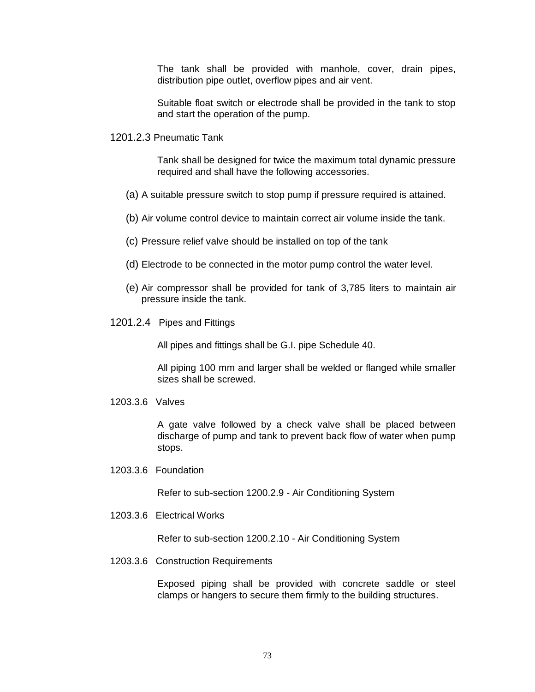The tank shall be provided with manhole, cover, drain pipes, distribution pipe outlet, overflow pipes and air vent.

Suitable float switch or electrode shall be provided in the tank to stop and start the operation of the pump.

1201.2.3 Pneumatic Tank

Tank shall be designed for twice the maximum total dynamic pressure required and shall have the following accessories.

- (a) A suitable pressure switch to stop pump if pressure required is attained.
- (b) Air volume control device to maintain correct air volume inside the tank.
- (c) Pressure relief valve should be installed on top of the tank
- (d) Electrode to be connected in the motor pump control the water level.
- (e) Air compressor shall be provided for tank of 3,785 liters to maintain air pressure inside the tank.
- 1201.2.4 Pipes and Fittings

All pipes and fittings shall be G.I. pipe Schedule 40.

All piping 100 mm and larger shall be welded or flanged while smaller sizes shall be screwed.

1203.3.6 Valves

A gate valve followed by a check valve shall be placed between discharge of pump and tank to prevent back flow of water when pump stops.

1203.3.6 Foundation

Refer to sub-section 1200.2.9 - Air Conditioning System

1203.3.6 Electrical Works

Refer to sub-section 1200.2.10 - Air Conditioning System

1203.3.6 Construction Requirements

Exposed piping shall be provided with concrete saddle or steel clamps or hangers to secure them firmly to the building structures.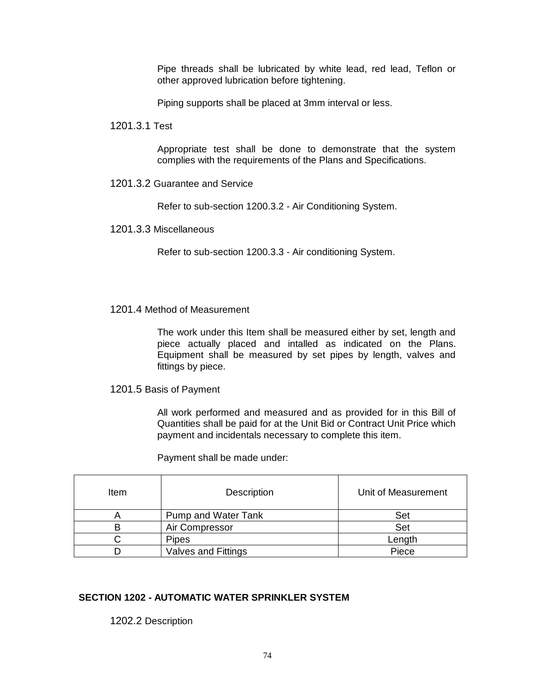Pipe threads shall be lubricated by white lead, red lead, Teflon or other approved lubrication before tightening.

Piping supports shall be placed at 3mm interval or less.

1201.3.1 Test

Appropriate test shall be done to demonstrate that the system complies with the requirements of the Plans and Specifications.

1201.3.2 Guarantee and Service

Refer to sub-section 1200.3.2 - Air Conditioning System.

1201.3.3 Miscellaneous

Refer to sub-section 1200.3.3 - Air conditioning System.

# 1201.4 Method of Measurement

The work under this Item shall be measured either by set, length and piece actually placed and intalled as indicated on the Plans. Equipment shall be measured by set pipes by length, valves and fittings by piece.

1201.5 Basis of Payment

All work performed and measured and as provided for in this Bill of Quantities shall be paid for at the Unit Bid or Contract Unit Price which payment and incidentals necessary to complete this item.

Payment shall be made under:

| ltem | <b>Description</b>         | Unit of Measurement |
|------|----------------------------|---------------------|
| A    | <b>Pump and Water Tank</b> | Set                 |
|      | Air Compressor             | Set                 |
|      | <b>Pipes</b>               | Length              |
|      | Valves and Fittings        | Piece               |

# **SECTION 1202 - AUTOMATIC WATER SPRINKLER SYSTEM**

1202.2 Description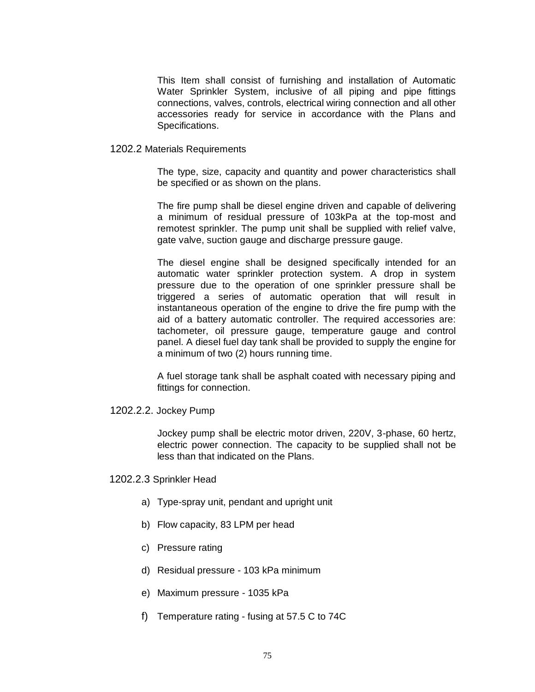This Item shall consist of furnishing and installation of Automatic Water Sprinkler System, inclusive of all piping and pipe fittings connections, valves, controls, electrical wiring connection and all other accessories ready for service in accordance with the Plans and Specifications.

#### 1202.2 Materials Requirements

The type, size, capacity and quantity and power characteristics shall be specified or as shown on the plans.

The fire pump shall be diesel engine driven and capable of delivering a minimum of residual pressure of 103kPa at the top-most and remotest sprinkler. The pump unit shall be supplied with relief valve, gate valve, suction gauge and discharge pressure gauge.

The diesel engine shall be designed specifically intended for an automatic water sprinkler protection system. A drop in system pressure due to the operation of one sprinkler pressure shall be triggered a series of automatic operation that will result in instantaneous operation of the engine to drive the fire pump with the aid of a battery automatic controller. The required accessories are: tachometer, oil pressure gauge, temperature gauge and control panel. A diesel fuel day tank shall be provided to supply the engine for a minimum of two (2) hours running time.

A fuel storage tank shall be asphalt coated with necessary piping and fittings for connection.

1202.2.2. Jockey Pump

Jockey pump shall be electric motor driven, 220V, 3-phase, 60 hertz, electric power connection. The capacity to be supplied shall not be less than that indicated on the Plans.

- 1202.2.3 Sprinkler Head
	- a) Type-spray unit, pendant and upright unit
	- b) Flow capacity, 83 LPM per head
	- c) Pressure rating
	- d) Residual pressure 103 kPa minimum
	- e) Maximum pressure 1035 kPa
	- f) Temperature rating fusing at 57.5 C to 74C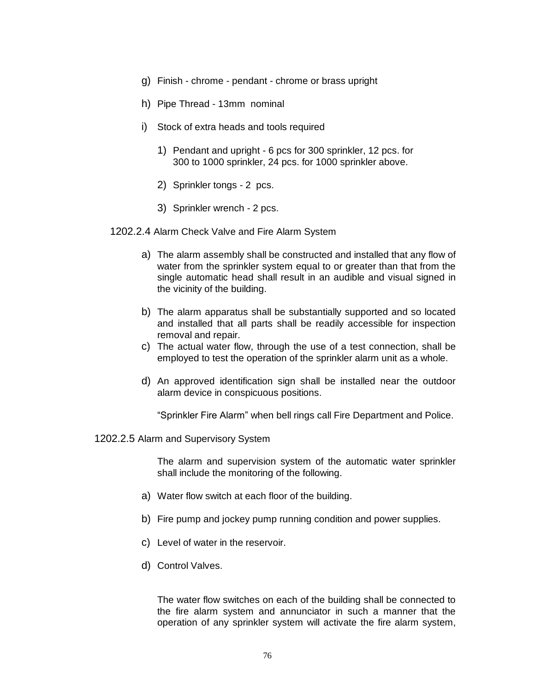- g) Finish chrome pendant chrome or brass upright
- h) Pipe Thread 13mm nominal
- i) Stock of extra heads and tools required
	- 1) Pendant and upright 6 pcs for 300 sprinkler, 12 pcs. for 300 to 1000 sprinkler, 24 pcs. for 1000 sprinkler above.
	- 2) Sprinkler tongs 2 pcs.
	- 3) Sprinkler wrench 2 pcs.
- 1202.2.4 Alarm Check Valve and Fire Alarm System
	- a) The alarm assembly shall be constructed and installed that any flow of water from the sprinkler system equal to or greater than that from the single automatic head shall result in an audible and visual signed in the vicinity of the building.
	- b) The alarm apparatus shall be substantially supported and so located and installed that all parts shall be readily accessible for inspection removal and repair.
	- c) The actual water flow, through the use of a test connection, shall be employed to test the operation of the sprinkler alarm unit as a whole.
	- d) An approved identification sign shall be installed near the outdoor alarm device in conspicuous positions.

"Sprinkler Fire Alarm" when bell rings call Fire Department and Police.

1202.2.5 Alarm and Supervisory System

The alarm and supervision system of the automatic water sprinkler shall include the monitoring of the following.

- a) Water flow switch at each floor of the building.
- b) Fire pump and jockey pump running condition and power supplies.
- c) Level of water in the reservoir.
- d) Control Valves.

The water flow switches on each of the building shall be connected to the fire alarm system and annunciator in such a manner that the operation of any sprinkler system will activate the fire alarm system,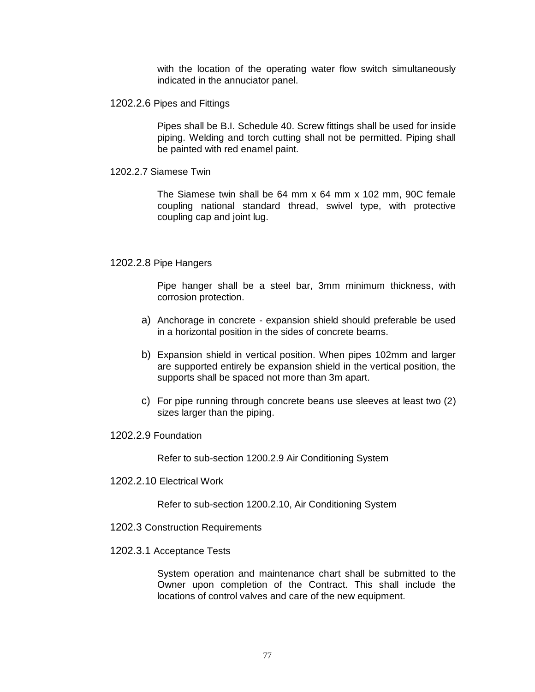with the location of the operating water flow switch simultaneously indicated in the annuciator panel.

1202.2.6 Pipes and Fittings

Pipes shall be B.I. Schedule 40. Screw fittings shall be used for inside piping. Welding and torch cutting shall not be permitted. Piping shall be painted with red enamel paint.

1202.2.7 Siamese Twin

The Siamese twin shall be 64 mm x 64 mm x 102 mm, 90C female coupling national standard thread, swivel type, with protective coupling cap and joint lug.

#### 1202.2.8 Pipe Hangers

Pipe hanger shall be a steel bar, 3mm minimum thickness, with corrosion protection.

- a) Anchorage in concrete expansion shield should preferable be used in a horizontal position in the sides of concrete beams.
- b) Expansion shield in vertical position. When pipes 102mm and larger are supported entirely be expansion shield in the vertical position, the supports shall be spaced not more than 3m apart.
- c) For pipe running through concrete beans use sleeves at least two (2) sizes larger than the piping.
- 1202.2.9 Foundation

Refer to sub-section 1200.2.9 Air Conditioning System

1202.2.10 Electrical Work

Refer to sub-section 1200.2.10, Air Conditioning System

- 1202.3 Construction Requirements
- 1202.3.1 Acceptance Tests

System operation and maintenance chart shall be submitted to the Owner upon completion of the Contract. This shall include the locations of control valves and care of the new equipment.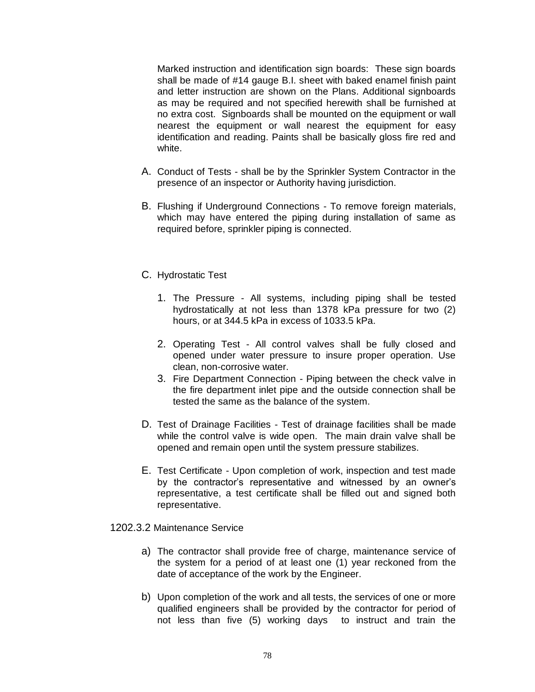Marked instruction and identification sign boards: These sign boards shall be made of #14 gauge B.I. sheet with baked enamel finish paint and letter instruction are shown on the Plans. Additional signboards as may be required and not specified herewith shall be furnished at no extra cost. Signboards shall be mounted on the equipment or wall nearest the equipment or wall nearest the equipment for easy identification and reading. Paints shall be basically gloss fire red and white.

- A. Conduct of Tests shall be by the Sprinkler System Contractor in the presence of an inspector or Authority having jurisdiction.
- B. Flushing if Underground Connections To remove foreign materials, which may have entered the piping during installation of same as required before, sprinkler piping is connected.
- C. Hydrostatic Test
	- 1. The Pressure All systems, including piping shall be tested hydrostatically at not less than 1378 kPa pressure for two (2) hours, or at 344.5 kPa in excess of 1033.5 kPa.
	- 2. Operating Test All control valves shall be fully closed and opened under water pressure to insure proper operation. Use clean, non-corrosive water.
	- 3. Fire Department Connection Piping between the check valve in the fire department inlet pipe and the outside connection shall be tested the same as the balance of the system.
- D. Test of Drainage Facilities Test of drainage facilities shall be made while the control valve is wide open. The main drain valve shall be opened and remain open until the system pressure stabilizes.
- E. Test Certificate Upon completion of work, inspection and test made by the contractor's representative and witnessed by an owner's representative, a test certificate shall be filled out and signed both representative.

1202.3.2 Maintenance Service

- a) The contractor shall provide free of charge, maintenance service of the system for a period of at least one (1) year reckoned from the date of acceptance of the work by the Engineer.
- b) Upon completion of the work and all tests, the services of one or more qualified engineers shall be provided by the contractor for period of not less than five (5) working days to instruct and train the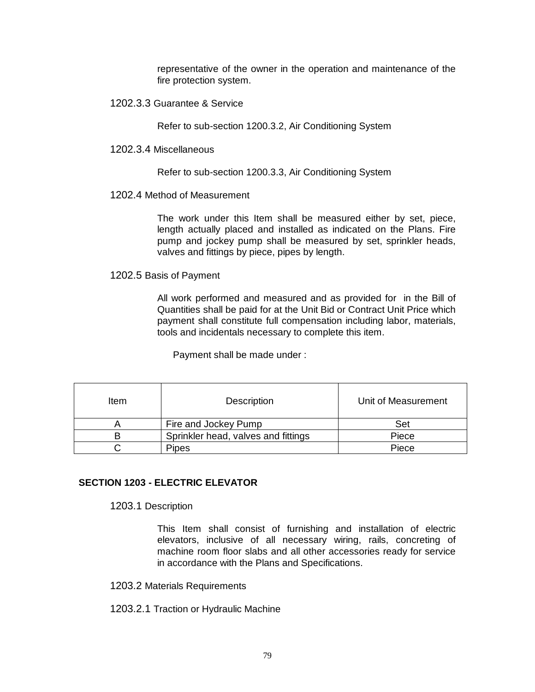representative of the owner in the operation and maintenance of the fire protection system.

1202.3.3 Guarantee & Service

Refer to sub-section 1200.3.2, Air Conditioning System

1202.3.4 Miscellaneous

Refer to sub-section 1200.3.3, Air Conditioning System

## 1202.4 Method of Measurement

The work under this Item shall be measured either by set, piece, length actually placed and installed as indicated on the Plans. Fire pump and jockey pump shall be measured by set, sprinkler heads, valves and fittings by piece, pipes by length.

1202.5 Basis of Payment

All work performed and measured and as provided for in the Bill of Quantities shall be paid for at the Unit Bid or Contract Unit Price which payment shall constitute full compensation including labor, materials, tools and incidentals necessary to complete this item.

Payment shall be made under :

| Item | <b>Description</b>                  | Unit of Measurement |
|------|-------------------------------------|---------------------|
|      | Fire and Jockey Pump                | Set                 |
|      | Sprinkler head, valves and fittings | Piece               |
|      | Pipes                               | Piece               |

## **SECTION 1203 - ELECTRIC ELEVATOR**

1203.1 Description

This Item shall consist of furnishing and installation of electric elevators, inclusive of all necessary wiring, rails, concreting of machine room floor slabs and all other accessories ready for service in accordance with the Plans and Specifications.

## 1203.2 Materials Requirements

1203.2.1 Traction or Hydraulic Machine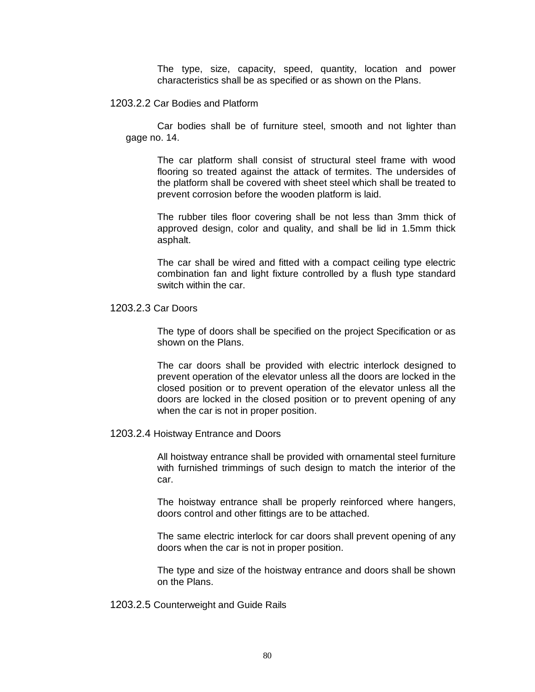The type, size, capacity, speed, quantity, location and power characteristics shall be as specified or as shown on the Plans.

## 1203.2.2 Car Bodies and Platform

Car bodies shall be of furniture steel, smooth and not lighter than gage no. 14.

The car platform shall consist of structural steel frame with wood flooring so treated against the attack of termites. The undersides of the platform shall be covered with sheet steel which shall be treated to prevent corrosion before the wooden platform is laid.

The rubber tiles floor covering shall be not less than 3mm thick of approved design, color and quality, and shall be lid in 1.5mm thick asphalt.

The car shall be wired and fitted with a compact ceiling type electric combination fan and light fixture controlled by a flush type standard switch within the car.

# 1203.2.3 Car Doors

The type of doors shall be specified on the project Specification or as shown on the Plans.

The car doors shall be provided with electric interlock designed to prevent operation of the elevator unless all the doors are locked in the closed position or to prevent operation of the elevator unless all the doors are locked in the closed position or to prevent opening of any when the car is not in proper position.

#### 1203.2.4 Hoistway Entrance and Doors

All hoistway entrance shall be provided with ornamental steel furniture with furnished trimmings of such design to match the interior of the car.

The hoistway entrance shall be properly reinforced where hangers, doors control and other fittings are to be attached.

The same electric interlock for car doors shall prevent opening of any doors when the car is not in proper position.

The type and size of the hoistway entrance and doors shall be shown on the Plans.

1203.2.5 Counterweight and Guide Rails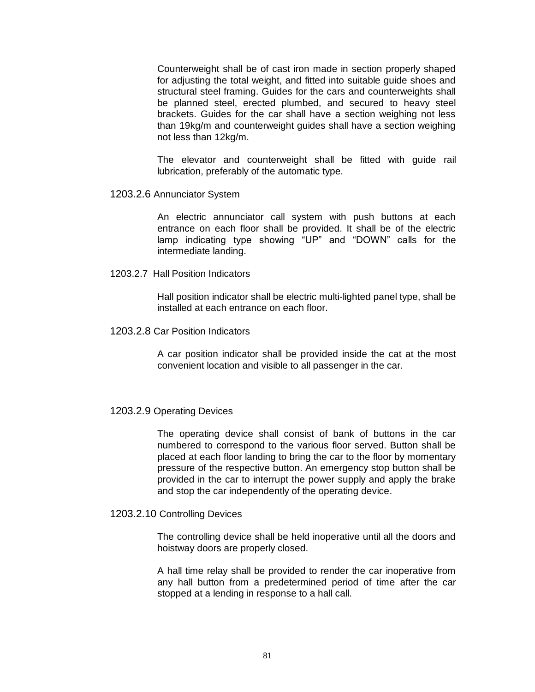Counterweight shall be of cast iron made in section properly shaped for adjusting the total weight, and fitted into suitable guide shoes and structural steel framing. Guides for the cars and counterweights shall be planned steel, erected plumbed, and secured to heavy steel brackets. Guides for the car shall have a section weighing not less than 19kg/m and counterweight guides shall have a section weighing not less than 12kg/m.

The elevator and counterweight shall be fitted with guide rail lubrication, preferably of the automatic type.

1203.2.6 Annunciator System

An electric annunciator call system with push buttons at each entrance on each floor shall be provided. It shall be of the electric lamp indicating type showing "UP" and "DOWN" calls for the intermediate landing.

1203.2.7 Hall Position Indicators

Hall position indicator shall be electric multi-lighted panel type, shall be installed at each entrance on each floor.

1203.2.8 Car Position Indicators

A car position indicator shall be provided inside the cat at the most convenient location and visible to all passenger in the car.

## 1203.2.9 Operating Devices

The operating device shall consist of bank of buttons in the car numbered to correspond to the various floor served. Button shall be placed at each floor landing to bring the car to the floor by momentary pressure of the respective button. An emergency stop button shall be provided in the car to interrupt the power supply and apply the brake and stop the car independently of the operating device.

## 1203.2.10 Controlling Devices

The controlling device shall be held inoperative until all the doors and hoistway doors are properly closed.

A hall time relay shall be provided to render the car inoperative from any hall button from a predetermined period of time after the car stopped at a lending in response to a hall call.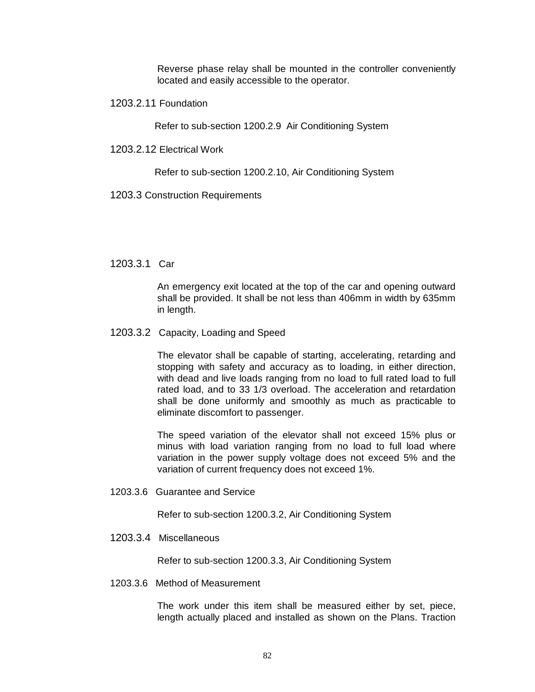Reverse phase relay shall be mounted in the controller conveniently located and easily accessible to the operator.

1203.2.11 Foundation

Refer to sub-section 1200.2.9 Air Conditioning System

1203.2.12 Electrical Work

Refer to sub-section 1200.2.10, Air Conditioning System

1203.3 Construction Requirements

1203.3.1 Car

An emergency exit located at the top of the car and opening outward shall be provided. It shall be not less than 406mm in width by 635mm in length.

1203.3.2 Capacity, Loading and Speed

The elevator shall be capable of starting, accelerating, retarding and stopping with safety and accuracy as to loading, in either direction, with dead and live loads ranging from no load to full rated load to full rated load, and to 33 1/3 overload. The acceleration and retardation shall be done uniformly and smoothly as much as practicable to eliminate discomfort to passenger.

The speed variation of the elevator shall not exceed 15% plus or minus with load variation ranging from no load to full load where variation in the power supply voltage does not exceed 5% and the variation of current frequency does not exceed 1%.

1203.3.6 Guarantee and Service

Refer to sub-section 1200.3.2, Air Conditioning System

1203.3.4 Miscellaneous

Refer to sub-section 1200.3.3, Air Conditioning System

1203.3.6 Method of Measurement

The work under this item shall be measured either by set, piece, length actually placed and installed as shown on the Plans. Traction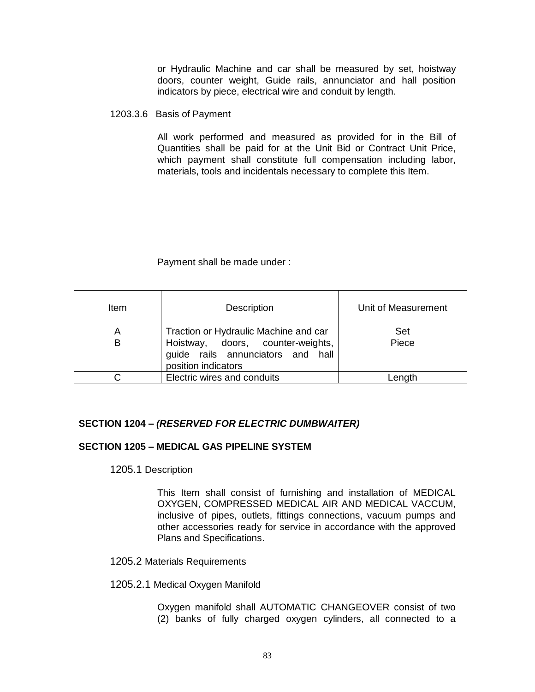or Hydraulic Machine and car shall be measured by set, hoistway doors, counter weight, Guide rails, annunciator and hall position indicators by piece, electrical wire and conduit by length.

#### 1203.3.6 Basis of Payment

All work performed and measured as provided for in the Bill of Quantities shall be paid for at the Unit Bid or Contract Unit Price, which payment shall constitute full compensation including labor, materials, tools and incidentals necessary to complete this Item.

## Payment shall be made under :

| Item | <b>Description</b>                                                                            | Unit of Measurement |
|------|-----------------------------------------------------------------------------------------------|---------------------|
| A    | Traction or Hydraulic Machine and car                                                         | Set                 |
| В    | Hoistway, doors, counter-weights,<br>guide rails annunciators and hall<br>position indicators | Piece               |
|      | Electric wires and conduits                                                                   | Length              |

# **SECTION 1204** *– (RESERVED FOR ELECTRIC DUMBWAITER)*

# **SECTION 1205 – MEDICAL GAS PIPELINE SYSTEM**

1205.1 Description

This Item shall consist of furnishing and installation of MEDICAL OXYGEN, COMPRESSED MEDICAL AIR AND MEDICAL VACCUM, inclusive of pipes, outlets, fittings connections, vacuum pumps and other accessories ready for service in accordance with the approved Plans and Specifications.

## 1205.2 Materials Requirements

## 1205.2.1 Medical Oxygen Manifold

Oxygen manifold shall AUTOMATIC CHANGEOVER consist of two (2) banks of fully charged oxygen cylinders, all connected to a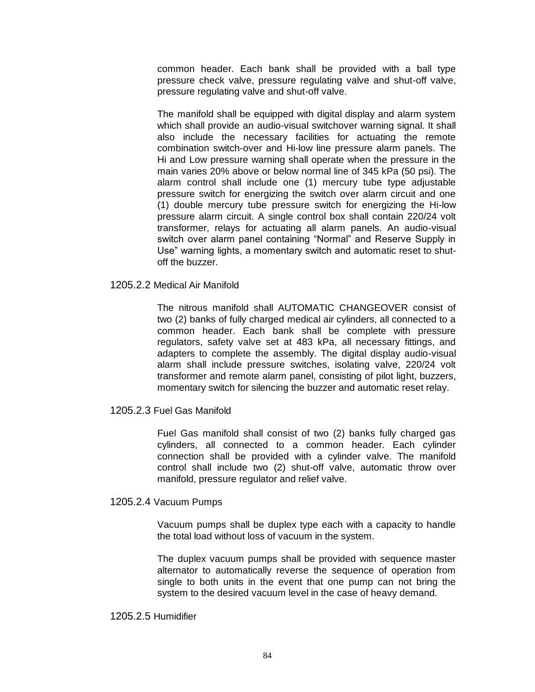common header. Each bank shall be provided with a ball type pressure check valve, pressure regulating valve and shut-off valve, pressure regulating valve and shut-off valve.

The manifold shall be equipped with digital display and alarm system which shall provide an audio-visual switchover warning signal. It shall also include the necessary facilities for actuating the remote combination switch-over and Hi-low line pressure alarm panels. The Hi and Low pressure warning shall operate when the pressure in the main varies 20% above or below normal line of 345 kPa (50 psi). The alarm control shall include one (1) mercury tube type adjustable pressure switch for energizing the switch over alarm circuit and one (1) double mercury tube pressure switch for energizing the Hi-low pressure alarm circuit. A single control box shall contain 220/24 volt transformer, relays for actuating all alarm panels. An audio-visual switch over alarm panel containing "Normal" and Reserve Supply in Use" warning lights, a momentary switch and automatic reset to shutoff the buzzer.

## 1205.2.2 Medical Air Manifold

The nitrous manifold shall AUTOMATIC CHANGEOVER consist of two (2) banks of fully charged medical air cylinders, all connected to a common header. Each bank shall be complete with pressure regulators, safety valve set at 483 kPa, all necessary fittings, and adapters to complete the assembly. The digital display audio-visual alarm shall include pressure switches, isolating valve, 220/24 volt transformer and remote alarm panel, consisting of pilot light, buzzers, momentary switch for silencing the buzzer and automatic reset relay.

## 1205.2.3 Fuel Gas Manifold

Fuel Gas manifold shall consist of two (2) banks fully charged gas cylinders, all connected to a common header. Each cylinder connection shall be provided with a cylinder valve. The manifold control shall include two (2) shut-off valve, automatic throw over manifold, pressure regulator and relief valve.

## 1205.2.4 Vacuum Pumps

Vacuum pumps shall be duplex type each with a capacity to handle the total load without loss of vacuum in the system.

The duplex vacuum pumps shall be provided with sequence master alternator to automatically reverse the sequence of operation from single to both units in the event that one pump can not bring the system to the desired vacuum level in the case of heavy demand.

## 1205.2.5 Humidifier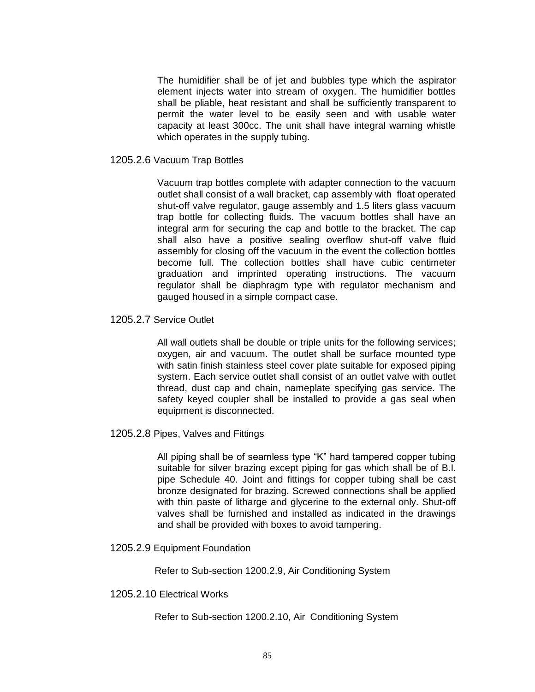The humidifier shall be of jet and bubbles type which the aspirator element injects water into stream of oxygen. The humidifier bottles shall be pliable, heat resistant and shall be sufficiently transparent to permit the water level to be easily seen and with usable water capacity at least 300cc. The unit shall have integral warning whistle which operates in the supply tubing.

## 1205.2.6 Vacuum Trap Bottles

Vacuum trap bottles complete with adapter connection to the vacuum outlet shall consist of a wall bracket, cap assembly with float operated shut-off valve regulator, gauge assembly and 1.5 liters glass vacuum trap bottle for collecting fluids. The vacuum bottles shall have an integral arm for securing the cap and bottle to the bracket. The cap shall also have a positive sealing overflow shut-off valve fluid assembly for closing off the vacuum in the event the collection bottles become full. The collection bottles shall have cubic centimeter graduation and imprinted operating instructions. The vacuum regulator shall be diaphragm type with regulator mechanism and gauged housed in a simple compact case.

# 1205.2.7 Service Outlet

All wall outlets shall be double or triple units for the following services; oxygen, air and vacuum. The outlet shall be surface mounted type with satin finish stainless steel cover plate suitable for exposed piping system. Each service outlet shall consist of an outlet valve with outlet thread, dust cap and chain, nameplate specifying gas service. The safety keyed coupler shall be installed to provide a gas seal when equipment is disconnected.

1205.2.8 Pipes, Valves and Fittings

All piping shall be of seamless type "K" hard tampered copper tubing suitable for silver brazing except piping for gas which shall be of B.I. pipe Schedule 40. Joint and fittings for copper tubing shall be cast bronze designated for brazing. Screwed connections shall be applied with thin paste of litharge and glycerine to the external only. Shut-off valves shall be furnished and installed as indicated in the drawings and shall be provided with boxes to avoid tampering.

1205.2.9 Equipment Foundation

Refer to Sub-section 1200.2.9, Air Conditioning System

1205.2.10 Electrical Works

Refer to Sub-section 1200.2.10, Air Conditioning System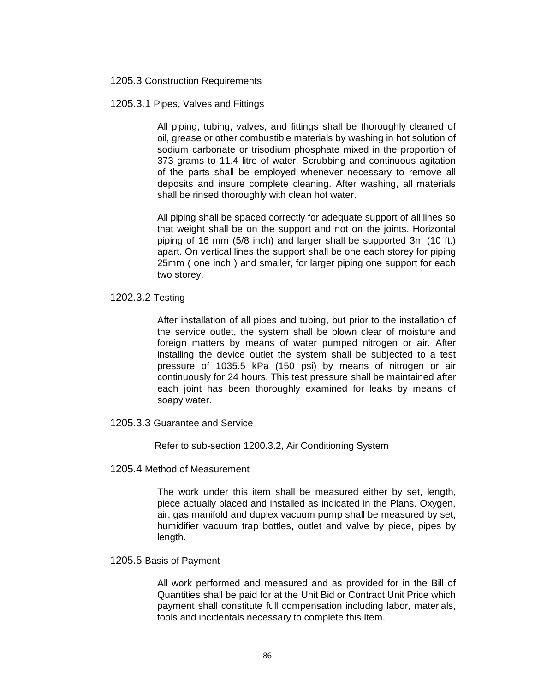1205.3 Construction Requirements

1205.3.1 Pipes, Valves and Fittings

All piping, tubing, valves, and fittings shall be thoroughly cleaned of oil, grease or other combustible materials by washing in hot solution of sodium carbonate or trisodium phosphate mixed in the proportion of 373 grams to 11.4 litre of water. Scrubbing and continuous agitation of the parts shall be employed whenever necessary to remove all deposits and insure complete cleaning. After washing, all materials shall be rinsed thoroughly with clean hot water.

All piping shall be spaced correctly for adequate support of all lines so that weight shall be on the support and not on the joints. Horizontal piping of 16 mm (5/8 inch) and larger shall be supported 3m (10 ft.) apart. On vertical lines the support shall be one each storey for piping 25mm ( one inch ) and smaller, for larger piping one support for each two storey.

1202.3.2 Testing

After installation of all pipes and tubing, but prior to the installation of the service outlet, the system shall be blown clear of moisture and foreign matters by means of water pumped nitrogen or air. After installing the device outlet the system shall be subjected to a test pressure of 1035.5 kPa (150 psi) by means of nitrogen or air continuously for 24 hours. This test pressure shall be maintained after each joint has been thoroughly examined for leaks by means of soapy water.

1205.3.3 Guarantee and Service

Refer to sub-section 1200.3.2, Air Conditioning System

1205.4 Method of Measurement

The work under this item shall be measured either by set, length, piece actually placed and installed as indicated in the Plans. Oxygen, air, gas manifold and duplex vacuum pump shall be measured by set, humidifier vacuum trap bottles, outlet and valve by piece, pipes by length.

1205.5 Basis of Payment

All work performed and measured and as provided for in the Bill of Quantities shall be paid for at the Unit Bid or Contract Unit Price which payment shall constitute full compensation including labor, materials, tools and incidentals necessary to complete this Item.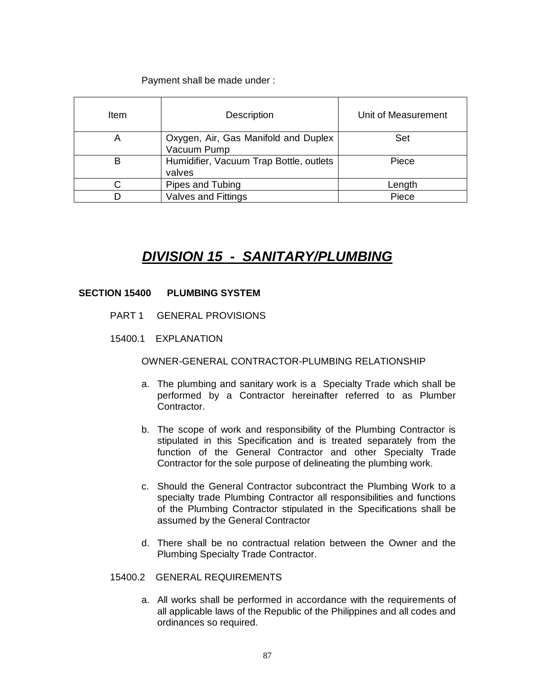Payment shall be made under :

| Item | <b>Description</b>                                  | Unit of Measurement |
|------|-----------------------------------------------------|---------------------|
| A    | Oxygen, Air, Gas Manifold and Duplex<br>Vacuum Pump | Set                 |
| B    | Humidifier, Vacuum Trap Bottle, outlets<br>valves   | Piece               |
|      | Pipes and Tubing                                    | Length              |
|      | <b>Valves and Fittings</b>                          | Piece               |

# *DIVISION 15 - SANITARY/PLUMBING*

# **SECTION 15400 PLUMBING SYSTEM**

- PART 1 GENERAL PROVISIONS
- 15400.1 EXPLANATION

# OWNER-GENERAL CONTRACTOR-PLUMBING RELATIONSHIP

- a. The plumbing and sanitary work is a Specialty Trade which shall be performed by a Contractor hereinafter referred to as Plumber Contractor.
- b. The scope of work and responsibility of the Plumbing Contractor is stipulated in this Specification and is treated separately from the function of the General Contractor and other Specialty Trade Contractor for the sole purpose of delineating the plumbing work.
- c. Should the General Contractor subcontract the Plumbing Work to a specialty trade Plumbing Contractor all responsibilities and functions of the Plumbing Contractor stipulated in the Specifications shall be assumed by the General Contractor
- d. There shall be no contractual relation between the Owner and the Plumbing Specialty Trade Contractor.

# 15400.2 GENERAL REQUIREMENTS

a. All works shall be performed in accordance with the requirements of all applicable laws of the Republic of the Philippines and all codes and ordinances so required.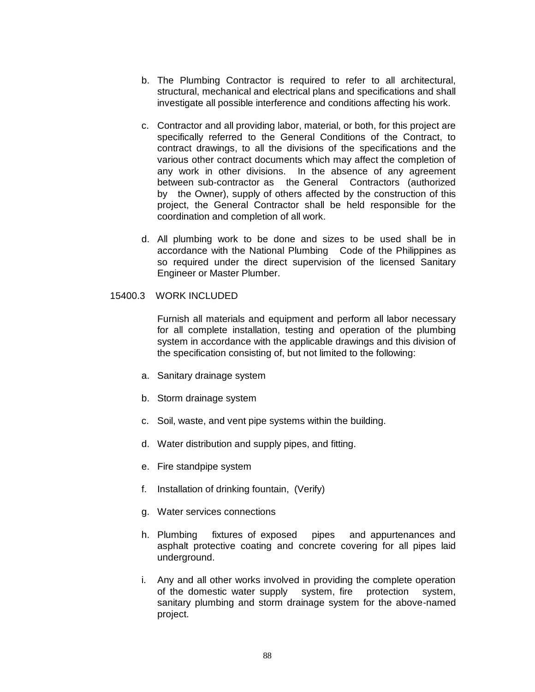- b. The Plumbing Contractor is required to refer to all architectural, structural, mechanical and electrical plans and specifications and shall investigate all possible interference and conditions affecting his work.
- c. Contractor and all providing labor, material, or both, for this project are specifically referred to the General Conditions of the Contract, to contract drawings, to all the divisions of the specifications and the various other contract documents which may affect the completion of any work in other divisions. In the absence of any agreement between sub-contractor as the General Contractors (authorized by the Owner), supply of others affected by the construction of this project, the General Contractor shall be held responsible for the coordination and completion of all work.
- d. All plumbing work to be done and sizes to be used shall be in accordance with the National Plumbing Code of the Philippines as so required under the direct supervision of the licensed Sanitary Engineer or Master Plumber.

## 15400.3 WORK INCLUDED

Furnish all materials and equipment and perform all labor necessary for all complete installation, testing and operation of the plumbing system in accordance with the applicable drawings and this division of the specification consisting of, but not limited to the following:

- a. Sanitary drainage system
- b. Storm drainage system
- c. Soil, waste, and vent pipe systems within the building.
- d. Water distribution and supply pipes, and fitting.
- e. Fire standpipe system
- f. Installation of drinking fountain, (Verify)
- g. Water services connections
- h. Plumbing fixtures of exposed pipes and appurtenances and asphalt protective coating and concrete covering for all pipes laid underground.
- i. Any and all other works involved in providing the complete operation of the domestic water supply system, fire protection system, sanitary plumbing and storm drainage system for the above-named project.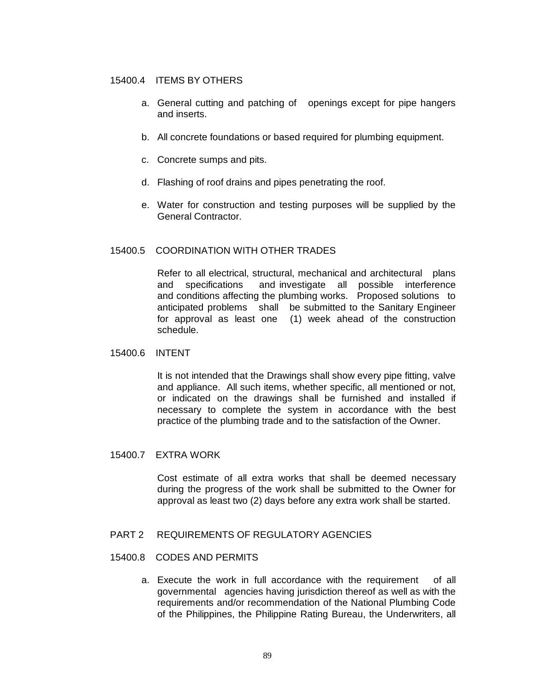# 15400.4 ITEMS BY OTHERS

- a. General cutting and patching of openings except for pipe hangers and inserts.
- b. All concrete foundations or based required for plumbing equipment.
- c. Concrete sumps and pits.
- d. Flashing of roof drains and pipes penetrating the roof.
- e. Water for construction and testing purposes will be supplied by the General Contractor.

# 15400.5 COORDINATION WITH OTHER TRADES

Refer to all electrical, structural, mechanical and architectural plans and specifications and investigate all possible interference and conditions affecting the plumbing works. Proposed solutions to anticipated problems shall be submitted to the Sanitary Engineer for approval as least one (1) week ahead of the construction schedule.

## 15400.6 INTENT

It is not intended that the Drawings shall show every pipe fitting, valve and appliance. All such items, whether specific, all mentioned or not, or indicated on the drawings shall be furnished and installed if necessary to complete the system in accordance with the best practice of the plumbing trade and to the satisfaction of the Owner.

## 15400.7 EXTRA WORK

Cost estimate of all extra works that shall be deemed necessary during the progress of the work shall be submitted to the Owner for approval as least two (2) days before any extra work shall be started.

# PART 2 REQUIREMENTS OF REGULATORY AGENCIES

# 15400.8 CODES AND PERMITS

a. Execute the work in full accordance with the requirement of all governmental agencies having jurisdiction thereof as well as with the requirements and/or recommendation of the National Plumbing Code of the Philippines, the Philippine Rating Bureau, the Underwriters, all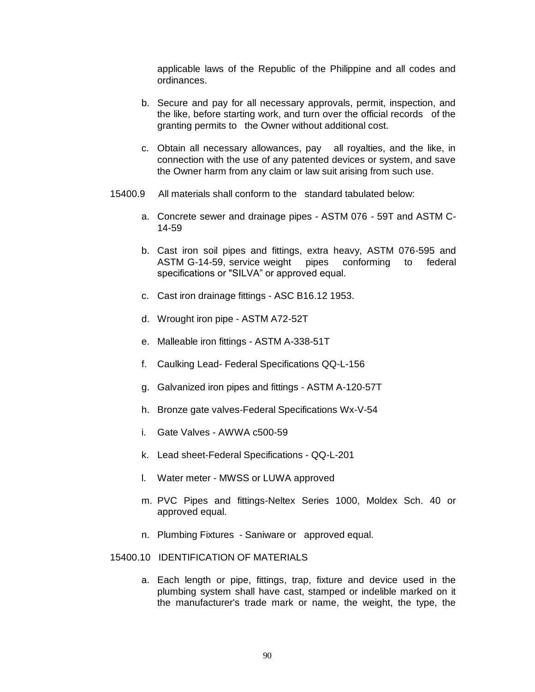applicable laws of the Republic of the Philippine and all codes and ordinances.

- b. Secure and pay for all necessary approvals, permit, inspection, and the like, before starting work, and turn over the official records of the granting permits to the Owner without additional cost.
- c. Obtain all necessary allowances, pay all royalties, and the like, in connection with the use of any patented devices or system, and save the Owner harm from any claim or law suit arising from such use.
- 15400.9 All materials shall conform to the standard tabulated below:
	- a. Concrete sewer and drainage pipes ASTM 076 59T and ASTM C-14-59
	- b. Cast iron soil pipes and fittings, extra heavy, ASTM 076-595 and ASTM G-14-59, service weight pipes conforming to federal specifications or "SILVA" or approved equal.
	- c. Cast iron drainage fittings ASC B16.12 1953.
	- d. Wrought iron pipe ASTM A72-52T
	- e. Malleable iron fittings ASTM A-338-51T
	- f. Caulking Lead- Federal Specifications QQ-L-156
	- g. Galvanized iron pipes and fittings ASTM A-120-57T
	- h. Bronze gate valves-Federal Specifications Wx-V-54
	- i. Gate Valves AWWA c500-59
	- k. Lead sheet-Federal Specifications QQ-L-201
	- l. Water meter MWSS or LUWA approved
	- m. PVC Pipes and fittings-Neltex Series 1000, Moldex Sch. 40 or approved equal.
	- n. Plumbing Fixtures Saniware or approved equal.

# 15400.10 IDENTIFICATION OF MATERIALS

a. Each length or pipe, fittings, trap, fixture and device used in the plumbing system shall have cast, stamped or indelible marked on it the manufacturer's trade mark or name, the weight, the type, the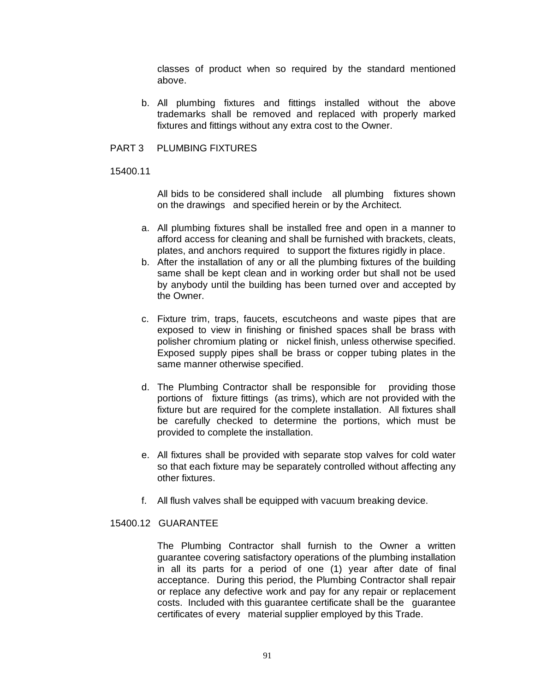classes of product when so required by the standard mentioned above.

b. All plumbing fixtures and fittings installed without the above trademarks shall be removed and replaced with properly marked fixtures and fittings without any extra cost to the Owner.

## PART 3 PLUMBING FIXTURES

15400.11

All bids to be considered shall include all plumbing fixtures shown on the drawings and specified herein or by the Architect.

- a. All plumbing fixtures shall be installed free and open in a manner to afford access for cleaning and shall be furnished with brackets, cleats, plates, and anchors required to support the fixtures rigidly in place.
- b. After the installation of any or all the plumbing fixtures of the building same shall be kept clean and in working order but shall not be used by anybody until the building has been turned over and accepted by the Owner.
- c. Fixture trim, traps, faucets, escutcheons and waste pipes that are exposed to view in finishing or finished spaces shall be brass with polisher chromium plating or nickel finish, unless otherwise specified. Exposed supply pipes shall be brass or copper tubing plates in the same manner otherwise specified.
- d. The Plumbing Contractor shall be responsible for providing those portions of fixture fittings (as trims), which are not provided with the fixture but are required for the complete installation. All fixtures shall be carefully checked to determine the portions, which must be provided to complete the installation.
- e. All fixtures shall be provided with separate stop valves for cold water so that each fixture may be separately controlled without affecting any other fixtures.
- f. All flush valves shall be equipped with vacuum breaking device.

# 15400.12 GUARANTEE

The Plumbing Contractor shall furnish to the Owner a written guarantee covering satisfactory operations of the plumbing installation in all its parts for a period of one (1) year after date of final acceptance. During this period, the Plumbing Contractor shall repair or replace any defective work and pay for any repair or replacement costs. Included with this guarantee certificate shall be the guarantee certificates of every material supplier employed by this Trade.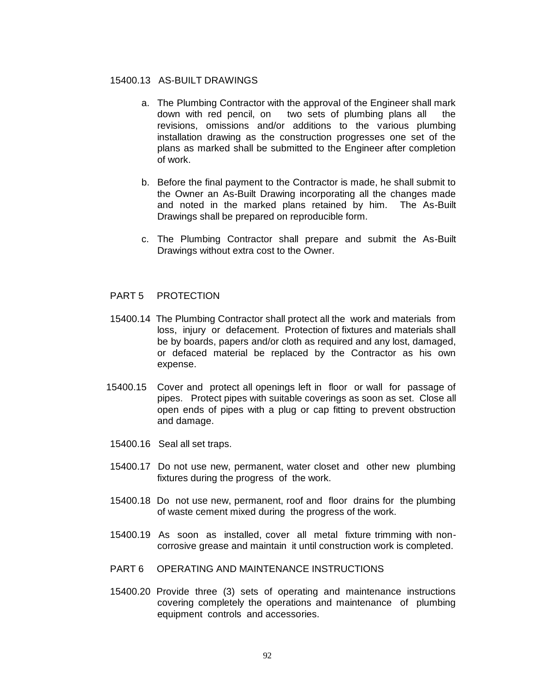## 15400.13 AS-BUILT DRAWINGS

- a. The Plumbing Contractor with the approval of the Engineer shall mark down with red pencil, on two sets of plumbing plans all the revisions, omissions and/or additions to the various plumbing installation drawing as the construction progresses one set of the plans as marked shall be submitted to the Engineer after completion of work.
- b. Before the final payment to the Contractor is made, he shall submit to the Owner an As-Built Drawing incorporating all the changes made and noted in the marked plans retained by him. The As-Built Drawings shall be prepared on reproducible form.
- c. The Plumbing Contractor shall prepare and submit the As-Built Drawings without extra cost to the Owner.

## PART 5 PROTECTION

- 15400.14 The Plumbing Contractor shall protect all the work and materials from loss, injury or defacement. Protection of fixtures and materials shall be by boards, papers and/or cloth as required and any lost, damaged, or defaced material be replaced by the Contractor as his own expense.
- 15400.15 Cover and protect all openings left in floor or wall for passage of pipes. Protect pipes with suitable coverings as soon as set. Close all open ends of pipes with a plug or cap fitting to prevent obstruction and damage.
- 15400.16 Seal all set traps.
- 15400.17 Do not use new, permanent, water closet and other new plumbing fixtures during the progress of the work.
- 15400.18 Do not use new, permanent, roof and floor drains for the plumbing of waste cement mixed during the progress of the work.
- 15400.19 As soon as installed, cover all metal fixture trimming with noncorrosive grease and maintain it until construction work is completed.
- PART 6 OPERATING AND MAINTENANCE INSTRUCTIONS
- 15400.20 Provide three (3) sets of operating and maintenance instructions covering completely the operations and maintenance of plumbing equipment controls and accessories.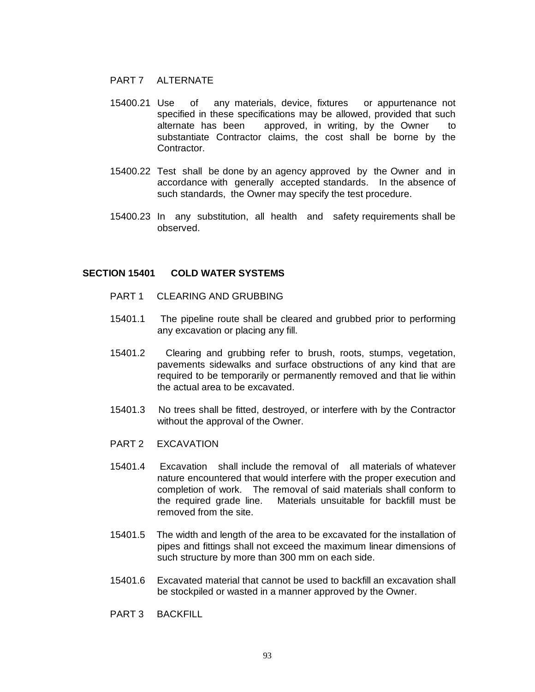# PART 7 ALTERNATE

- 15400.21 Use of any materials, device, fixtures or appurtenance not specified in these specifications may be allowed, provided that such alternate has been approved, in writing, by the Owner to substantiate Contractor claims, the cost shall be borne by the Contractor.
- 15400.22 Test shall be done by an agency approved by the Owner and in accordance with generally accepted standards. In the absence of such standards, the Owner may specify the test procedure.
- 15400.23 In any substitution, all health and safety requirements shall be observed.

## **SECTION 15401 COLD WATER SYSTEMS**

- PART 1 CLEARING AND GRUBBING
- 15401.1 The pipeline route shall be cleared and grubbed prior to performing any excavation or placing any fill.
- 15401.2 Clearing and grubbing refer to brush, roots, stumps, vegetation, pavements sidewalks and surface obstructions of any kind that are required to be temporarily or permanently removed and that lie within the actual area to be excavated.
- 15401.3 No trees shall be fitted, destroyed, or interfere with by the Contractor without the approval of the Owner.
- PART 2 EXCAVATION
- 15401.4 Excavation shall include the removal of all materials of whatever nature encountered that would interfere with the proper execution and completion of work. The removal of said materials shall conform to the required grade line. Materials unsuitable for backfill must be removed from the site.
- 15401.5 The width and length of the area to be excavated for the installation of pipes and fittings shall not exceed the maximum linear dimensions of such structure by more than 300 mm on each side.
- 15401.6 Excavated material that cannot be used to backfill an excavation shall be stockpiled or wasted in a manner approved by the Owner.
- PART 3 BACKFILL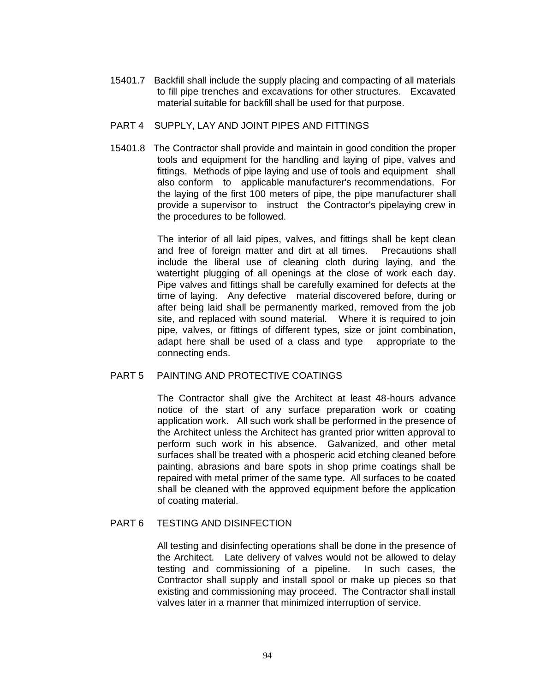15401.7 Backfill shall include the supply placing and compacting of all materials to fill pipe trenches and excavations for other structures. Excavated material suitable for backfill shall be used for that purpose.

## PART 4 SUPPLY, LAY AND JOINT PIPES AND FITTINGS

15401.8 The Contractor shall provide and maintain in good condition the proper tools and equipment for the handling and laying of pipe, valves and fittings. Methods of pipe laying and use of tools and equipment shall also conform to applicable manufacturer's recommendations. For the laying of the first 100 meters of pipe, the pipe manufacturer shall provide a supervisor to instruct the Contractor's pipelaying crew in the procedures to be followed.

> The interior of all laid pipes, valves, and fittings shall be kept clean and free of foreign matter and dirt at all times. Precautions shall include the liberal use of cleaning cloth during laying, and the watertight plugging of all openings at the close of work each day. Pipe valves and fittings shall be carefully examined for defects at the time of laying. Any defective material discovered before, during or after being laid shall be permanently marked, removed from the job site, and replaced with sound material. Where it is required to join pipe, valves, or fittings of different types, size or joint combination, adapt here shall be used of a class and type appropriate to the connecting ends.

# PART 5 PAINTING AND PROTECTIVE COATINGS

The Contractor shall give the Architect at least 48-hours advance notice of the start of any surface preparation work or coating application work. All such work shall be performed in the presence of the Architect unless the Architect has granted prior written approval to perform such work in his absence. Galvanized, and other metal surfaces shall be treated with a phosperic acid etching cleaned before painting, abrasions and bare spots in shop prime coatings shall be repaired with metal primer of the same type. All surfaces to be coated shall be cleaned with the approved equipment before the application of coating material.

## PART 6 TESTING AND DISINFECTION

All testing and disinfecting operations shall be done in the presence of the Architect. Late delivery of valves would not be allowed to delay testing and commissioning of a pipeline. In such cases, the Contractor shall supply and install spool or make up pieces so that existing and commissioning may proceed. The Contractor shall install valves later in a manner that minimized interruption of service.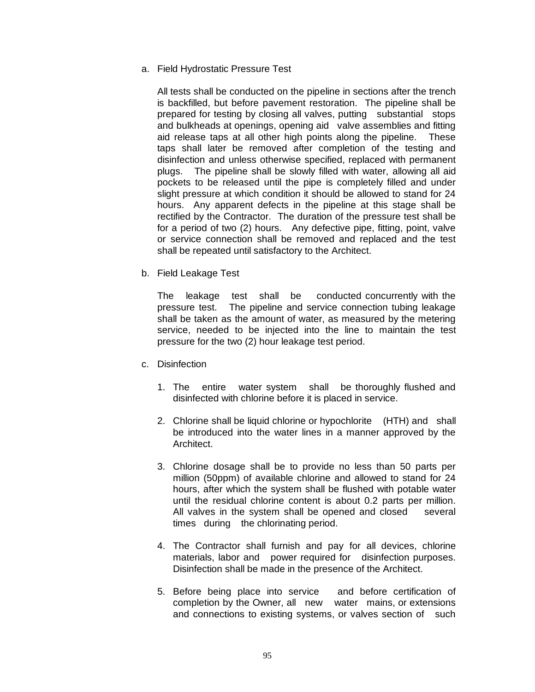a. Field Hydrostatic Pressure Test

All tests shall be conducted on the pipeline in sections after the trench is backfilled, but before pavement restoration. The pipeline shall be prepared for testing by closing all valves, putting substantial stops and bulkheads at openings, opening aid valve assemblies and fitting aid release taps at all other high points along the pipeline. These taps shall later be removed after completion of the testing and disinfection and unless otherwise specified, replaced with permanent plugs. The pipeline shall be slowly filled with water, allowing all aid pockets to be released until the pipe is completely filled and under slight pressure at which condition it should be allowed to stand for 24 hours. Any apparent defects in the pipeline at this stage shall be rectified by the Contractor. The duration of the pressure test shall be for a period of two (2) hours. Any defective pipe, fitting, point, valve or service connection shall be removed and replaced and the test shall be repeated until satisfactory to the Architect.

b. Field Leakage Test

The leakage test shall be conducted concurrently with the pressure test. The pipeline and service connection tubing leakage shall be taken as the amount of water, as measured by the metering service, needed to be injected into the line to maintain the test pressure for the two (2) hour leakage test period.

- c. Disinfection
	- 1. The entire water system shall be thoroughly flushed and disinfected with chlorine before it is placed in service.
	- 2. Chlorine shall be liquid chlorine or hypochlorite (HTH) and shall be introduced into the water lines in a manner approved by the Architect.
	- 3. Chlorine dosage shall be to provide no less than 50 parts per million (50ppm) of available chlorine and allowed to stand for 24 hours, after which the system shall be flushed with potable water until the residual chlorine content is about 0.2 parts per million. All valves in the system shall be opened and closed several times during the chlorinating period.
	- 4. The Contractor shall furnish and pay for all devices, chlorine materials, labor and power required for disinfection purposes. Disinfection shall be made in the presence of the Architect.
	- 5. Before being place into service and before certification of completion by the Owner, all new water mains, or extensions and connections to existing systems, or valves section of such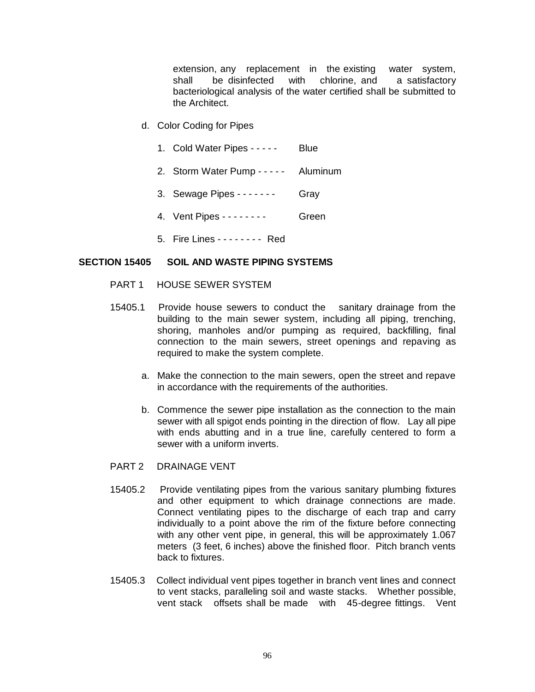extension, any replacement in the existing water system, shall be disinfected with chlorine, and a satisfactory bacteriological analysis of the water certified shall be submitted to the Architect.

- d. Color Coding for Pipes
	- 1. Cold Water Pipes - - Blue
	- 2. Storm Water Pump - - Aluminum
	- 3. Sewage Pipes - - - Gray
	- 4. Vent Pipes - - - Green
	- 5. Fire Lines - - - - Red

## **SECTION 15405 SOIL AND WASTE PIPING SYSTEMS**

- PART 1 HOUSE SEWER SYSTEM
- 15405.1 Provide house sewers to conduct the sanitary drainage from the building to the main sewer system, including all piping, trenching, shoring, manholes and/or pumping as required, backfilling, final connection to the main sewers, street openings and repaving as required to make the system complete.
	- a. Make the connection to the main sewers, open the street and repave in accordance with the requirements of the authorities.
	- b. Commence the sewer pipe installation as the connection to the main sewer with all spigot ends pointing in the direction of flow. Lay all pipe with ends abutting and in a true line, carefully centered to form a sewer with a uniform inverts.
- PART 2 DRAINAGE VENT
- 15405.2 Provide ventilating pipes from the various sanitary plumbing fixtures and other equipment to which drainage connections are made. Connect ventilating pipes to the discharge of each trap and carry individually to a point above the rim of the fixture before connecting with any other vent pipe, in general, this will be approximately 1.067 meters (3 feet, 6 inches) above the finished floor. Pitch branch vents back to fixtures.
- 15405.3 Collect individual vent pipes together in branch vent lines and connect to vent stacks, paralleling soil and waste stacks. Whether possible, vent stack offsets shall be made with 45-degree fittings. Vent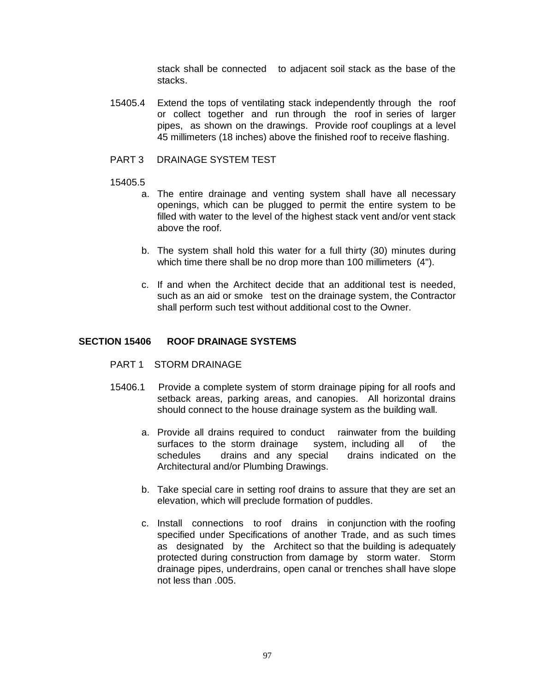stack shall be connected to adjacent soil stack as the base of the stacks.

- 15405.4 Extend the tops of ventilating stack independently through the roof or collect together and run through the roof in series of larger pipes, as shown on the drawings. Provide roof couplings at a level 45 millimeters (18 inches) above the finished roof to receive flashing.
- PART 3 DRAINAGE SYSTEM TEST

## 15405.5

- a. The entire drainage and venting system shall have all necessary openings, which can be plugged to permit the entire system to be filled with water to the level of the highest stack vent and/or vent stack above the roof.
- b. The system shall hold this water for a full thirty (30) minutes during which time there shall be no drop more than 100 millimeters (4").
- c. If and when the Architect decide that an additional test is needed, such as an aid or smoke test on the drainage system, the Contractor shall perform such test without additional cost to the Owner.

# **SECTION 15406 ROOF DRAINAGE SYSTEMS**

- PART 1 STORM DRAINAGE
- 15406.1 Provide a complete system of storm drainage piping for all roofs and setback areas, parking areas, and canopies. All horizontal drains should connect to the house drainage system as the building wall.
	- a. Provide all drains required to conduct rainwater from the building surfaces to the storm drainage system, including all of the schedules drains and any special drains indicated on the Architectural and/or Plumbing Drawings.
	- b. Take special care in setting roof drains to assure that they are set an elevation, which will preclude formation of puddles.
	- c. Install connections to roof drains in conjunction with the roofing specified under Specifications of another Trade, and as such times as designated by the Architect so that the building is adequately protected during construction from damage by storm water. Storm drainage pipes, underdrains, open canal or trenches shall have slope not less than .005.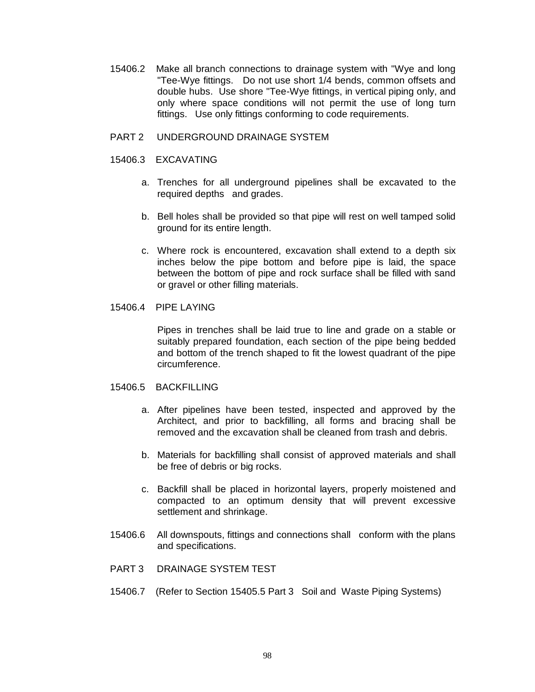- 15406.2 Make all branch connections to drainage system with "Wye and long "Tee-Wye fittings. Do not use short 1/4 bends, common offsets and double hubs. Use shore "Tee-Wye fittings, in vertical piping only, and only where space conditions will not permit the use of long turn fittings. Use only fittings conforming to code requirements.
- PART 2 UNDERGROUND DRAINAGE SYSTEM
- 15406.3 EXCAVATING
	- a. Trenches for all underground pipelines shall be excavated to the required depths and grades.
	- b. Bell holes shall be provided so that pipe will rest on well tamped solid ground for its entire length.
	- c. Where rock is encountered, excavation shall extend to a depth six inches below the pipe bottom and before pipe is laid, the space between the bottom of pipe and rock surface shall be filled with sand or gravel or other filling materials.

## 15406.4 PIPE LAYING

Pipes in trenches shall be laid true to line and grade on a stable or suitably prepared foundation, each section of the pipe being bedded and bottom of the trench shaped to fit the lowest quadrant of the pipe circumference.

## 15406.5 BACKFILLING

- a. After pipelines have been tested, inspected and approved by the Architect, and prior to backfilling, all forms and bracing shall be removed and the excavation shall be cleaned from trash and debris.
- b. Materials for backfilling shall consist of approved materials and shall be free of debris or big rocks.
- c. Backfill shall be placed in horizontal layers, properly moistened and compacted to an optimum density that will prevent excessive settlement and shrinkage.
- 15406.6 All downspouts, fittings and connections shall conform with the plans and specifications.
- PART 3 DRAINAGE SYSTEM TEST
- 15406.7 (Refer to Section 15405.5 Part 3 Soil and Waste Piping Systems)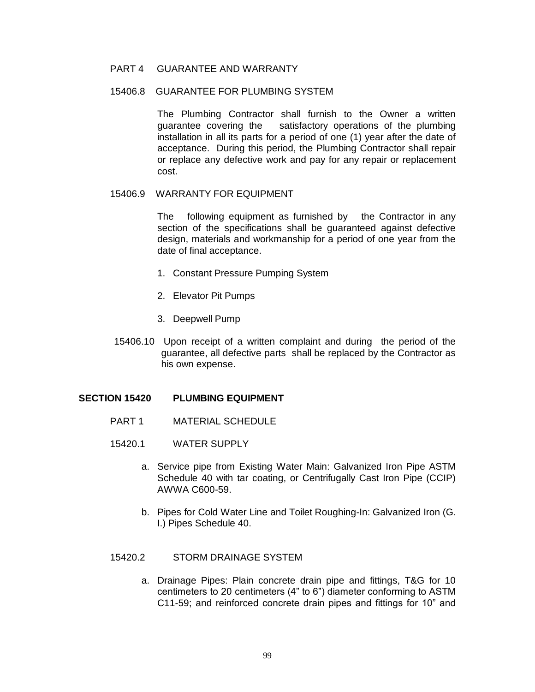# PART 4 GUARANTEE AND WARRANTY

# 15406.8 GUARANTEE FOR PLUMBING SYSTEM

The Plumbing Contractor shall furnish to the Owner a written guarantee covering the satisfactory operations of the plumbing installation in all its parts for a period of one (1) year after the date of acceptance. During this period, the Plumbing Contractor shall repair or replace any defective work and pay for any repair or replacement cost.

# 15406.9 WARRANTY FOR EQUIPMENT

The following equipment as furnished by the Contractor in any section of the specifications shall be guaranteed against defective design, materials and workmanship for a period of one year from the date of final acceptance.

- 1. Constant Pressure Pumping System
- 2. Elevator Pit Pumps
- 3. Deepwell Pump
- 15406.10 Upon receipt of a written complaint and during the period of the guarantee, all defective parts shall be replaced by the Contractor as his own expense.

## **SECTION 15420 PLUMBING EQUIPMENT**

- PART 1 MATERIAL SCHEDULE
- 15420.1 WATER SUPPLY
	- a. Service pipe from Existing Water Main: Galvanized Iron Pipe ASTM Schedule 40 with tar coating, or Centrifugally Cast Iron Pipe (CCIP) AWWA C600-59.
	- b. Pipes for Cold Water Line and Toilet Roughing-In: Galvanized Iron (G. I.) Pipes Schedule 40.

# 15420.2 STORM DRAINAGE SYSTEM

a. Drainage Pipes: Plain concrete drain pipe and fittings, T&G for 10 centimeters to 20 centimeters (4" to 6") diameter conforming to ASTM C11-59; and reinforced concrete drain pipes and fittings for 10" and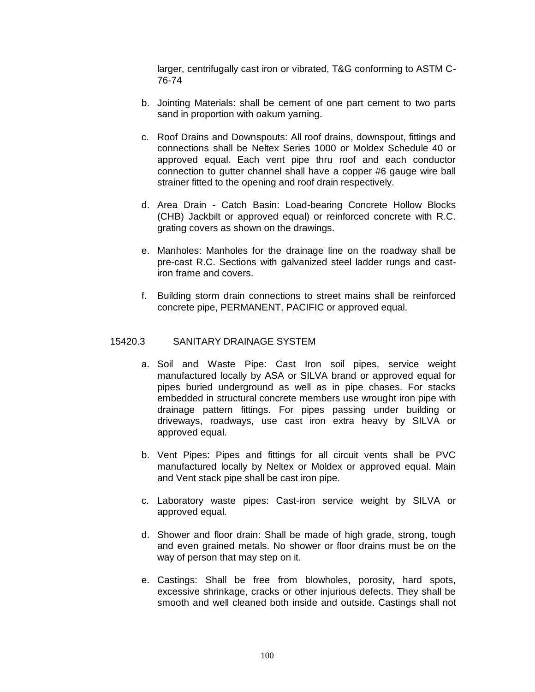larger, centrifugally cast iron or vibrated, T&G conforming to ASTM C-76-74

- b. Jointing Materials: shall be cement of one part cement to two parts sand in proportion with oakum yarning.
- c. Roof Drains and Downspouts: All roof drains, downspout, fittings and connections shall be Neltex Series 1000 or Moldex Schedule 40 or approved equal. Each vent pipe thru roof and each conductor connection to gutter channel shall have a copper #6 gauge wire ball strainer fitted to the opening and roof drain respectively.
- d. Area Drain Catch Basin: Load-bearing Concrete Hollow Blocks (CHB) Jackbilt or approved equal) or reinforced concrete with R.C. grating covers as shown on the drawings.
- e. Manholes: Manholes for the drainage line on the roadway shall be pre-cast R.C. Sections with galvanized steel ladder rungs and castiron frame and covers.
- f. Building storm drain connections to street mains shall be reinforced concrete pipe, PERMANENT, PACIFIC or approved equal.

# 15420.3 SANITARY DRAINAGE SYSTEM

- a. Soil and Waste Pipe: Cast Iron soil pipes, service weight manufactured locally by ASA or SILVA brand or approved equal for pipes buried underground as well as in pipe chases. For stacks embedded in structural concrete members use wrought iron pipe with drainage pattern fittings. For pipes passing under building or driveways, roadways, use cast iron extra heavy by SILVA or approved equal.
- b. Vent Pipes: Pipes and fittings for all circuit vents shall be PVC manufactured locally by Neltex or Moldex or approved equal. Main and Vent stack pipe shall be cast iron pipe.
- c. Laboratory waste pipes: Cast-iron service weight by SILVA or approved equal.
- d. Shower and floor drain: Shall be made of high grade, strong, tough and even grained metals. No shower or floor drains must be on the way of person that may step on it.
- e. Castings: Shall be free from blowholes, porosity, hard spots, excessive shrinkage, cracks or other injurious defects. They shall be smooth and well cleaned both inside and outside. Castings shall not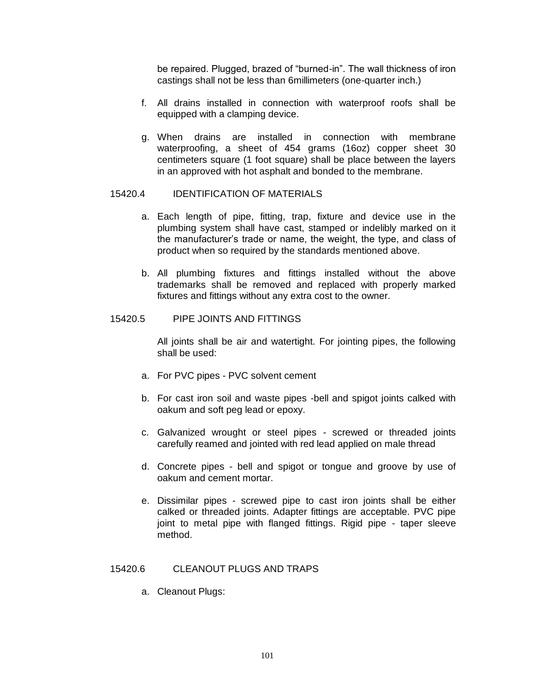be repaired. Plugged, brazed of "burned-in". The wall thickness of iron castings shall not be less than 6millimeters (one-quarter inch.)

- f. All drains installed in connection with waterproof roofs shall be equipped with a clamping device.
- g. When drains are installed in connection with membrane waterproofing, a sheet of 454 grams (16oz) copper sheet 30 centimeters square (1 foot square) shall be place between the layers in an approved with hot asphalt and bonded to the membrane.

# 15420.4 IDENTIFICATION OF MATERIALS

- a. Each length of pipe, fitting, trap, fixture and device use in the plumbing system shall have cast, stamped or indelibly marked on it the manufacturer's trade or name, the weight, the type, and class of product when so required by the standards mentioned above.
- b. All plumbing fixtures and fittings installed without the above trademarks shall be removed and replaced with properly marked fixtures and fittings without any extra cost to the owner.

#### 15420.5 PIPE JOINTS AND FITTINGS

All joints shall be air and watertight. For jointing pipes, the following shall be used:

- a. For PVC pipes PVC solvent cement
- b. For cast iron soil and waste pipes -bell and spigot joints calked with oakum and soft peg lead or epoxy.
- c. Galvanized wrought or steel pipes screwed or threaded joints carefully reamed and jointed with red lead applied on male thread
- d. Concrete pipes bell and spigot or tongue and groove by use of oakum and cement mortar.
- e. Dissimilar pipes screwed pipe to cast iron joints shall be either calked or threaded joints. Adapter fittings are acceptable. PVC pipe joint to metal pipe with flanged fittings. Rigid pipe - taper sleeve method.

# 15420.6 CLEANOUT PLUGS AND TRAPS

a. Cleanout Plugs: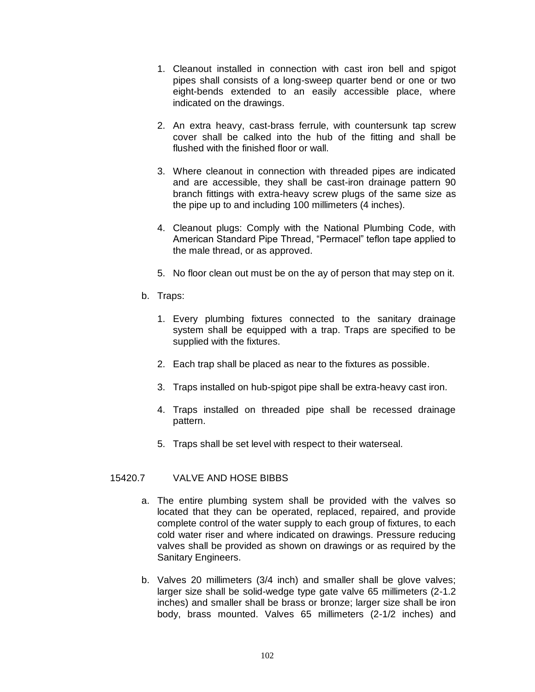- 1. Cleanout installed in connection with cast iron bell and spigot pipes shall consists of a long-sweep quarter bend or one or two eight-bends extended to an easily accessible place, where indicated on the drawings.
- 2. An extra heavy, cast-brass ferrule, with countersunk tap screw cover shall be calked into the hub of the fitting and shall be flushed with the finished floor or wall.
- 3. Where cleanout in connection with threaded pipes are indicated and are accessible, they shall be cast-iron drainage pattern 90 branch fittings with extra-heavy screw plugs of the same size as the pipe up to and including 100 millimeters (4 inches).
- 4. Cleanout plugs: Comply with the National Plumbing Code, with American Standard Pipe Thread, "Permacel" teflon tape applied to the male thread, or as approved.
- 5. No floor clean out must be on the ay of person that may step on it.
- b. Traps:
	- 1. Every plumbing fixtures connected to the sanitary drainage system shall be equipped with a trap. Traps are specified to be supplied with the fixtures.
	- 2. Each trap shall be placed as near to the fixtures as possible.
	- 3. Traps installed on hub-spigot pipe shall be extra-heavy cast iron.
	- 4. Traps installed on threaded pipe shall be recessed drainage pattern.
	- 5. Traps shall be set level with respect to their waterseal.

# 15420.7 VALVE AND HOSE BIBBS

- a. The entire plumbing system shall be provided with the valves so located that they can be operated, replaced, repaired, and provide complete control of the water supply to each group of fixtures, to each cold water riser and where indicated on drawings. Pressure reducing valves shall be provided as shown on drawings or as required by the Sanitary Engineers.
- b. Valves 20 millimeters (3/4 inch) and smaller shall be glove valves; larger size shall be solid-wedge type gate valve 65 millimeters (2-1.2 inches) and smaller shall be brass or bronze; larger size shall be iron body, brass mounted. Valves 65 millimeters (2-1/2 inches) and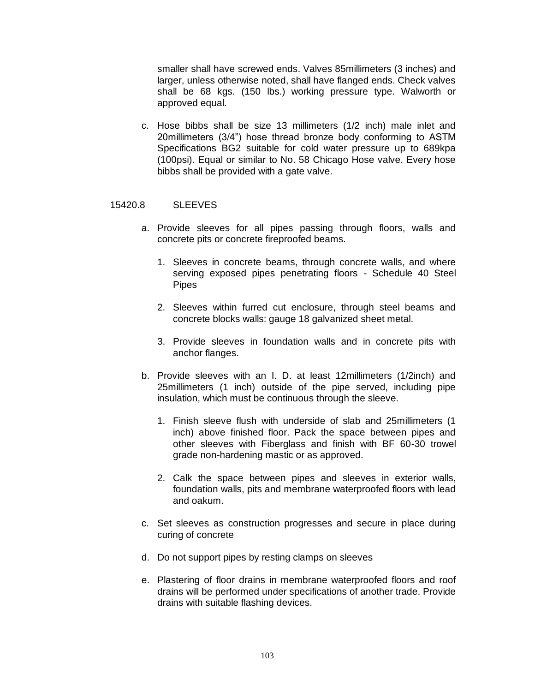smaller shall have screwed ends. Valves 85millimeters (3 inches) and larger, unless otherwise noted, shall have flanged ends. Check valves shall be 68 kgs. (150 lbs.) working pressure type. Walworth or approved equal.

c. Hose bibbs shall be size 13 millimeters (1/2 inch) male inlet and 20millimeters (3/4") hose thread bronze body conforming to ASTM Specifications BG2 suitable for cold water pressure up to 689kpa (100psi). Equal or similar to No. 58 Chicago Hose valve. Every hose bibbs shall be provided with a gate valve.

## 15420.8 SLEEVES

- a. Provide sleeves for all pipes passing through floors, walls and concrete pits or concrete fireproofed beams.
	- 1. Sleeves in concrete beams, through concrete walls, and where serving exposed pipes penetrating floors - Schedule 40 Steel Pipes
	- 2. Sleeves within furred cut enclosure, through steel beams and concrete blocks walls: gauge 18 galvanized sheet metal.
	- 3. Provide sleeves in foundation walls and in concrete pits with anchor flanges.
- b. Provide sleeves with an I. D. at least 12millimeters (1/2inch) and 25millimeters (1 inch) outside of the pipe served, including pipe insulation, which must be continuous through the sleeve.
	- 1. Finish sleeve flush with underside of slab and 25millimeters (1 inch) above finished floor. Pack the space between pipes and other sleeves with Fiberglass and finish with BF 60-30 trowel grade non-hardening mastic or as approved.
	- 2. Calk the space between pipes and sleeves in exterior walls, foundation walls, pits and membrane waterproofed floors with lead and oakum.
- c. Set sleeves as construction progresses and secure in place during curing of concrete
- d. Do not support pipes by resting clamps on sleeves
- e. Plastering of floor drains in membrane waterproofed floors and roof drains will be performed under specifications of another trade. Provide drains with suitable flashing devices.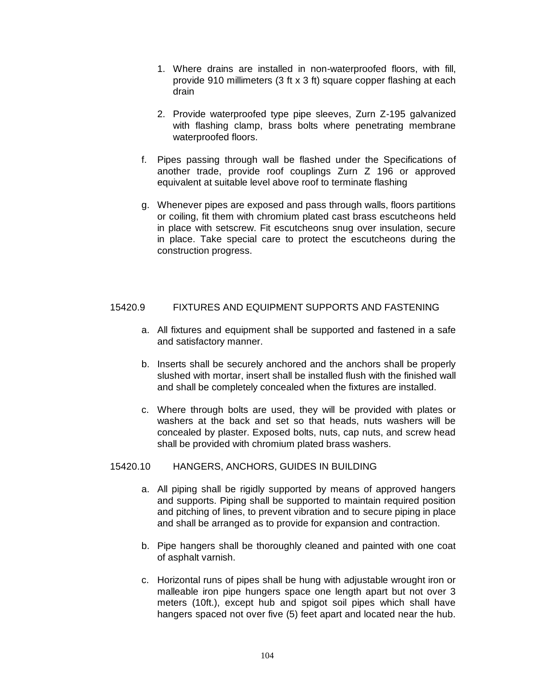- 1. Where drains are installed in non-waterproofed floors, with fill, provide 910 millimeters (3 ft x 3 ft) square copper flashing at each drain
- 2. Provide waterproofed type pipe sleeves, Zurn Z-195 galvanized with flashing clamp, brass bolts where penetrating membrane waterproofed floors.
- f. Pipes passing through wall be flashed under the Specifications of another trade, provide roof couplings Zurn Z 196 or approved equivalent at suitable level above roof to terminate flashing
- g. Whenever pipes are exposed and pass through walls, floors partitions or coiling, fit them with chromium plated cast brass escutcheons held in place with setscrew. Fit escutcheons snug over insulation, secure in place. Take special care to protect the escutcheons during the construction progress.

# 15420.9 FIXTURES AND EQUIPMENT SUPPORTS AND FASTENING

- a. All fixtures and equipment shall be supported and fastened in a safe and satisfactory manner.
- b. Inserts shall be securely anchored and the anchors shall be properly slushed with mortar, insert shall be installed flush with the finished wall and shall be completely concealed when the fixtures are installed.
- c. Where through bolts are used, they will be provided with plates or washers at the back and set so that heads, nuts washers will be concealed by plaster. Exposed bolts, nuts, cap nuts, and screw head shall be provided with chromium plated brass washers.

## 15420.10 HANGERS, ANCHORS, GUIDES IN BUILDING

- a. All piping shall be rigidly supported by means of approved hangers and supports. Piping shall be supported to maintain required position and pitching of lines, to prevent vibration and to secure piping in place and shall be arranged as to provide for expansion and contraction.
- b. Pipe hangers shall be thoroughly cleaned and painted with one coat of asphalt varnish.
- c. Horizontal runs of pipes shall be hung with adjustable wrought iron or malleable iron pipe hungers space one length apart but not over 3 meters (10ft.), except hub and spigot soil pipes which shall have hangers spaced not over five (5) feet apart and located near the hub.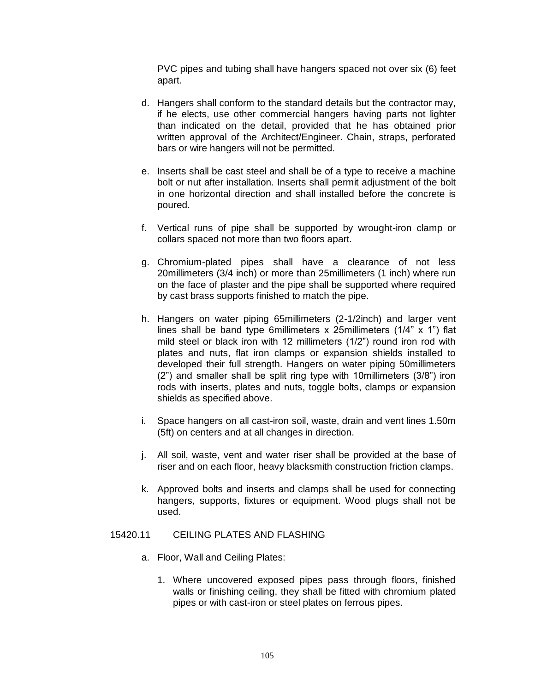PVC pipes and tubing shall have hangers spaced not over six (6) feet apart.

- d. Hangers shall conform to the standard details but the contractor may, if he elects, use other commercial hangers having parts not lighter than indicated on the detail, provided that he has obtained prior written approval of the Architect/Engineer. Chain, straps, perforated bars or wire hangers will not be permitted.
- e. Inserts shall be cast steel and shall be of a type to receive a machine bolt or nut after installation. Inserts shall permit adjustment of the bolt in one horizontal direction and shall installed before the concrete is poured.
- f. Vertical runs of pipe shall be supported by wrought-iron clamp or collars spaced not more than two floors apart.
- g. Chromium-plated pipes shall have a clearance of not less 20millimeters (3/4 inch) or more than 25millimeters (1 inch) where run on the face of plaster and the pipe shall be supported where required by cast brass supports finished to match the pipe.
- h. Hangers on water piping 65millimeters (2-1/2inch) and larger vent lines shall be band type 6millimeters x 25millimeters (1/4" x 1") flat mild steel or black iron with 12 millimeters (1/2") round iron rod with plates and nuts, flat iron clamps or expansion shields installed to developed their full strength. Hangers on water piping 50millimeters (2") and smaller shall be split ring type with 10millimeters (3/8") iron rods with inserts, plates and nuts, toggle bolts, clamps or expansion shields as specified above.
- i. Space hangers on all cast-iron soil, waste, drain and vent lines 1.50m (5ft) on centers and at all changes in direction.
- j. All soil, waste, vent and water riser shall be provided at the base of riser and on each floor, heavy blacksmith construction friction clamps.
- k. Approved bolts and inserts and clamps shall be used for connecting hangers, supports, fixtures or equipment. Wood plugs shall not be used.

# 15420.11 CEILING PLATES AND FLASHING

- a. Floor, Wall and Ceiling Plates:
	- 1. Where uncovered exposed pipes pass through floors, finished walls or finishing ceiling, they shall be fitted with chromium plated pipes or with cast-iron or steel plates on ferrous pipes.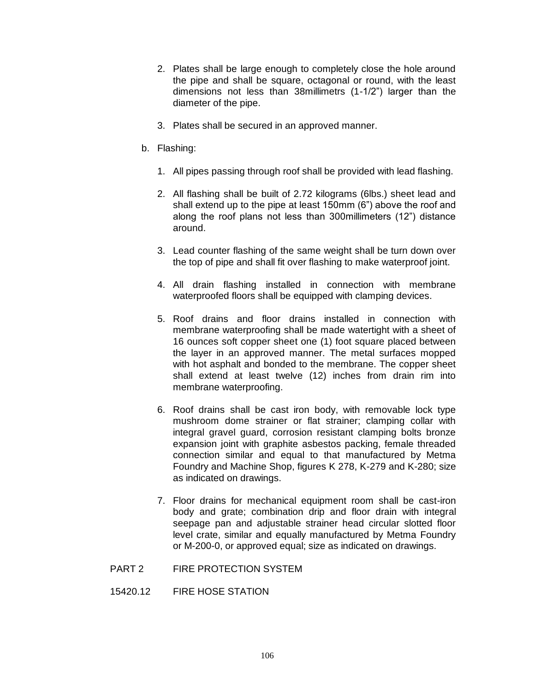- 2. Plates shall be large enough to completely close the hole around the pipe and shall be square, octagonal or round, with the least dimensions not less than 38millimetrs (1-1/2") larger than the diameter of the pipe.
- 3. Plates shall be secured in an approved manner.
- b. Flashing:
	- 1. All pipes passing through roof shall be provided with lead flashing.
	- 2. All flashing shall be built of 2.72 kilograms (6lbs.) sheet lead and shall extend up to the pipe at least 150mm (6") above the roof and along the roof plans not less than 300millimeters (12") distance around.
	- 3. Lead counter flashing of the same weight shall be turn down over the top of pipe and shall fit over flashing to make waterproof joint.
	- 4. All drain flashing installed in connection with membrane waterproofed floors shall be equipped with clamping devices.
	- 5. Roof drains and floor drains installed in connection with membrane waterproofing shall be made watertight with a sheet of 16 ounces soft copper sheet one (1) foot square placed between the layer in an approved manner. The metal surfaces mopped with hot asphalt and bonded to the membrane. The copper sheet shall extend at least twelve (12) inches from drain rim into membrane waterproofing.
	- 6. Roof drains shall be cast iron body, with removable lock type mushroom dome strainer or flat strainer; clamping collar with integral gravel guard, corrosion resistant clamping bolts bronze expansion joint with graphite asbestos packing, female threaded connection similar and equal to that manufactured by Metma Foundry and Machine Shop, figures K 278, K-279 and K-280; size as indicated on drawings.
	- 7. Floor drains for mechanical equipment room shall be cast-iron body and grate; combination drip and floor drain with integral seepage pan and adjustable strainer head circular slotted floor level crate, similar and equally manufactured by Metma Foundry or M-200-0, or approved equal; size as indicated on drawings.
- PART 2 FIRE PROTECTION SYSTEM
- 15420.12 FIRE HOSE STATION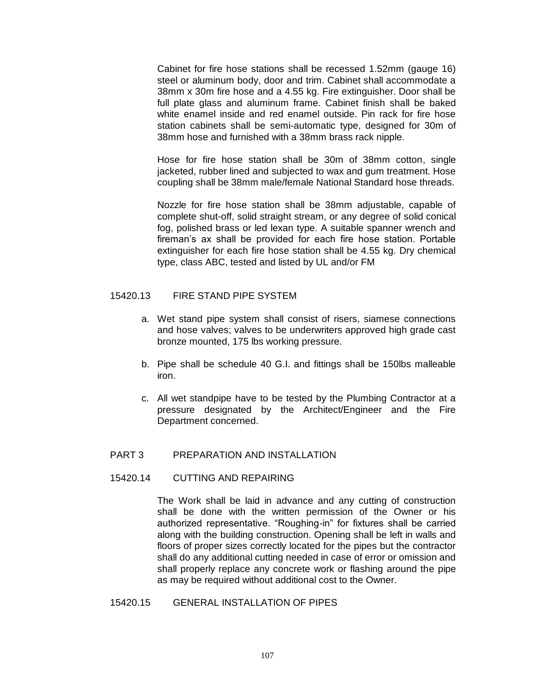Cabinet for fire hose stations shall be recessed 1.52mm (gauge 16) steel or aluminum body, door and trim. Cabinet shall accommodate a 38mm x 30m fire hose and a 4.55 kg. Fire extinguisher. Door shall be full plate glass and aluminum frame. Cabinet finish shall be baked white enamel inside and red enamel outside. Pin rack for fire hose station cabinets shall be semi-automatic type, designed for 30m of 38mm hose and furnished with a 38mm brass rack nipple.

Hose for fire hose station shall be 30m of 38mm cotton, single jacketed, rubber lined and subjected to wax and gum treatment. Hose coupling shall be 38mm male/female National Standard hose threads.

Nozzle for fire hose station shall be 38mm adjustable, capable of complete shut-off, solid straight stream, or any degree of solid conical fog, polished brass or led lexan type. A suitable spanner wrench and fireman's ax shall be provided for each fire hose station. Portable extinguisher for each fire hose station shall be 4.55 kg. Dry chemical type, class ABC, tested and listed by UL and/or FM

#### 15420.13 FIRE STAND PIPE SYSTEM

- a. Wet stand pipe system shall consist of risers, siamese connections and hose valves; valves to be underwriters approved high grade cast bronze mounted, 175 lbs working pressure.
- b. Pipe shall be schedule 40 G.I. and fittings shall be 150lbs malleable iron.
- c. All wet standpipe have to be tested by the Plumbing Contractor at a pressure designated by the Architect/Engineer and the Fire Department concerned.

#### PART 3 PREPARATION AND INSTALLATION

#### 15420.14 CUTTING AND REPAIRING

The Work shall be laid in advance and any cutting of construction shall be done with the written permission of the Owner or his authorized representative. "Roughing-in" for fixtures shall be carried along with the building construction. Opening shall be left in walls and floors of proper sizes correctly located for the pipes but the contractor shall do any additional cutting needed in case of error or omission and shall properly replace any concrete work or flashing around the pipe as may be required without additional cost to the Owner.

#### 15420.15 GENERAL INSTALLATION OF PIPES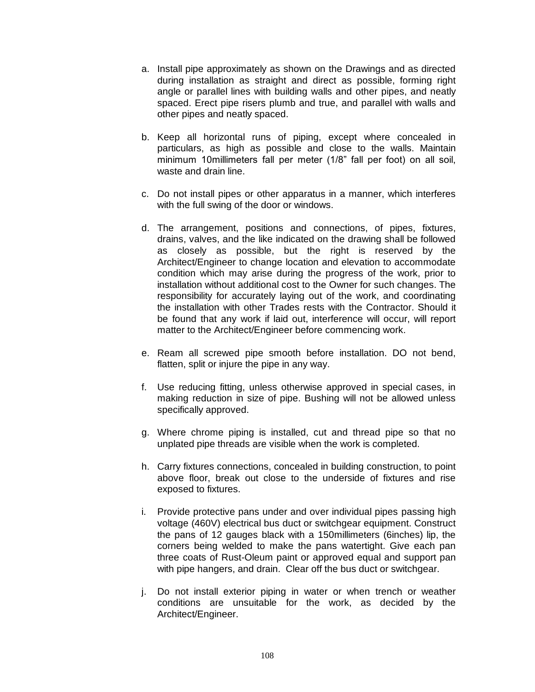- a. Install pipe approximately as shown on the Drawings and as directed during installation as straight and direct as possible, forming right angle or parallel lines with building walls and other pipes, and neatly spaced. Erect pipe risers plumb and true, and parallel with walls and other pipes and neatly spaced.
- b. Keep all horizontal runs of piping, except where concealed in particulars, as high as possible and close to the walls. Maintain minimum 10millimeters fall per meter (1/8" fall per foot) on all soil, waste and drain line.
- c. Do not install pipes or other apparatus in a manner, which interferes with the full swing of the door or windows.
- d. The arrangement, positions and connections, of pipes, fixtures, drains, valves, and the like indicated on the drawing shall be followed as closely as possible, but the right is reserved by the Architect/Engineer to change location and elevation to accommodate condition which may arise during the progress of the work, prior to installation without additional cost to the Owner for such changes. The responsibility for accurately laying out of the work, and coordinating the installation with other Trades rests with the Contractor. Should it be found that any work if laid out, interference will occur, will report matter to the Architect/Engineer before commencing work.
- e. Ream all screwed pipe smooth before installation. DO not bend, flatten, split or injure the pipe in any way.
- f. Use reducing fitting, unless otherwise approved in special cases, in making reduction in size of pipe. Bushing will not be allowed unless specifically approved.
- g. Where chrome piping is installed, cut and thread pipe so that no unplated pipe threads are visible when the work is completed.
- h. Carry fixtures connections, concealed in building construction, to point above floor, break out close to the underside of fixtures and rise exposed to fixtures.
- i. Provide protective pans under and over individual pipes passing high voltage (460V) electrical bus duct or switchgear equipment. Construct the pans of 12 gauges black with a 150millimeters (6inches) lip, the corners being welded to make the pans watertight. Give each pan three coats of Rust-Oleum paint or approved equal and support pan with pipe hangers, and drain. Clear off the bus duct or switchgear.
- j. Do not install exterior piping in water or when trench or weather conditions are unsuitable for the work, as decided by the Architect/Engineer.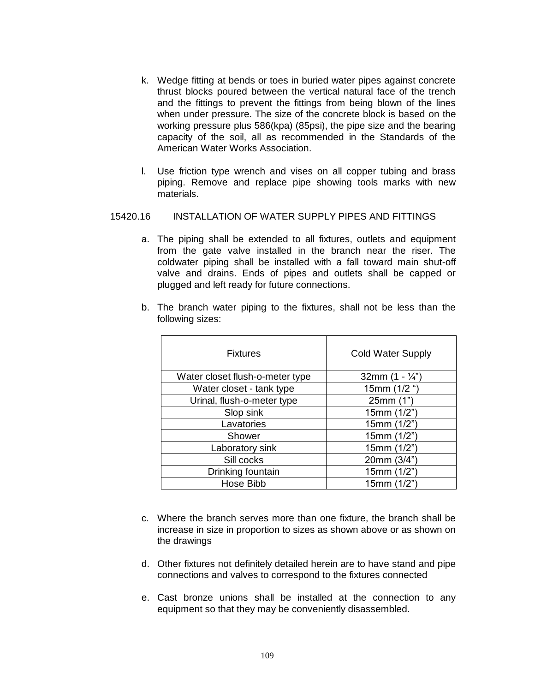- k. Wedge fitting at bends or toes in buried water pipes against concrete thrust blocks poured between the vertical natural face of the trench and the fittings to prevent the fittings from being blown of the lines when under pressure. The size of the concrete block is based on the working pressure plus 586(kpa) (85psi), the pipe size and the bearing capacity of the soil, all as recommended in the Standards of the American Water Works Association.
- l. Use friction type wrench and vises on all copper tubing and brass piping. Remove and replace pipe showing tools marks with new materials.

# 15420.16 INSTALLATION OF WATER SUPPLY PIPES AND FITTINGS

a. The piping shall be extended to all fixtures, outlets and equipment from the gate valve installed in the branch near the riser. The coldwater piping shall be installed with a fall toward main shut-off valve and drains. Ends of pipes and outlets shall be capped or plugged and left ready for future connections.

| b. The branch water piping to the fixtures, shall not be less than the |  |  |  |  |  |  |
|------------------------------------------------------------------------|--|--|--|--|--|--|
| following sizes:                                                       |  |  |  |  |  |  |

| <b>Fixtures</b>                 | <b>Cold Water Supply</b> |
|---------------------------------|--------------------------|
| Water closet flush-o-meter type | 32mm $(1 - \frac{1}{4})$ |
| Water closet - tank type        | 15mm (1/2 ")             |
| Urinal, flush-o-meter type      | 25mm (1")                |
| Slop sink                       | 15mm(1/2")               |
| Lavatories                      | 15mm (1/2")              |
| Shower                          | 15mm (1/2")              |
| Laboratory sink                 | 15mm (1/2")              |
| Sill cocks                      | 20mm (3/4")              |
| Drinking fountain               | 15mm (1/2")              |
| Hose Bibb                       | 15mm (1/2")              |

- c. Where the branch serves more than one fixture, the branch shall be increase in size in proportion to sizes as shown above or as shown on the drawings
- d. Other fixtures not definitely detailed herein are to have stand and pipe connections and valves to correspond to the fixtures connected
- e. Cast bronze unions shall be installed at the connection to any equipment so that they may be conveniently disassembled.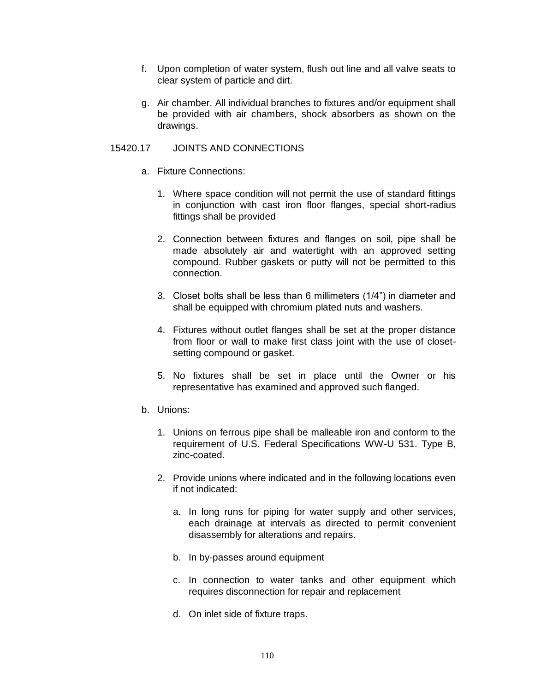- f. Upon completion of water system, flush out line and all valve seats to clear system of particle and dirt.
- g. Air chamber. All individual branches to fixtures and/or equipment shall be provided with air chambers, shock absorbers as shown on the drawings.

# 15420.17 JOINTS AND CONNECTIONS

- a. Fixture Connections:
	- 1. Where space condition will not permit the use of standard fittings in conjunction with cast iron floor flanges, special short-radius fittings shall be provided
	- 2. Connection between fixtures and flanges on soil, pipe shall be made absolutely air and watertight with an approved setting compound. Rubber gaskets or putty will not be permitted to this connection.
	- 3. Closet bolts shall be less than 6 millimeters (1/4") in diameter and shall be equipped with chromium plated nuts and washers.
	- 4. Fixtures without outlet flanges shall be set at the proper distance from floor or wall to make first class joint with the use of closetsetting compound or gasket.
	- 5. No fixtures shall be set in place until the Owner or his representative has examined and approved such flanged.
- b. Unions:
	- 1. Unions on ferrous pipe shall be malleable iron and conform to the requirement of U.S. Federal Specifications WW-U 531. Type B, zinc-coated.
	- 2. Provide unions where indicated and in the following locations even if not indicated:
		- a. In long runs for piping for water supply and other services, each drainage at intervals as directed to permit convenient disassembly for alterations and repairs.
		- b. In by-passes around equipment
		- c. In connection to water tanks and other equipment which requires disconnection for repair and replacement
		- d. On inlet side of fixture traps.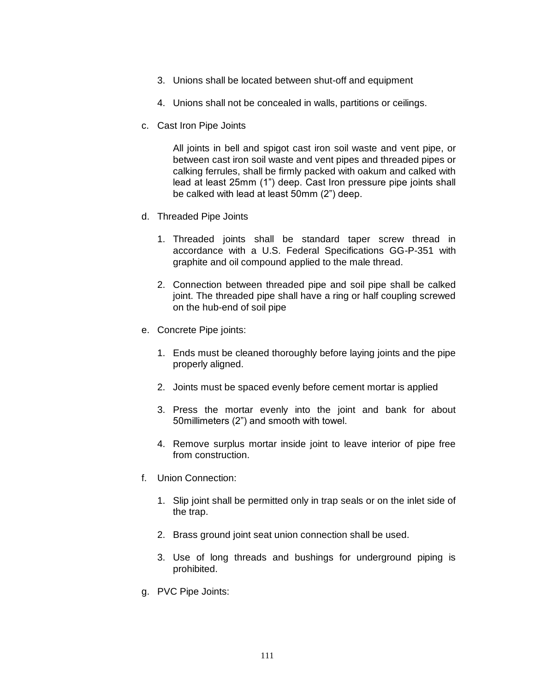- 3. Unions shall be located between shut-off and equipment
- 4. Unions shall not be concealed in walls, partitions or ceilings.
- c. Cast Iron Pipe Joints

All joints in bell and spigot cast iron soil waste and vent pipe, or between cast iron soil waste and vent pipes and threaded pipes or calking ferrules, shall be firmly packed with oakum and calked with lead at least 25mm (1") deep. Cast Iron pressure pipe joints shall be calked with lead at least 50mm (2") deep.

- d. Threaded Pipe Joints
	- 1. Threaded joints shall be standard taper screw thread in accordance with a U.S. Federal Specifications GG-P-351 with graphite and oil compound applied to the male thread.
	- 2. Connection between threaded pipe and soil pipe shall be calked joint. The threaded pipe shall have a ring or half coupling screwed on the hub-end of soil pipe
- e. Concrete Pipe joints:
	- 1. Ends must be cleaned thoroughly before laying joints and the pipe properly aligned.
	- 2. Joints must be spaced evenly before cement mortar is applied
	- 3. Press the mortar evenly into the joint and bank for about 50millimeters (2") and smooth with towel.
	- 4. Remove surplus mortar inside joint to leave interior of pipe free from construction.
- f. Union Connection:
	- 1. Slip joint shall be permitted only in trap seals or on the inlet side of the trap.
	- 2. Brass ground joint seat union connection shall be used.
	- 3. Use of long threads and bushings for underground piping is prohibited.
- g. PVC Pipe Joints: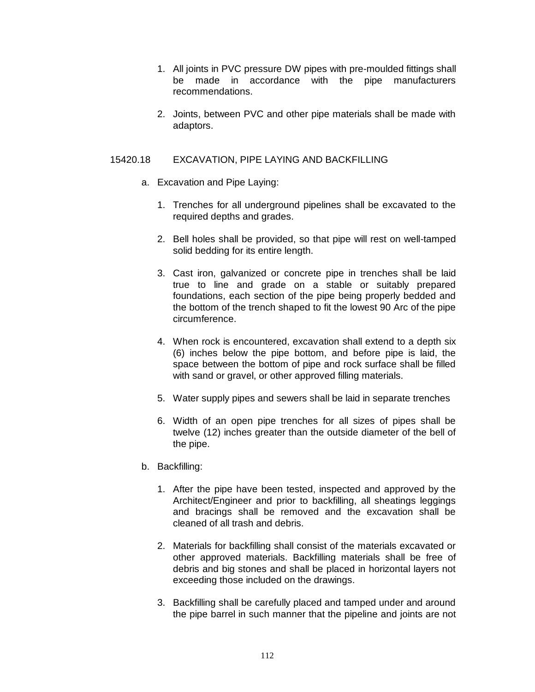- 1. All joints in PVC pressure DW pipes with pre-moulded fittings shall be made in accordance with the pipe manufacturers recommendations.
- 2. Joints, between PVC and other pipe materials shall be made with adaptors.

# 15420.18 EXCAVATION, PIPE LAYING AND BACKFILLING

- a. Excavation and Pipe Laying:
	- 1. Trenches for all underground pipelines shall be excavated to the required depths and grades.
	- 2. Bell holes shall be provided, so that pipe will rest on well-tamped solid bedding for its entire length.
	- 3. Cast iron, galvanized or concrete pipe in trenches shall be laid true to line and grade on a stable or suitably prepared foundations, each section of the pipe being properly bedded and the bottom of the trench shaped to fit the lowest 90 Arc of the pipe circumference.
	- 4. When rock is encountered, excavation shall extend to a depth six (6) inches below the pipe bottom, and before pipe is laid, the space between the bottom of pipe and rock surface shall be filled with sand or gravel, or other approved filling materials.
	- 5. Water supply pipes and sewers shall be laid in separate trenches
	- 6. Width of an open pipe trenches for all sizes of pipes shall be twelve (12) inches greater than the outside diameter of the bell of the pipe.
- b. Backfilling:
	- 1. After the pipe have been tested, inspected and approved by the Architect/Engineer and prior to backfilling, all sheatings leggings and bracings shall be removed and the excavation shall be cleaned of all trash and debris.
	- 2. Materials for backfilling shall consist of the materials excavated or other approved materials. Backfilling materials shall be free of debris and big stones and shall be placed in horizontal layers not exceeding those included on the drawings.
	- 3. Backfilling shall be carefully placed and tamped under and around the pipe barrel in such manner that the pipeline and joints are not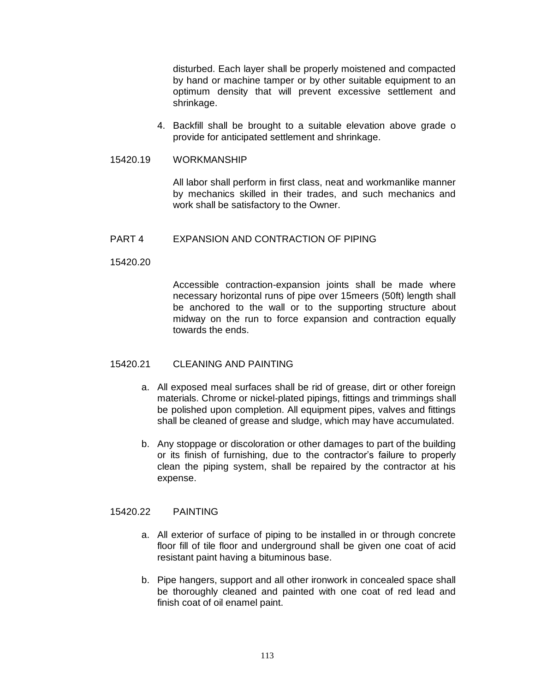disturbed. Each layer shall be properly moistened and compacted by hand or machine tamper or by other suitable equipment to an optimum density that will prevent excessive settlement and shrinkage.

4. Backfill shall be brought to a suitable elevation above grade o provide for anticipated settlement and shrinkage.

## 15420.19 WORKMANSHIP

All labor shall perform in first class, neat and workmanlike manner by mechanics skilled in their trades, and such mechanics and work shall be satisfactory to the Owner.

# PART 4 EXPANSION AND CONTRACTION OF PIPING

# 15420.20

Accessible contraction-expansion joints shall be made where necessary horizontal runs of pipe over 15meers (50ft) length shall be anchored to the wall or to the supporting structure about midway on the run to force expansion and contraction equally towards the ends.

# 15420.21 CLEANING AND PAINTING

- a. All exposed meal surfaces shall be rid of grease, dirt or other foreign materials. Chrome or nickel-plated pipings, fittings and trimmings shall be polished upon completion. All equipment pipes, valves and fittings shall be cleaned of grease and sludge, which may have accumulated.
- b. Any stoppage or discoloration or other damages to part of the building or its finish of furnishing, due to the contractor's failure to properly clean the piping system, shall be repaired by the contractor at his expense.

# 15420.22 PAINTING

- a. All exterior of surface of piping to be installed in or through concrete floor fill of tile floor and underground shall be given one coat of acid resistant paint having a bituminous base.
- b. Pipe hangers, support and all other ironwork in concealed space shall be thoroughly cleaned and painted with one coat of red lead and finish coat of oil enamel paint.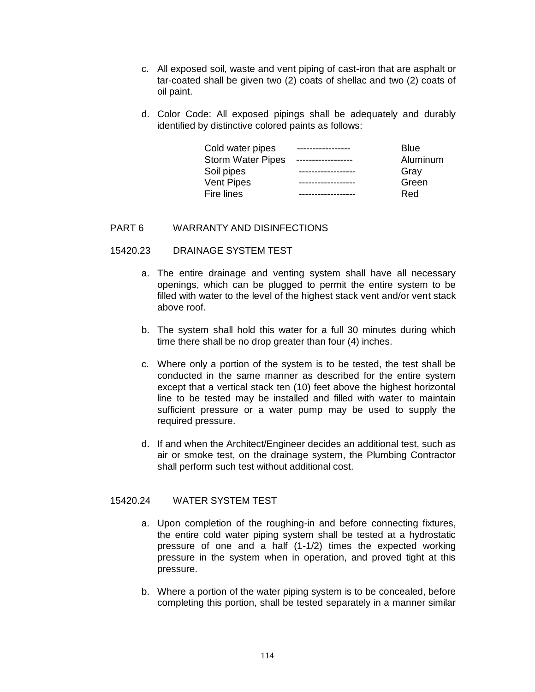- c. All exposed soil, waste and vent piping of cast-iron that are asphalt or tar-coated shall be given two (2) coats of shellac and two (2) coats of oil paint.
- d. Color Code: All exposed pipings shall be adequately and durably identified by distinctive colored paints as follows:

| Cold water pipes         | Blue     |
|--------------------------|----------|
| <b>Storm Water Pipes</b> | Aluminum |
| Soil pipes               | Gray     |
| <b>Vent Pipes</b>        | Green    |
| Fire lines               | Red      |

# PART 6 WARRANTY AND DISINFECTIONS

## 15420.23 DRAINAGE SYSTEM TEST

- a. The entire drainage and venting system shall have all necessary openings, which can be plugged to permit the entire system to be filled with water to the level of the highest stack vent and/or vent stack above roof.
- b. The system shall hold this water for a full 30 minutes during which time there shall be no drop greater than four (4) inches.
- c. Where only a portion of the system is to be tested, the test shall be conducted in the same manner as described for the entire system except that a vertical stack ten (10) feet above the highest horizontal line to be tested may be installed and filled with water to maintain sufficient pressure or a water pump may be used to supply the required pressure.
- d. If and when the Architect/Engineer decides an additional test, such as air or smoke test, on the drainage system, the Plumbing Contractor shall perform such test without additional cost.

# 15420.24 WATER SYSTEM TEST

- a. Upon completion of the roughing-in and before connecting fixtures, the entire cold water piping system shall be tested at a hydrostatic pressure of one and a half (1-1/2) times the expected working pressure in the system when in operation, and proved tight at this pressure.
- b. Where a portion of the water piping system is to be concealed, before completing this portion, shall be tested separately in a manner similar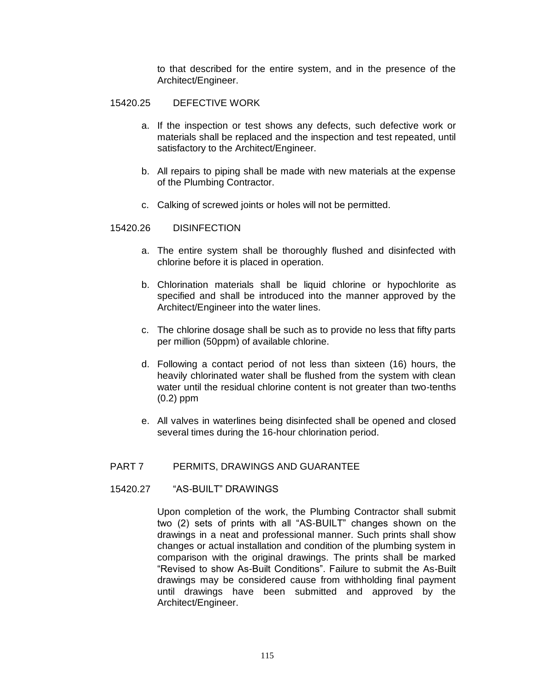to that described for the entire system, and in the presence of the Architect/Engineer.

#### 15420.25 DEFECTIVE WORK

- a. If the inspection or test shows any defects, such defective work or materials shall be replaced and the inspection and test repeated, until satisfactory to the Architect/Engineer.
- b. All repairs to piping shall be made with new materials at the expense of the Plumbing Contractor.
- c. Calking of screwed joints or holes will not be permitted.

#### 15420.26 DISINFECTION

- a. The entire system shall be thoroughly flushed and disinfected with chlorine before it is placed in operation.
- b. Chlorination materials shall be liquid chlorine or hypochlorite as specified and shall be introduced into the manner approved by the Architect/Engineer into the water lines.
- c. The chlorine dosage shall be such as to provide no less that fifty parts per million (50ppm) of available chlorine.
- d. Following a contact period of not less than sixteen (16) hours, the heavily chlorinated water shall be flushed from the system with clean water until the residual chlorine content is not greater than two-tenths (0.2) ppm
- e. All valves in waterlines being disinfected shall be opened and closed several times during the 16-hour chlorination period.

#### PART 7 PERMITS, DRAWINGS AND GUARANTEE

#### 15420.27 "AS-BUILT" DRAWINGS

Upon completion of the work, the Plumbing Contractor shall submit two (2) sets of prints with all "AS-BUILT" changes shown on the drawings in a neat and professional manner. Such prints shall show changes or actual installation and condition of the plumbing system in comparison with the original drawings. The prints shall be marked "Revised to show As-Built Conditions". Failure to submit the As-Built drawings may be considered cause from withholding final payment until drawings have been submitted and approved by the Architect/Engineer.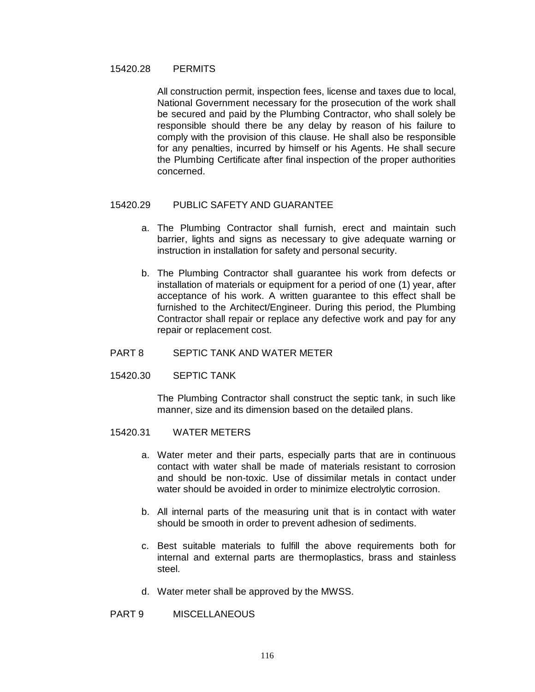#### 15420.28 PERMITS

All construction permit, inspection fees, license and taxes due to local, National Government necessary for the prosecution of the work shall be secured and paid by the Plumbing Contractor, who shall solely be responsible should there be any delay by reason of his failure to comply with the provision of this clause. He shall also be responsible for any penalties, incurred by himself or his Agents. He shall secure the Plumbing Certificate after final inspection of the proper authorities concerned.

## 15420.29 PUBLIC SAFETY AND GUARANTEE

- a. The Plumbing Contractor shall furnish, erect and maintain such barrier, lights and signs as necessary to give adequate warning or instruction in installation for safety and personal security.
- b. The Plumbing Contractor shall guarantee his work from defects or installation of materials or equipment for a period of one (1) year, after acceptance of his work. A written guarantee to this effect shall be furnished to the Architect/Engineer. During this period, the Plumbing Contractor shall repair or replace any defective work and pay for any repair or replacement cost.

## PART 8 SEPTIC TANK AND WATER METER

# 15420.30 SEPTIC TANK

The Plumbing Contractor shall construct the septic tank, in such like manner, size and its dimension based on the detailed plans.

# 15420.31 WATER METERS

- a. Water meter and their parts, especially parts that are in continuous contact with water shall be made of materials resistant to corrosion and should be non-toxic. Use of dissimilar metals in contact under water should be avoided in order to minimize electrolytic corrosion.
- b. All internal parts of the measuring unit that is in contact with water should be smooth in order to prevent adhesion of sediments.
- c. Best suitable materials to fulfill the above requirements both for internal and external parts are thermoplastics, brass and stainless steel.
- d. Water meter shall be approved by the MWSS.

## PART 9 MISCELLANEOUS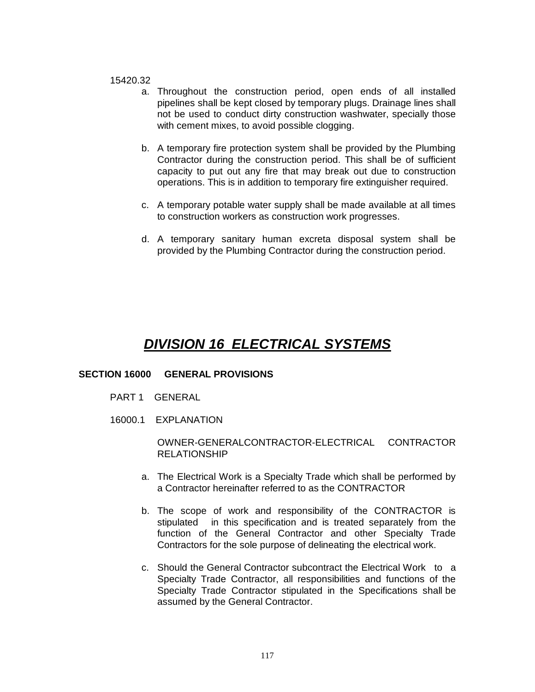#### 15420.32

- a. Throughout the construction period, open ends of all installed pipelines shall be kept closed by temporary plugs. Drainage lines shall not be used to conduct dirty construction washwater, specially those with cement mixes, to avoid possible clogging.
- b. A temporary fire protection system shall be provided by the Plumbing Contractor during the construction period. This shall be of sufficient capacity to put out any fire that may break out due to construction operations. This is in addition to temporary fire extinguisher required.
- c. A temporary potable water supply shall be made available at all times to construction workers as construction work progresses.
- d. A temporary sanitary human excreta disposal system shall be provided by the Plumbing Contractor during the construction period.

# *DIVISION 16 ELECTRICAL SYSTEMS*

## **SECTION 16000 GENERAL PROVISIONS**

- PART 1 GENERAL
- 16000.1 EXPLANATION

# OWNER-GENERALCONTRACTOR-ELECTRICAL CONTRACTOR RELATIONSHIP

- a. The Electrical Work is a Specialty Trade which shall be performed by a Contractor hereinafter referred to as the CONTRACTOR
- b. The scope of work and responsibility of the CONTRACTOR is stipulated in this specification and is treated separately from the function of the General Contractor and other Specialty Trade Contractors for the sole purpose of delineating the electrical work.
- c. Should the General Contractor subcontract the Electrical Work to a Specialty Trade Contractor, all responsibilities and functions of the Specialty Trade Contractor stipulated in the Specifications shall be assumed by the General Contractor.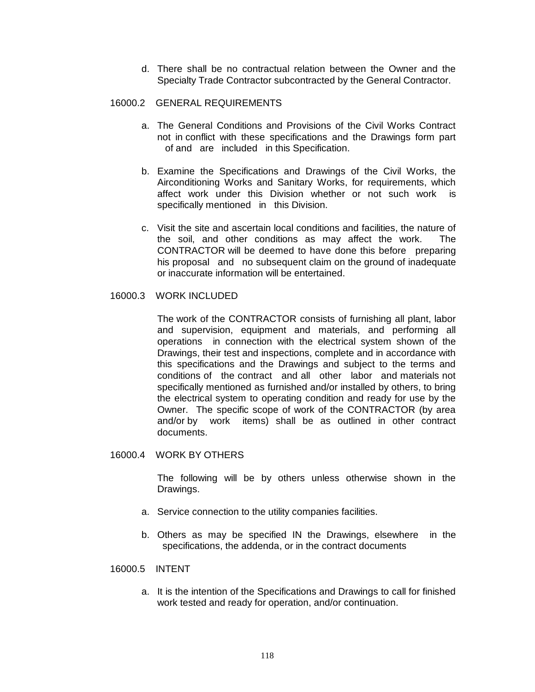d. There shall be no contractual relation between the Owner and the Specialty Trade Contractor subcontracted by the General Contractor.

# 16000.2 GENERAL REQUIREMENTS

- a. The General Conditions and Provisions of the Civil Works Contract not in conflict with these specifications and the Drawings form part of and are included in this Specification.
- b. Examine the Specifications and Drawings of the Civil Works, the Airconditioning Works and Sanitary Works, for requirements, which affect work under this Division whether or not such work is specifically mentioned in this Division.
- c. Visit the site and ascertain local conditions and facilities, the nature of the soil, and other conditions as may affect the work. The CONTRACTOR will be deemed to have done this before preparing his proposal and no subsequent claim on the ground of inadequate or inaccurate information will be entertained.

## 16000.3 WORK INCLUDED

The work of the CONTRACTOR consists of furnishing all plant, labor and supervision, equipment and materials, and performing all operations in connection with the electrical system shown of the Drawings, their test and inspections, complete and in accordance with this specifications and the Drawings and subject to the terms and conditions of the contract and all other labor and materials not specifically mentioned as furnished and/or installed by others, to bring the electrical system to operating condition and ready for use by the Owner. The specific scope of work of the CONTRACTOR (by area and/or by work items) shall be as outlined in other contract documents.

## 16000.4 WORK BY OTHERS

The following will be by others unless otherwise shown in the Drawings.

- a. Service connection to the utility companies facilities.
- b. Others as may be specified IN the Drawings, elsewhere in the specifications, the addenda, or in the contract documents

# 16000.5 INTENT

a. It is the intention of the Specifications and Drawings to call for finished work tested and ready for operation, and/or continuation.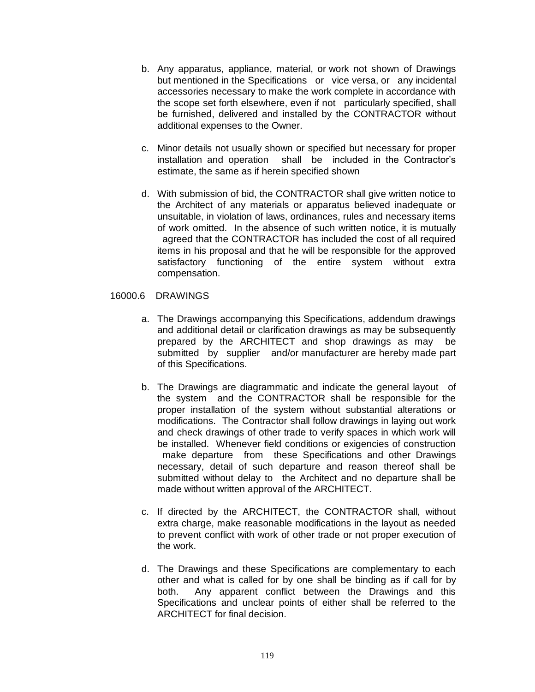- b. Any apparatus, appliance, material, or work not shown of Drawings but mentioned in the Specifications or vice versa, or any incidental accessories necessary to make the work complete in accordance with the scope set forth elsewhere, even if not particularly specified, shall be furnished, delivered and installed by the CONTRACTOR without additional expenses to the Owner.
- c. Minor details not usually shown or specified but necessary for proper installation and operation shall be included in the Contractor's estimate, the same as if herein specified shown
- d. With submission of bid, the CONTRACTOR shall give written notice to the Architect of any materials or apparatus believed inadequate or unsuitable, in violation of laws, ordinances, rules and necessary items of work omitted. In the absence of such written notice, it is mutually agreed that the CONTRACTOR has included the cost of all required items in his proposal and that he will be responsible for the approved satisfactory functioning of the entire system without extra compensation.

# 16000.6 DRAWINGS

- a. The Drawings accompanying this Specifications, addendum drawings and additional detail or clarification drawings as may be subsequently prepared by the ARCHITECT and shop drawings as may be submitted by supplier and/or manufacturer are hereby made part of this Specifications.
- b. The Drawings are diagrammatic and indicate the general layout of the system and the CONTRACTOR shall be responsible for the proper installation of the system without substantial alterations or modifications. The Contractor shall follow drawings in laying out work and check drawings of other trade to verify spaces in which work will be installed. Whenever field conditions or exigencies of construction make departure from these Specifications and other Drawings necessary, detail of such departure and reason thereof shall be submitted without delay to the Architect and no departure shall be made without written approval of the ARCHITECT.
- c. If directed by the ARCHITECT, the CONTRACTOR shall, without extra charge, make reasonable modifications in the layout as needed to prevent conflict with work of other trade or not proper execution of the work.
- d. The Drawings and these Specifications are complementary to each other and what is called for by one shall be binding as if call for by both. Any apparent conflict between the Drawings and this Specifications and unclear points of either shall be referred to the ARCHITECT for final decision.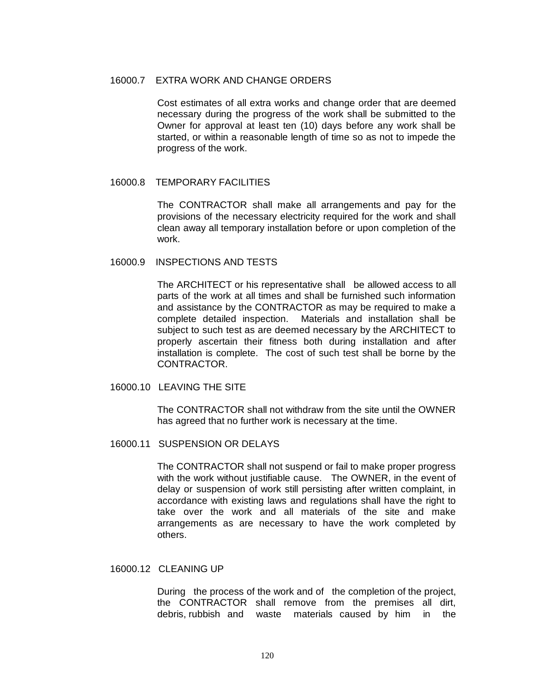#### 16000.7 EXTRA WORK AND CHANGE ORDERS

Cost estimates of all extra works and change order that are deemed necessary during the progress of the work shall be submitted to the Owner for approval at least ten (10) days before any work shall be started, or within a reasonable length of time so as not to impede the progress of the work.

## 16000.8 TEMPORARY FACILITIES

The CONTRACTOR shall make all arrangements and pay for the provisions of the necessary electricity required for the work and shall clean away all temporary installation before or upon completion of the work.

#### 16000.9 INSPECTIONS AND TESTS

The ARCHITECT or his representative shall be allowed access to all parts of the work at all times and shall be furnished such information and assistance by the CONTRACTOR as may be required to make a complete detailed inspection. Materials and installation shall be subject to such test as are deemed necessary by the ARCHITECT to properly ascertain their fitness both during installation and after installation is complete. The cost of such test shall be borne by the CONTRACTOR.

## 16000.10 LEAVING THE SITE

The CONTRACTOR shall not withdraw from the site until the OWNER has agreed that no further work is necessary at the time.

## 16000.11 SUSPENSION OR DELAYS

The CONTRACTOR shall not suspend or fail to make proper progress with the work without justifiable cause. The OWNER, in the event of delay or suspension of work still persisting after written complaint, in accordance with existing laws and regulations shall have the right to take over the work and all materials of the site and make arrangements as are necessary to have the work completed by others.

## 16000.12 CLEANING UP

During the process of the work and of the completion of the project, the CONTRACTOR shall remove from the premises all dirt, debris, rubbish and waste materials caused by him in the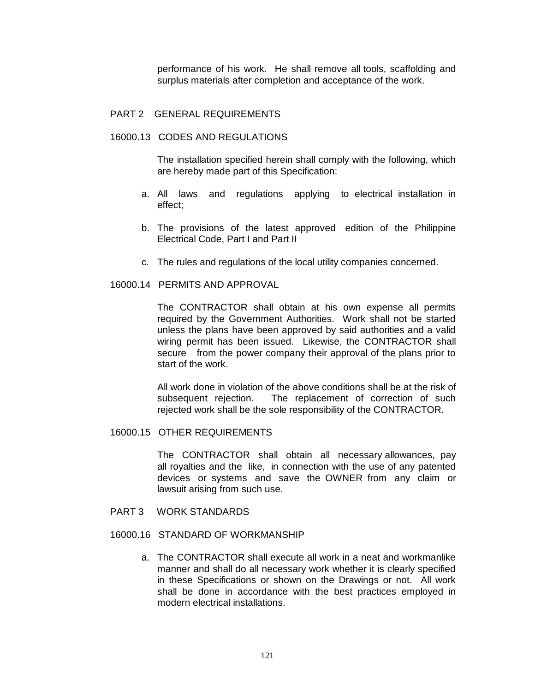performance of his work. He shall remove all tools, scaffolding and surplus materials after completion and acceptance of the work.

#### PART 2 GENERAL REQUIREMENTS

#### 16000.13 CODES AND REGULATIONS

The installation specified herein shall comply with the following, which are hereby made part of this Specification:

- a. All laws and regulations applying to electrical installation in effect;
- b. The provisions of the latest approved edition of the Philippine Electrical Code, Part I and Part II
- c. The rules and regulations of the local utility companies concerned.

## 16000.14 PERMITS AND APPROVAL

The CONTRACTOR shall obtain at his own expense all permits required by the Government Authorities. Work shall not be started unless the plans have been approved by said authorities and a valid wiring permit has been issued. Likewise, the CONTRACTOR shall secure from the power company their approval of the plans prior to start of the work.

All work done in violation of the above conditions shall be at the risk of subsequent rejection. The replacement of correction of such rejected work shall be the sole responsibility of the CONTRACTOR.

# 16000.15 OTHER REQUIREMENTS

The CONTRACTOR shall obtain all necessary allowances, pay all royalties and the like, in connection with the use of any patented devices or systems and save the OWNER from any claim or lawsuit arising from such use.

PART 3 WORK STANDARDS

# 16000.16 STANDARD OF WORKMANSHIP

a. The CONTRACTOR shall execute all work in a neat and workmanlike manner and shall do all necessary work whether it is clearly specified in these Specifications or shown on the Drawings or not. All work shall be done in accordance with the best practices employed in modern electrical installations.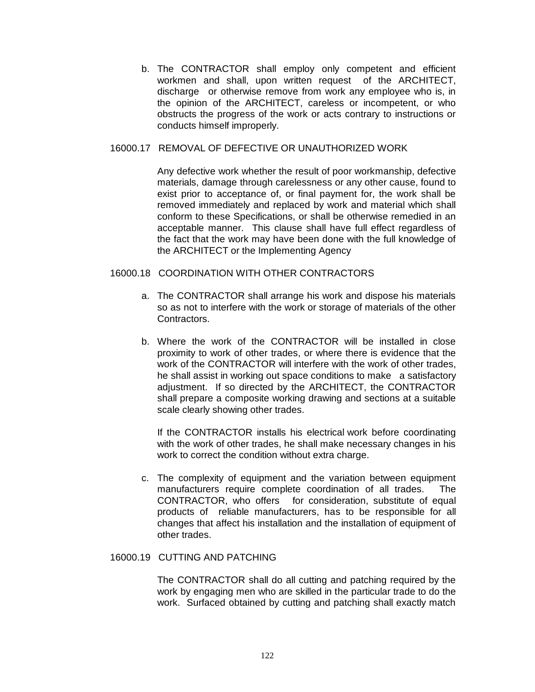b. The CONTRACTOR shall employ only competent and efficient workmen and shall, upon written request of the ARCHITECT, discharge or otherwise remove from work any employee who is, in the opinion of the ARCHITECT, careless or incompetent, or who obstructs the progress of the work or acts contrary to instructions or conducts himself improperly.

## 16000.17 REMOVAL OF DEFECTIVE OR UNAUTHORIZED WORK

Any defective work whether the result of poor workmanship, defective materials, damage through carelessness or any other cause, found to exist prior to acceptance of, or final payment for, the work shall be removed immediately and replaced by work and material which shall conform to these Specifications, or shall be otherwise remedied in an acceptable manner. This clause shall have full effect regardless of the fact that the work may have been done with the full knowledge of the ARCHITECT or the Implementing Agency

# 16000.18 COORDINATION WITH OTHER CONTRACTORS

- a. The CONTRACTOR shall arrange his work and dispose his materials so as not to interfere with the work or storage of materials of the other Contractors.
- b. Where the work of the CONTRACTOR will be installed in close proximity to work of other trades, or where there is evidence that the work of the CONTRACTOR will interfere with the work of other trades, he shall assist in working out space conditions to make a satisfactory adjustment. If so directed by the ARCHITECT, the CONTRACTOR shall prepare a composite working drawing and sections at a suitable scale clearly showing other trades.

If the CONTRACTOR installs his electrical work before coordinating with the work of other trades, he shall make necessary changes in his work to correct the condition without extra charge.

c. The complexity of equipment and the variation between equipment manufacturers require complete coordination of all trades. The CONTRACTOR, who offers for consideration, substitute of equal products of reliable manufacturers, has to be responsible for all changes that affect his installation and the installation of equipment of other trades.

# 16000.19 CUTTING AND PATCHING

The CONTRACTOR shall do all cutting and patching required by the work by engaging men who are skilled in the particular trade to do the work. Surfaced obtained by cutting and patching shall exactly match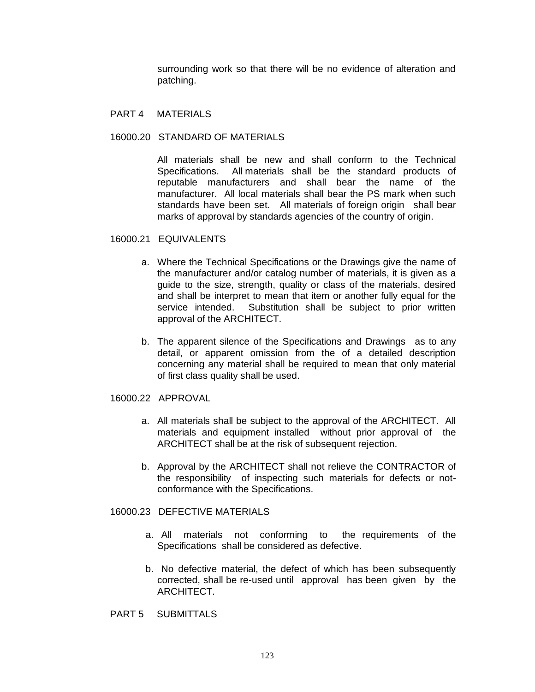surrounding work so that there will be no evidence of alteration and patching.

#### PART 4 MATERIALS

#### 16000.20 STANDARD OF MATERIALS

All materials shall be new and shall conform to the Technical Specifications. All materials shall be the standard products of reputable manufacturers and shall bear the name of the manufacturer. All local materials shall bear the PS mark when such standards have been set. All materials of foreign origin shall bear marks of approval by standards agencies of the country of origin.

#### 16000.21 EQUIVALENTS

- a. Where the Technical Specifications or the Drawings give the name of the manufacturer and/or catalog number of materials, it is given as a guide to the size, strength, quality or class of the materials, desired and shall be interpret to mean that item or another fully equal for the service intended. Substitution shall be subject to prior written approval of the ARCHITECT.
- b. The apparent silence of the Specifications and Drawings as to any detail, or apparent omission from the of a detailed description concerning any material shall be required to mean that only material of first class quality shall be used.

## 16000.22 APPROVAL

- a. All materials shall be subject to the approval of the ARCHITECT. All materials and equipment installed without prior approval of the ARCHITECT shall be at the risk of subsequent rejection.
- b. Approval by the ARCHITECT shall not relieve the CONTRACTOR of the responsibility of inspecting such materials for defects or notconformance with the Specifications.

# 16000.23 DEFECTIVE MATERIALS

- a. All materials not conforming to the requirements of the Specifications shall be considered as defective.
- b. No defective material, the defect of which has been subsequently corrected, shall be re-used until approval has been given by the ARCHITECT.
- PART 5 SUBMITTALS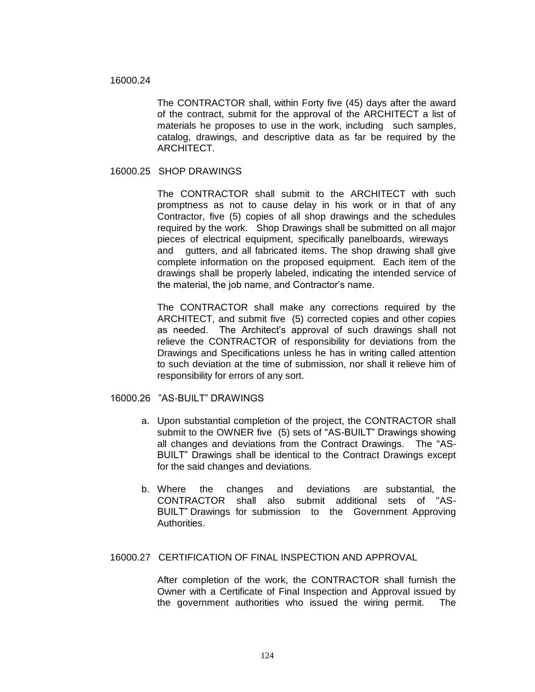#### 16000.24

The CONTRACTOR shall, within Forty five (45) days after the award of the contract, submit for the approval of the ARCHITECT a list of materials he proposes to use in the work, including such samples, catalog, drawings, and descriptive data as far be required by the ARCHITECT.

# 16000.25 SHOP DRAWINGS

The CONTRACTOR shall submit to the ARCHITECT with such promptness as not to cause delay in his work or in that of any Contractor, five (5) copies of all shop drawings and the schedules required by the work. Shop Drawings shall be submitted on all major pieces of electrical equipment, specifically panelboards, wireways and gutters, and all fabricated items. The shop drawing shall give complete information on the proposed equipment. Each item of the drawings shall be properly labeled, indicating the intended service of the material, the job name, and Contractor's name.

The CONTRACTOR shall make any corrections required by the ARCHITECT, and submit five (5) corrected copies and other copies as needed. The Architect's approval of such drawings shall not relieve the CONTRACTOR of responsibility for deviations from the Drawings and Specifications unless he has in writing called attention to such deviation at the time of submission, nor shall it relieve him of responsibility for errors of any sort.

## 16000.26 "AS-BUILT" DRAWINGS

- a. Upon substantial completion of the project, the CONTRACTOR shall submit to the OWNER five (5) sets of "AS-BUILT" Drawings showing all changes and deviations from the Contract Drawings. The "AS-BUILT" Drawings shall be identical to the Contract Drawings except for the said changes and deviations.
- b. Where the changes and deviations are substantial, the CONTRACTOR shall also submit additional sets of "AS-BUILT" Drawings for submission to the Government Approving Authorities.

## 16000.27 CERTIFICATION OF FINAL INSPECTION AND APPROVAL

After completion of the work, the CONTRACTOR shall furnish the Owner with a Certificate of Final Inspection and Approval issued by the government authorities who issued the wiring permit. The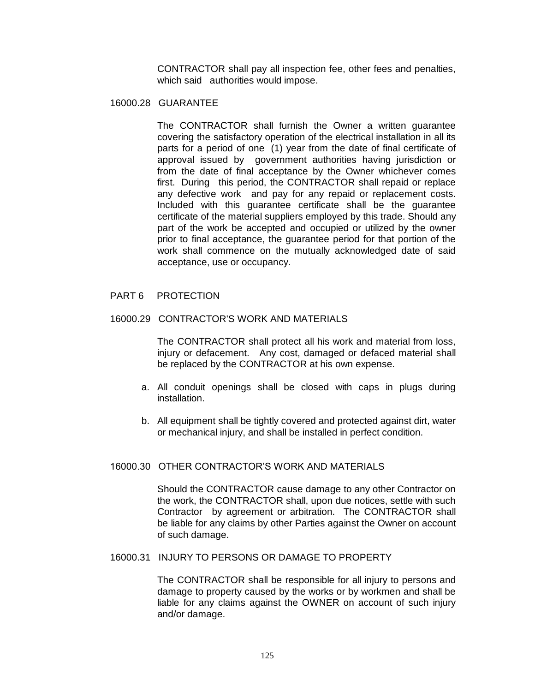CONTRACTOR shall pay all inspection fee, other fees and penalties, which said authorities would impose.

# 16000.28 GUARANTEE

The CONTRACTOR shall furnish the Owner a written guarantee covering the satisfactory operation of the electrical installation in all its parts for a period of one (1) year from the date of final certificate of approval issued by government authorities having jurisdiction or from the date of final acceptance by the Owner whichever comes first. During this period, the CONTRACTOR shall repaid or replace any defective work and pay for any repaid or replacement costs. Included with this guarantee certificate shall be the guarantee certificate of the material suppliers employed by this trade. Should any part of the work be accepted and occupied or utilized by the owner prior to final acceptance, the guarantee period for that portion of the work shall commence on the mutually acknowledged date of said acceptance, use or occupancy.

## PART 6 PROTECTION

#### 16000.29 CONTRACTOR'S WORK AND MATERIALS

The CONTRACTOR shall protect all his work and material from loss, injury or defacement. Any cost, damaged or defaced material shall be replaced by the CONTRACTOR at his own expense.

- a. All conduit openings shall be closed with caps in plugs during installation.
- b. All equipment shall be tightly covered and protected against dirt, water or mechanical injury, and shall be installed in perfect condition.

#### 16000.30 OTHER CONTRACTOR'S WORK AND MATERIALS

Should the CONTRACTOR cause damage to any other Contractor on the work, the CONTRACTOR shall, upon due notices, settle with such Contractor by agreement or arbitration. The CONTRACTOR shall be liable for any claims by other Parties against the Owner on account of such damage.

## 16000.31 INJURY TO PERSONS OR DAMAGE TO PROPERTY

The CONTRACTOR shall be responsible for all injury to persons and damage to property caused by the works or by workmen and shall be liable for any claims against the OWNER on account of such injury and/or damage.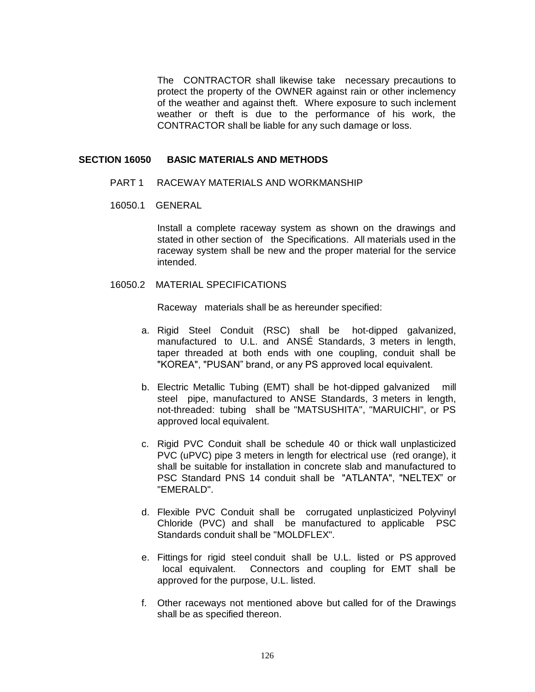The CONTRACTOR shall likewise take necessary precautions to protect the property of the OWNER against rain or other inclemency of the weather and against theft. Where exposure to such inclement weather or theft is due to the performance of his work, the CONTRACTOR shall be liable for any such damage or loss.

#### **SECTION 16050 BASIC MATERIALS AND METHODS**

- PART 1 RACEWAY MATERIALS AND WORKMANSHIP
- 16050.1 GENERAL

Install a complete raceway system as shown on the drawings and stated in other section of the Specifications. All materials used in the raceway system shall be new and the proper material for the service intended.

## 16050.2 MATERIAL SPECIFICATIONS

Raceway materials shall be as hereunder specified:

- a. Rigid Steel Conduit (RSC) shall be hot-dipped galvanized, manufactured to U.L. and ANSÉ Standards, 3 meters in length, taper threaded at both ends with one coupling, conduit shall be "KOREA", "PUSAN" brand, or any PS approved local equivalent.
- b. Electric Metallic Tubing (EMT) shall be hot-dipped galvanized mill steel pipe, manufactured to ANSE Standards, 3 meters in length, not-threaded: tubing shall be "MATSUSHITA", "MARUICHI", or PS approved local equivalent.
- c. Rigid PVC Conduit shall be schedule 40 or thick wall unplasticized PVC (uPVC) pipe 3 meters in length for electrical use (red orange), it shall be suitable for installation in concrete slab and manufactured to PSC Standard PNS 14 conduit shall be "ATLANTA", "NELTEX" or "EMERALD".
- d. Flexible PVC Conduit shall be corrugated unplasticized Polyvinyl Chloride (PVC) and shall be manufactured to applicable PSC Standards conduit shall be "MOLDFLEX".
- e. Fittings for rigid steel conduit shall be U.L. listed or PS approved local equivalent. Connectors and coupling for EMT shall be approved for the purpose, U.L. listed.
- f. Other raceways not mentioned above but called for of the Drawings shall be as specified thereon.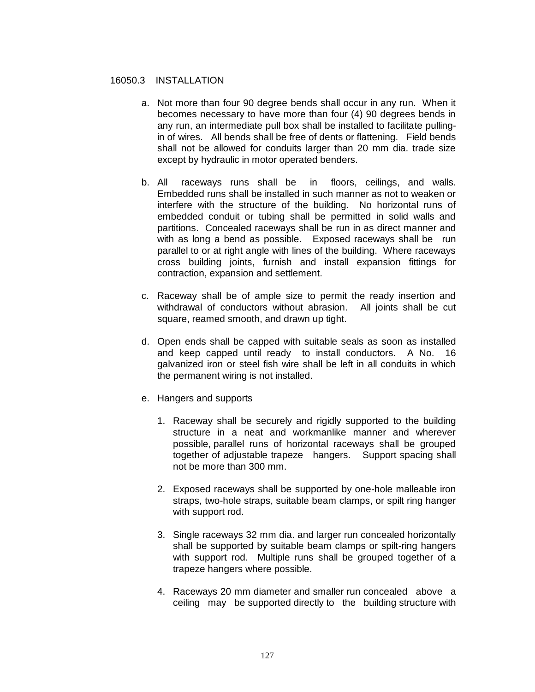# 16050.3 INSTALLATION

- a. Not more than four 90 degree bends shall occur in any run. When it becomes necessary to have more than four (4) 90 degrees bends in any run, an intermediate pull box shall be installed to facilitate pullingin of wires. All bends shall be free of dents or flattening. Field bends shall not be allowed for conduits larger than 20 mm dia. trade size except by hydraulic in motor operated benders.
- b. All raceways runs shall be in floors, ceilings, and walls. Embedded runs shall be installed in such manner as not to weaken or interfere with the structure of the building. No horizontal runs of embedded conduit or tubing shall be permitted in solid walls and partitions. Concealed raceways shall be run in as direct manner and with as long a bend as possible. Exposed raceways shall be run parallel to or at right angle with lines of the building. Where raceways cross building joints, furnish and install expansion fittings for contraction, expansion and settlement.
- c. Raceway shall be of ample size to permit the ready insertion and withdrawal of conductors without abrasion. All joints shall be cut square, reamed smooth, and drawn up tight.
- d. Open ends shall be capped with suitable seals as soon as installed and keep capped until ready to install conductors. A No. 16 galvanized iron or steel fish wire shall be left in all conduits in which the permanent wiring is not installed.
- e. Hangers and supports
	- 1. Raceway shall be securely and rigidly supported to the building structure in a neat and workmanlike manner and wherever possible, parallel runs of horizontal raceways shall be grouped together of adjustable trapeze hangers. Support spacing shall not be more than 300 mm.
	- 2. Exposed raceways shall be supported by one-hole malleable iron straps, two-hole straps, suitable beam clamps, or spilt ring hanger with support rod.
	- 3. Single raceways 32 mm dia. and larger run concealed horizontally shall be supported by suitable beam clamps or spilt-ring hangers with support rod. Multiple runs shall be grouped together of a trapeze hangers where possible.
	- 4. Raceways 20 mm diameter and smaller run concealed above a ceiling may be supported directly to the building structure with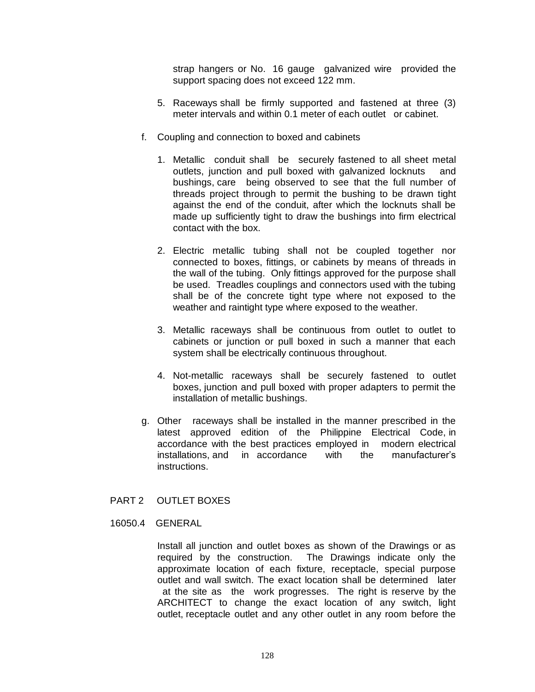strap hangers or No. 16 gauge galvanized wire provided the support spacing does not exceed 122 mm.

- 5. Raceways shall be firmly supported and fastened at three (3) meter intervals and within 0.1 meter of each outlet or cabinet.
- f. Coupling and connection to boxed and cabinets
	- 1. Metallic conduit shall be securely fastened to all sheet metal outlets, junction and pull boxed with galvanized locknuts and bushings, care being observed to see that the full number of threads project through to permit the bushing to be drawn tight against the end of the conduit, after which the locknuts shall be made up sufficiently tight to draw the bushings into firm electrical contact with the box.
	- 2. Electric metallic tubing shall not be coupled together nor connected to boxes, fittings, or cabinets by means of threads in the wall of the tubing. Only fittings approved for the purpose shall be used. Treadles couplings and connectors used with the tubing shall be of the concrete tight type where not exposed to the weather and raintight type where exposed to the weather.
	- 3. Metallic raceways shall be continuous from outlet to outlet to cabinets or junction or pull boxed in such a manner that each system shall be electrically continuous throughout.
	- 4. Not-metallic raceways shall be securely fastened to outlet boxes, junction and pull boxed with proper adapters to permit the installation of metallic bushings.
- g. Other raceways shall be installed in the manner prescribed in the latest approved edition of the Philippine Electrical Code, in accordance with the best practices employed in modern electrical installations, and in accordance with the manufacturer's instructions.
- PART 2 OUTLET BOXES
- 16050.4 GENERAL

Install all junction and outlet boxes as shown of the Drawings or as required by the construction. The Drawings indicate only the approximate location of each fixture, receptacle, special purpose outlet and wall switch. The exact location shall be determined later at the site as the work progresses. The right is reserve by the ARCHITECT to change the exact location of any switch, light outlet, receptacle outlet and any other outlet in any room before the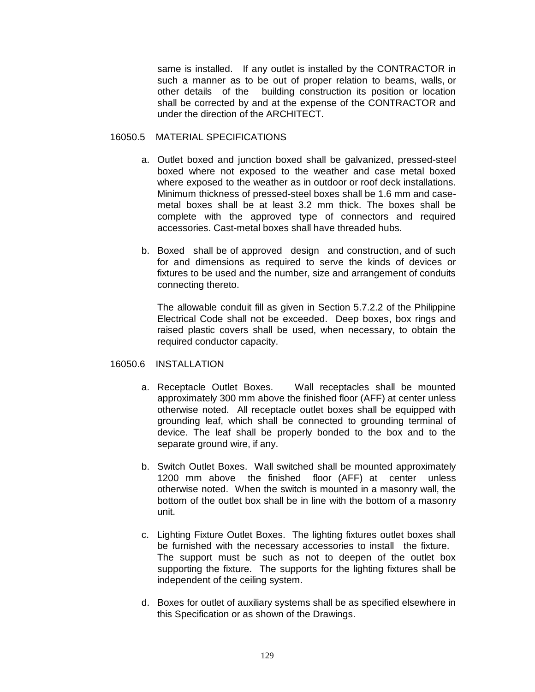same is installed. If any outlet is installed by the CONTRACTOR in such a manner as to be out of proper relation to beams, walls, or other details of the building construction its position or location shall be corrected by and at the expense of the CONTRACTOR and under the direction of the ARCHITECT.

## 16050.5 MATERIAL SPECIFICATIONS

- a. Outlet boxed and junction boxed shall be galvanized, pressed-steel boxed where not exposed to the weather and case metal boxed where exposed to the weather as in outdoor or roof deck installations. Minimum thickness of pressed-steel boxes shall be 1.6 mm and casemetal boxes shall be at least 3.2 mm thick. The boxes shall be complete with the approved type of connectors and required accessories. Cast-metal boxes shall have threaded hubs.
- b. Boxed shall be of approved design and construction, and of such for and dimensions as required to serve the kinds of devices or fixtures to be used and the number, size and arrangement of conduits connecting thereto.

The allowable conduit fill as given in Section 5.7.2.2 of the Philippine Electrical Code shall not be exceeded. Deep boxes, box rings and raised plastic covers shall be used, when necessary, to obtain the required conductor capacity.

## 16050.6 INSTALLATION

- a. Receptacle Outlet Boxes. Wall receptacles shall be mounted approximately 300 mm above the finished floor (AFF) at center unless otherwise noted. All receptacle outlet boxes shall be equipped with grounding leaf, which shall be connected to grounding terminal of device. The leaf shall be properly bonded to the box and to the separate ground wire, if any.
- b. Switch Outlet Boxes. Wall switched shall be mounted approximately 1200 mm above the finished floor (AFF) at center unless otherwise noted. When the switch is mounted in a masonry wall, the bottom of the outlet box shall be in line with the bottom of a masonry unit.
- c. Lighting Fixture Outlet Boxes. The lighting fixtures outlet boxes shall be furnished with the necessary accessories to install the fixture. The support must be such as not to deepen of the outlet box supporting the fixture. The supports for the lighting fixtures shall be independent of the ceiling system.
- d. Boxes for outlet of auxiliary systems shall be as specified elsewhere in this Specification or as shown of the Drawings.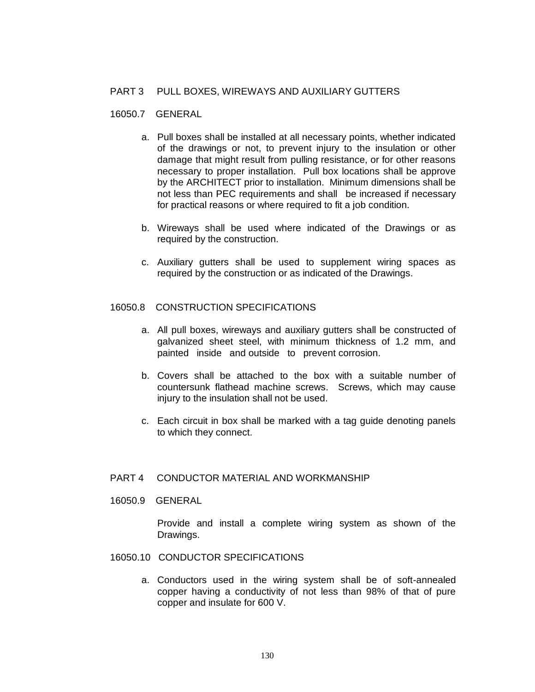# PART 3 PULL BOXES, WIREWAYS AND AUXILIARY GUTTERS

#### 16050.7 GENERAL

- a. Pull boxes shall be installed at all necessary points, whether indicated of the drawings or not, to prevent injury to the insulation or other damage that might result from pulling resistance, or for other reasons necessary to proper installation. Pull box locations shall be approve by the ARCHITECT prior to installation. Minimum dimensions shall be not less than PEC requirements and shall be increased if necessary for practical reasons or where required to fit a job condition.
- b. Wireways shall be used where indicated of the Drawings or as required by the construction.
- c. Auxiliary gutters shall be used to supplement wiring spaces as required by the construction or as indicated of the Drawings.

## 16050.8 CONSTRUCTION SPECIFICATIONS

- a. All pull boxes, wireways and auxiliary gutters shall be constructed of galvanized sheet steel, with minimum thickness of 1.2 mm, and painted inside and outside to prevent corrosion.
- b. Covers shall be attached to the box with a suitable number of countersunk flathead machine screws. Screws, which may cause injury to the insulation shall not be used.
- c. Each circuit in box shall be marked with a tag guide denoting panels to which they connect.

## PART 4 CONDUCTOR MATERIAL AND WORKMANSHIP

16050.9 GENERAL

Provide and install a complete wiring system as shown of the Drawings.

- 16050.10 CONDUCTOR SPECIFICATIONS
	- a. Conductors used in the wiring system shall be of soft-annealed copper having a conductivity of not less than 98% of that of pure copper and insulate for 600 V.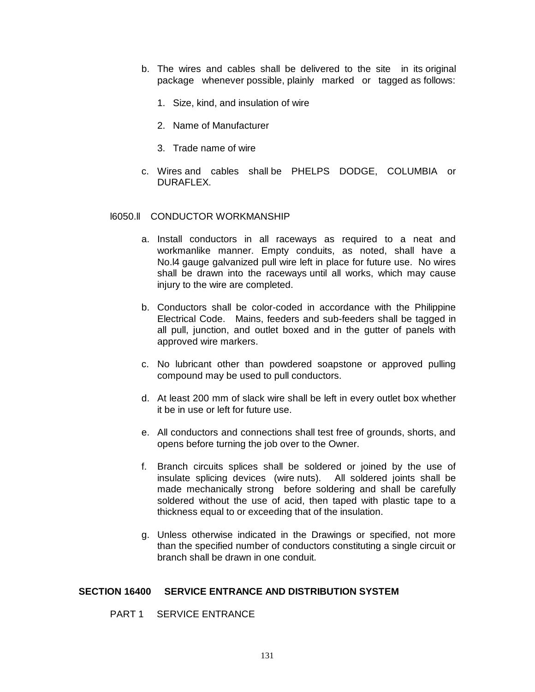- b. The wires and cables shall be delivered to the site in its original package whenever possible, plainly marked or tagged as follows:
	- 1. Size, kind, and insulation of wire
	- 2. Name of Manufacturer
	- 3. Trade name of wire
- c. Wires and cables shall be PHELPS DODGE, COLUMBIA or DURAFLEX.

## l6050.ll CONDUCTOR WORKMANSHIP

- a. Install conductors in all raceways as required to a neat and workmanlike manner. Empty conduits, as noted, shall have a No.l4 gauge galvanized pull wire left in place for future use. No wires shall be drawn into the raceways until all works, which may cause injury to the wire are completed.
- b. Conductors shall be color-coded in accordance with the Philippine Electrical Code. Mains, feeders and sub-feeders shall be tagged in all pull, junction, and outlet boxed and in the gutter of panels with approved wire markers.
- c. No lubricant other than powdered soapstone or approved pulling compound may be used to pull conductors.
- d. At least 200 mm of slack wire shall be left in every outlet box whether it be in use or left for future use.
- e. All conductors and connections shall test free of grounds, shorts, and opens before turning the job over to the Owner.
- f. Branch circuits splices shall be soldered or joined by the use of insulate splicing devices (wire nuts). All soldered joints shall be made mechanically strong before soldering and shall be carefully soldered without the use of acid, then taped with plastic tape to a thickness equal to or exceeding that of the insulation.
- g. Unless otherwise indicated in the Drawings or specified, not more than the specified number of conductors constituting a single circuit or branch shall be drawn in one conduit.

# **SECTION 16400 SERVICE ENTRANCE AND DISTRIBUTION SYSTEM**

# PART 1 SERVICE ENTRANCE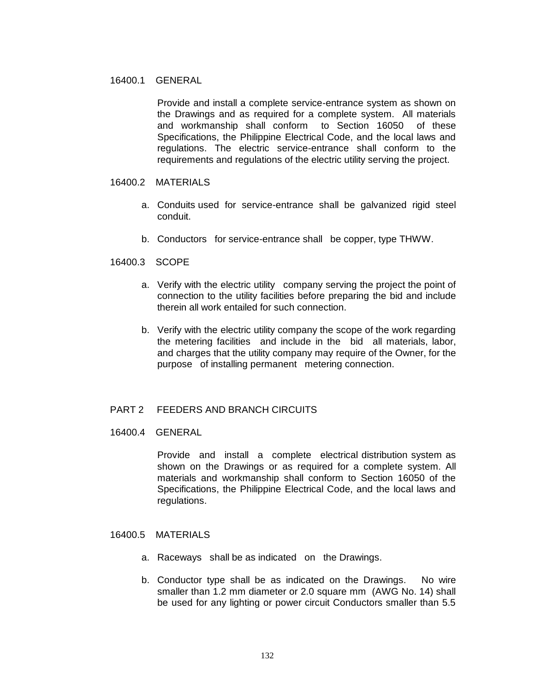## 16400.1 GENERAL

Provide and install a complete service-entrance system as shown on the Drawings and as required for a complete system. All materials and workmanship shall conform to Section 16050 of these Specifications, the Philippine Electrical Code, and the local laws and regulations. The electric service-entrance shall conform to the requirements and regulations of the electric utility serving the project.

## 16400.2 MATERIALS

- a. Conduits used for service-entrance shall be galvanized rigid steel conduit.
- b. Conductors for service-entrance shall be copper, type THWW.

## 16400.3 SCOPE

- a. Verify with the electric utility company serving the project the point of connection to the utility facilities before preparing the bid and include therein all work entailed for such connection.
- b. Verify with the electric utility company the scope of the work regarding the metering facilities and include in the bid all materials, labor, and charges that the utility company may require of the Owner, for the purpose of installing permanent metering connection.

## PART 2 FEEDERS AND BRANCH CIRCUITS

16400.4 GENERAL

Provide and install a complete electrical distribution system as shown on the Drawings or as required for a complete system. All materials and workmanship shall conform to Section 16050 of the Specifications, the Philippine Electrical Code, and the local laws and regulations.

# 16400.5 MATERIALS

- a. Raceways shall be as indicated on the Drawings.
- b. Conductor type shall be as indicated on the Drawings. No wire smaller than 1.2 mm diameter or 2.0 square mm (AWG No. 14) shall be used for any lighting or power circuit Conductors smaller than 5.5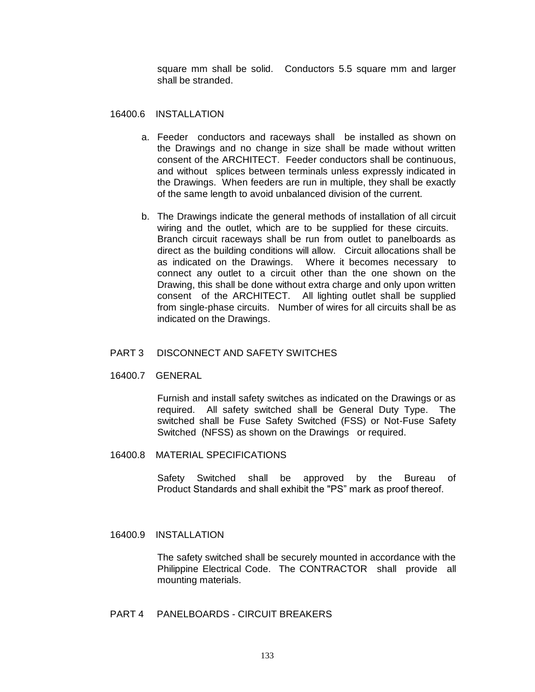square mm shall be solid. Conductors 5.5 square mm and larger shall be stranded.

16400.6 INSTALLATION

- a. Feeder conductors and raceways shall be installed as shown on the Drawings and no change in size shall be made without written consent of the ARCHITECT. Feeder conductors shall be continuous, and without splices between terminals unless expressly indicated in the Drawings. When feeders are run in multiple, they shall be exactly of the same length to avoid unbalanced division of the current.
- b. The Drawings indicate the general methods of installation of all circuit wiring and the outlet, which are to be supplied for these circuits. Branch circuit raceways shall be run from outlet to panelboards as direct as the building conditions will allow. Circuit allocations shall be as indicated on the Drawings. Where it becomes necessary to connect any outlet to a circuit other than the one shown on the Drawing, this shall be done without extra charge and only upon written consent of the ARCHITECT. All lighting outlet shall be supplied from single-phase circuits. Number of wires for all circuits shall be as indicated on the Drawings.

## PART 3 DISCONNECT AND SAFETY SWITCHES

16400.7 GENERAL

Furnish and install safety switches as indicated on the Drawings or as required. All safety switched shall be General Duty Type. The switched shall be Fuse Safety Switched (FSS) or Not-Fuse Safety Switched (NFSS) as shown on the Drawings or required.

16400.8 MATERIAL SPECIFICATIONS

Safety Switched shall be approved by the Bureau of Product Standards and shall exhibit the "PS" mark as proof thereof.

16400.9 INSTALLATION

The safety switched shall be securely mounted in accordance with the Philippine Electrical Code. The CONTRACTOR shall provide all mounting materials.

PART 4 PANELBOARDS - CIRCUIT BREAKERS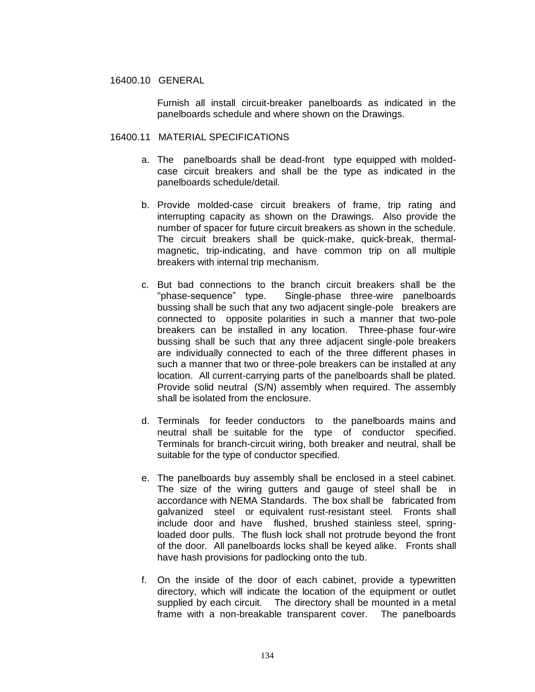## 16400.10 GENERAL

Furnish all install circuit-breaker panelboards as indicated in the panelboards schedule and where shown on the Drawings.

## 16400.11 MATERIAL SPECIFICATIONS

- a. The panelboards shall be dead-front type equipped with moldedcase circuit breakers and shall be the type as indicated in the panelboards schedule/detail.
- b. Provide molded-case circuit breakers of frame, trip rating and interrupting capacity as shown on the Drawings. Also provide the number of spacer for future circuit breakers as shown in the schedule. The circuit breakers shall be quick-make, quick-break, thermalmagnetic, trip-indicating, and have common trip on all multiple breakers with internal trip mechanism.
- c. But bad connections to the branch circuit breakers shall be the "phase-sequence" type. Single-phase three-wire panelboards bussing shall be such that any two adjacent single-pole breakers are connected to opposite polarities in such a manner that two-pole breakers can be installed in any location. Three-phase four-wire bussing shall be such that any three adjacent single-pole breakers are individually connected to each of the three different phases in such a manner that two or three-pole breakers can be installed at any location. All current-carrying parts of the panelboards shall be plated. Provide solid neutral (S/N) assembly when required. The assembly shall be isolated from the enclosure.
- d. Terminals for feeder conductors to the panelboards mains and neutral shall be suitable for the type of conductor specified. Terminals for branch-circuit wiring, both breaker and neutral, shall be suitable for the type of conductor specified.
- e. The panelboards buy assembly shall be enclosed in a steel cabinet. The size of the wiring gutters and gauge of steel shall be in accordance with NEMA Standards. The box shall be fabricated from galvanized steel or equivalent rust-resistant steel. Fronts shall include door and have flushed, brushed stainless steel, springloaded door pulls. The flush lock shall not protrude beyond the front of the door. All panelboards locks shall be keyed alike. Fronts shall have hash provisions for padlocking onto the tub.
- f. On the inside of the door of each cabinet, provide a typewritten directory, which will indicate the location of the equipment or outlet supplied by each circuit. The directory shall be mounted in a metal frame with a non-breakable transparent cover. The panelboards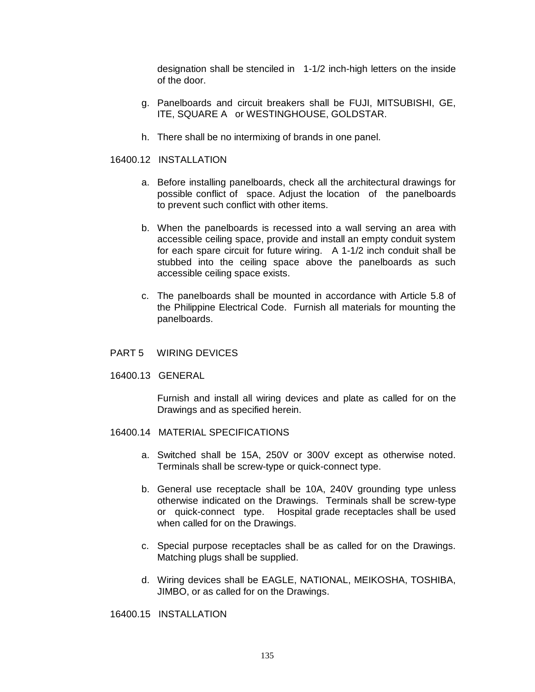designation shall be stenciled in 1-1/2 inch-high letters on the inside of the door.

- g. Panelboards and circuit breakers shall be FUJI, MITSUBISHI, GE, ITE, SQUARE A or WESTINGHOUSE, GOLDSTAR.
- h. There shall be no intermixing of brands in one panel.

16400.12 INSTALLATION

- a. Before installing panelboards, check all the architectural drawings for possible conflict of space. Adjust the location of the panelboards to prevent such conflict with other items.
- b. When the panelboards is recessed into a wall serving an area with accessible ceiling space, provide and install an empty conduit system for each spare circuit for future wiring. A 1-1/2 inch conduit shall be stubbed into the ceiling space above the panelboards as such accessible ceiling space exists.
- c. The panelboards shall be mounted in accordance with Article 5.8 of the Philippine Electrical Code. Furnish all materials for mounting the panelboards.
- PART 5 WIRING DEVICES
- 16400.13 GENERAL

Furnish and install all wiring devices and plate as called for on the Drawings and as specified herein.

- 16400.14 MATERIAL SPECIFICATIONS
	- a. Switched shall be 15A, 250V or 300V except as otherwise noted. Terminals shall be screw-type or quick-connect type.
	- b. General use receptacle shall be 10A, 240V grounding type unless otherwise indicated on the Drawings. Terminals shall be screw-type or quick-connect type. Hospital grade receptacles shall be used when called for on the Drawings.
	- c. Special purpose receptacles shall be as called for on the Drawings. Matching plugs shall be supplied.
	- d. Wiring devices shall be EAGLE, NATIONAL, MEIKOSHA, TOSHIBA, JIMBO, or as called for on the Drawings.

16400.15 INSTALLATION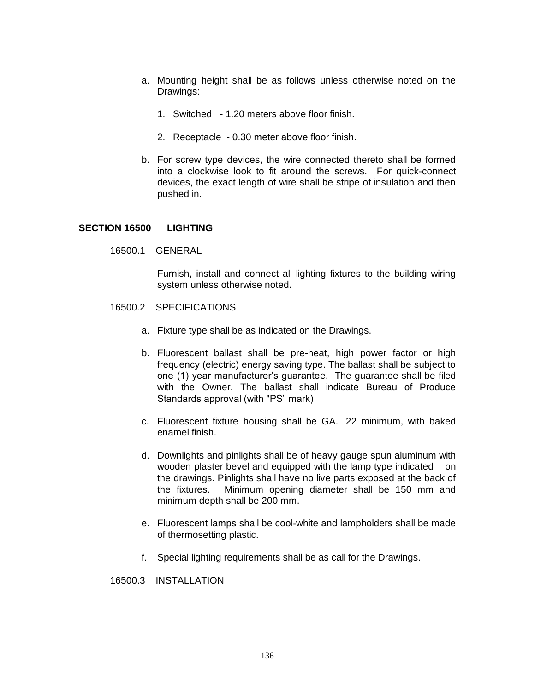- a. Mounting height shall be as follows unless otherwise noted on the Drawings:
	- 1. Switched 1.20 meters above floor finish.
	- 2. Receptacle 0.30 meter above floor finish.
- b. For screw type devices, the wire connected thereto shall be formed into a clockwise look to fit around the screws. For quick-connect devices, the exact length of wire shall be stripe of insulation and then pushed in.

#### **SECTION 16500 LIGHTING**

16500.1 GENERAL

Furnish, install and connect all lighting fixtures to the building wiring system unless otherwise noted.

- 16500.2 SPECIFICATIONS
	- a. Fixture type shall be as indicated on the Drawings.
	- b. Fluorescent ballast shall be pre-heat, high power factor or high frequency (electric) energy saving type. The ballast shall be subject to one (1) year manufacturer's guarantee. The guarantee shall be filed with the Owner. The ballast shall indicate Bureau of Produce Standards approval (with "PS" mark)
	- c. Fluorescent fixture housing shall be GA. 22 minimum, with baked enamel finish.
	- d. Downlights and pinlights shall be of heavy gauge spun aluminum with wooden plaster bevel and equipped with the lamp type indicated on the drawings. Pinlights shall have no live parts exposed at the back of the fixtures. Minimum opening diameter shall be 150 mm and minimum depth shall be 200 mm.
	- e. Fluorescent lamps shall be cool-white and lampholders shall be made of thermosetting plastic.
	- f. Special lighting requirements shall be as call for the Drawings.

16500.3 INSTALLATION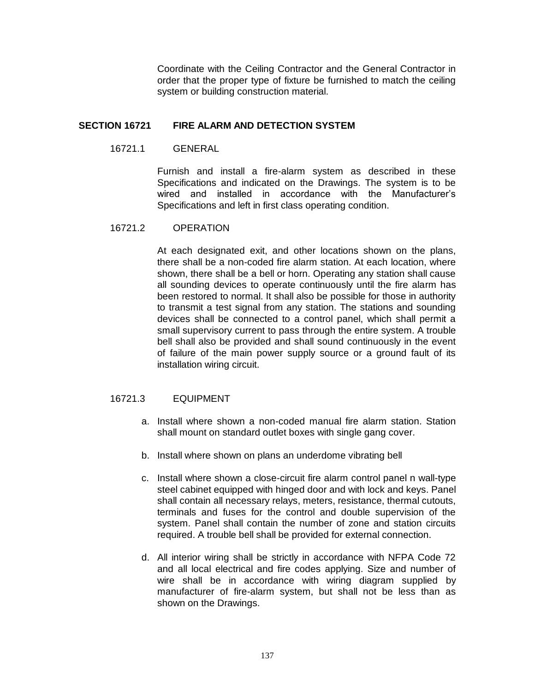Coordinate with the Ceiling Contractor and the General Contractor in order that the proper type of fixture be furnished to match the ceiling system or building construction material.

# **SECTION 16721 FIRE ALARM AND DETECTION SYSTEM**

16721.1 GENERAL

Furnish and install a fire-alarm system as described in these Specifications and indicated on the Drawings. The system is to be wired and installed in accordance with the Manufacturer's Specifications and left in first class operating condition.

# 16721.2 OPERATION

At each designated exit, and other locations shown on the plans, there shall be a non-coded fire alarm station. At each location, where shown, there shall be a bell or horn. Operating any station shall cause all sounding devices to operate continuously until the fire alarm has been restored to normal. It shall also be possible for those in authority to transmit a test signal from any station. The stations and sounding devices shall be connected to a control panel, which shall permit a small supervisory current to pass through the entire system. A trouble bell shall also be provided and shall sound continuously in the event of failure of the main power supply source or a ground fault of its installation wiring circuit.

# 16721.3 EQUIPMENT

- a. Install where shown a non-coded manual fire alarm station. Station shall mount on standard outlet boxes with single gang cover.
- b. Install where shown on plans an underdome vibrating bell
- c. Install where shown a close-circuit fire alarm control panel n wall-type steel cabinet equipped with hinged door and with lock and keys. Panel shall contain all necessary relays, meters, resistance, thermal cutouts, terminals and fuses for the control and double supervision of the system. Panel shall contain the number of zone and station circuits required. A trouble bell shall be provided for external connection.
- d. All interior wiring shall be strictly in accordance with NFPA Code 72 and all local electrical and fire codes applying. Size and number of wire shall be in accordance with wiring diagram supplied by manufacturer of fire-alarm system, but shall not be less than as shown on the Drawings.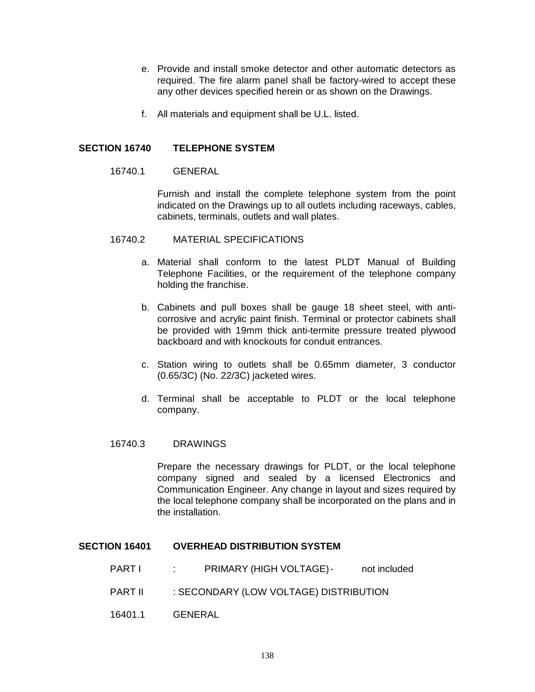- e. Provide and install smoke detector and other automatic detectors as required. The fire alarm panel shall be factory-wired to accept these any other devices specified herein or as shown on the Drawings.
- f. All materials and equipment shall be U.L. listed.

# **SECTION 16740 TELEPHONE SYSTEM**

#### 16740.1 GENERAL

Furnish and install the complete telephone system from the point indicated on the Drawings up to all outlets including raceways, cables, cabinets, terminals, outlets and wall plates.

#### 16740.2 MATERIAL SPECIFICATIONS

- a. Material shall conform to the latest PLDT Manual of Building Telephone Facilities, or the requirement of the telephone company holding the franchise.
- b. Cabinets and pull boxes shall be gauge 18 sheet steel, with anticorrosive and acrylic paint finish. Terminal or protector cabinets shall be provided with 19mm thick anti-termite pressure treated plywood backboard and with knockouts for conduit entrances.
- c. Station wiring to outlets shall be 0.65mm diameter, 3 conductor (0.65/3C) (No. 22/3C) jacketed wires.
- d. Terminal shall be acceptable to PLDT or the local telephone company.

## 16740.3 DRAWINGS

Prepare the necessary drawings for PLDT, or the local telephone company signed and sealed by a licensed Electronics and Communication Engineer. Any change in layout and sizes required by the local telephone company shall be incorporated on the plans and in the installation.

## **SECTION 16401 OVERHEAD DISTRIBUTION SYSTEM**

- PART I : PRIMARY (HIGH VOLTAGE)- not included
- PART II : SECONDARY (LOW VOLTAGE) DISTRIBUTION
- 16401.1 GENERAL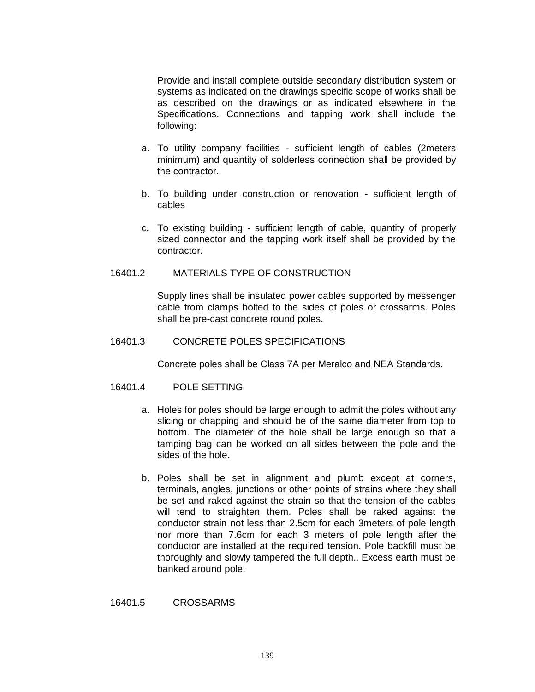Provide and install complete outside secondary distribution system or systems as indicated on the drawings specific scope of works shall be as described on the drawings or as indicated elsewhere in the Specifications. Connections and tapping work shall include the following:

- a. To utility company facilities sufficient length of cables (2meters minimum) and quantity of solderless connection shall be provided by the contractor.
- b. To building under construction or renovation sufficient length of cables
- c. To existing building sufficient length of cable, quantity of properly sized connector and the tapping work itself shall be provided by the contractor.

## 16401.2 MATERIALS TYPE OF CONSTRUCTION

Supply lines shall be insulated power cables supported by messenger cable from clamps bolted to the sides of poles or crossarms. Poles shall be pre-cast concrete round poles.

## 16401.3 CONCRETE POLES SPECIFICATIONS

Concrete poles shall be Class 7A per Meralco and NEA Standards.

#### 16401.4 POLE SETTING

- a. Holes for poles should be large enough to admit the poles without any slicing or chapping and should be of the same diameter from top to bottom. The diameter of the hole shall be large enough so that a tamping bag can be worked on all sides between the pole and the sides of the hole.
- b. Poles shall be set in alignment and plumb except at corners, terminals, angles, junctions or other points of strains where they shall be set and raked against the strain so that the tension of the cables will tend to straighten them. Poles shall be raked against the conductor strain not less than 2.5cm for each 3meters of pole length nor more than 7.6cm for each 3 meters of pole length after the conductor are installed at the required tension. Pole backfill must be thoroughly and slowly tampered the full depth.. Excess earth must be banked around pole.

16401.5 CROSSARMS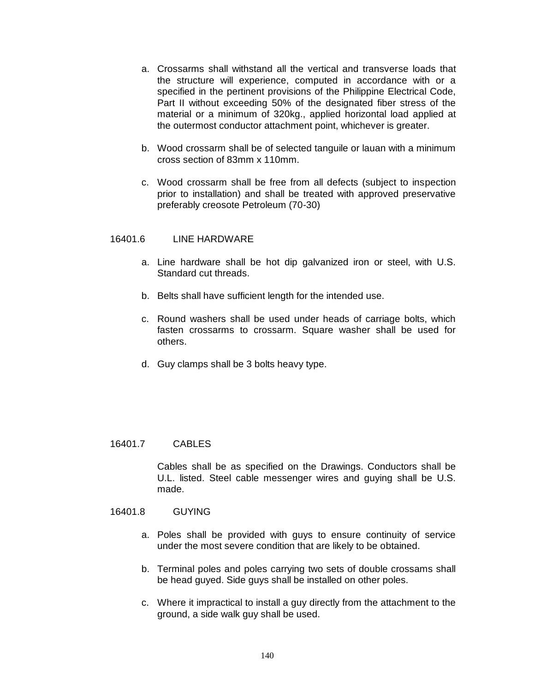- a. Crossarms shall withstand all the vertical and transverse loads that the structure will experience, computed in accordance with or a specified in the pertinent provisions of the Philippine Electrical Code, Part II without exceeding 50% of the designated fiber stress of the material or a minimum of 320kg., applied horizontal load applied at the outermost conductor attachment point, whichever is greater.
- b. Wood crossarm shall be of selected tanguile or lauan with a minimum cross section of 83mm x 110mm.
- c. Wood crossarm shall be free from all defects (subject to inspection prior to installation) and shall be treated with approved preservative preferably creosote Petroleum (70-30)

## 16401.6 LINE HARDWARE

- a. Line hardware shall be hot dip galvanized iron or steel, with U.S. Standard cut threads.
- b. Belts shall have sufficient length for the intended use.
- c. Round washers shall be used under heads of carriage bolts, which fasten crossarms to crossarm. Square washer shall be used for others.
- d. Guy clamps shall be 3 bolts heavy type.

#### 16401.7 CABLES

Cables shall be as specified on the Drawings. Conductors shall be U.L. listed. Steel cable messenger wires and guying shall be U.S. made.

# 16401.8 GUYING

- a. Poles shall be provided with guys to ensure continuity of service under the most severe condition that are likely to be obtained.
- b. Terminal poles and poles carrying two sets of double crossams shall be head guyed. Side guys shall be installed on other poles.
- c. Where it impractical to install a guy directly from the attachment to the ground, a side walk guy shall be used.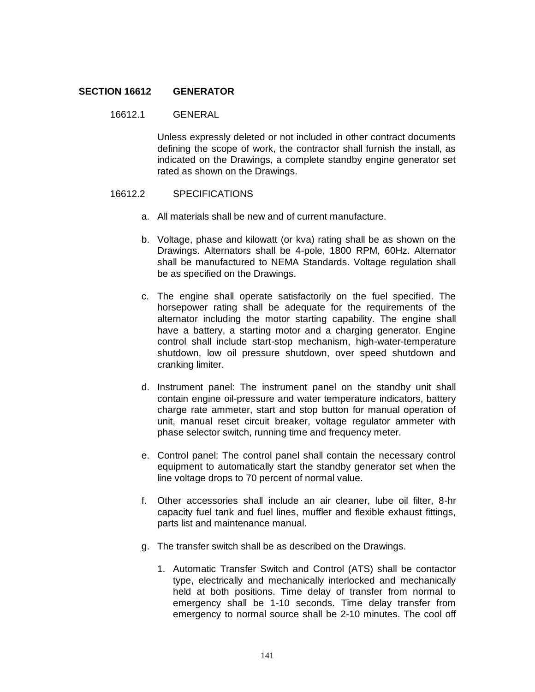## **SECTION 16612 GENERATOR**

## 16612.1 GENERAL

Unless expressly deleted or not included in other contract documents defining the scope of work, the contractor shall furnish the install, as indicated on the Drawings, a complete standby engine generator set rated as shown on the Drawings.

## 16612.2 SPECIFICATIONS

- a. All materials shall be new and of current manufacture.
- b. Voltage, phase and kilowatt (or kva) rating shall be as shown on the Drawings. Alternators shall be 4-pole, 1800 RPM, 60Hz. Alternator shall be manufactured to NEMA Standards. Voltage regulation shall be as specified on the Drawings.
- c. The engine shall operate satisfactorily on the fuel specified. The horsepower rating shall be adequate for the requirements of the alternator including the motor starting capability. The engine shall have a battery, a starting motor and a charging generator. Engine control shall include start-stop mechanism, high-water-temperature shutdown, low oil pressure shutdown, over speed shutdown and cranking limiter.
- d. Instrument panel: The instrument panel on the standby unit shall contain engine oil-pressure and water temperature indicators, battery charge rate ammeter, start and stop button for manual operation of unit, manual reset circuit breaker, voltage regulator ammeter with phase selector switch, running time and frequency meter.
- e. Control panel: The control panel shall contain the necessary control equipment to automatically start the standby generator set when the line voltage drops to 70 percent of normal value.
- f. Other accessories shall include an air cleaner, lube oil filter, 8-hr capacity fuel tank and fuel lines, muffler and flexible exhaust fittings, parts list and maintenance manual.
- g. The transfer switch shall be as described on the Drawings.
	- 1. Automatic Transfer Switch and Control (ATS) shall be contactor type, electrically and mechanically interlocked and mechanically held at both positions. Time delay of transfer from normal to emergency shall be 1-10 seconds. Time delay transfer from emergency to normal source shall be 2-10 minutes. The cool off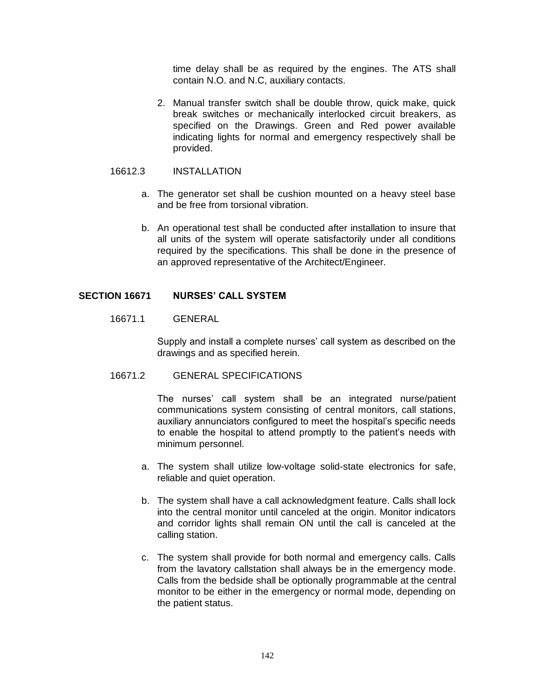time delay shall be as required by the engines. The ATS shall contain N.O. and N.C, auxiliary contacts.

2. Manual transfer switch shall be double throw, quick make, quick break switches or mechanically interlocked circuit breakers, as specified on the Drawings. Green and Red power available indicating lights for normal and emergency respectively shall be provided.

## 16612.3 INSTALLATION

- a. The generator set shall be cushion mounted on a heavy steel base and be free from torsional vibration.
- b. An operational test shall be conducted after installation to insure that all units of the system will operate satisfactorily under all conditions required by the specifications. This shall be done in the presence of an approved representative of the Architect/Engineer.

# **SECTION 16671 NURSES' CALL SYSTEM**

## 16671.1 GENERAL

Supply and install a complete nurses' call system as described on the drawings and as specified herein.

# 16671.2 GENERAL SPECIFICATIONS

The nurses' call system shall be an integrated nurse/patient communications system consisting of central monitors, call stations, auxiliary annunciators configured to meet the hospital's specific needs to enable the hospital to attend promptly to the patient's needs with minimum personnel.

- a. The system shall utilize low-voltage solid-state electronics for safe, reliable and quiet operation.
- b. The system shall have a call acknowledgment feature. Calls shall lock into the central monitor until canceled at the origin. Monitor indicators and corridor lights shall remain ON until the call is canceled at the calling station.
- c. The system shall provide for both normal and emergency calls. Calls from the lavatory callstation shall always be in the emergency mode. Calls from the bedside shall be optionally programmable at the central monitor to be either in the emergency or normal mode, depending on the patient status.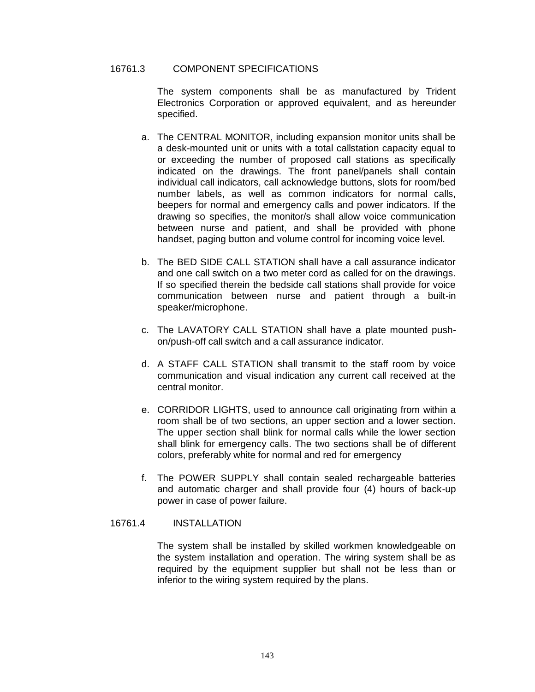# 16761.3 COMPONENT SPECIFICATIONS

The system components shall be as manufactured by Trident Electronics Corporation or approved equivalent, and as hereunder specified.

- a. The CENTRAL MONITOR, including expansion monitor units shall be a desk-mounted unit or units with a total callstation capacity equal to or exceeding the number of proposed call stations as specifically indicated on the drawings. The front panel/panels shall contain individual call indicators, call acknowledge buttons, slots for room/bed number labels, as well as common indicators for normal calls, beepers for normal and emergency calls and power indicators. If the drawing so specifies, the monitor/s shall allow voice communication between nurse and patient, and shall be provided with phone handset, paging button and volume control for incoming voice level.
- b. The BED SIDE CALL STATION shall have a call assurance indicator and one call switch on a two meter cord as called for on the drawings. If so specified therein the bedside call stations shall provide for voice communication between nurse and patient through a built-in speaker/microphone.
- c. The LAVATORY CALL STATION shall have a plate mounted pushon/push-off call switch and a call assurance indicator.
- d. A STAFF CALL STATION shall transmit to the staff room by voice communication and visual indication any current call received at the central monitor.
- e. CORRIDOR LIGHTS, used to announce call originating from within a room shall be of two sections, an upper section and a lower section. The upper section shall blink for normal calls while the lower section shall blink for emergency calls. The two sections shall be of different colors, preferably white for normal and red for emergency
- f. The POWER SUPPLY shall contain sealed rechargeable batteries and automatic charger and shall provide four (4) hours of back-up power in case of power failure.

## 16761.4 INSTALLATION

The system shall be installed by skilled workmen knowledgeable on the system installation and operation. The wiring system shall be as required by the equipment supplier but shall not be less than or inferior to the wiring system required by the plans.